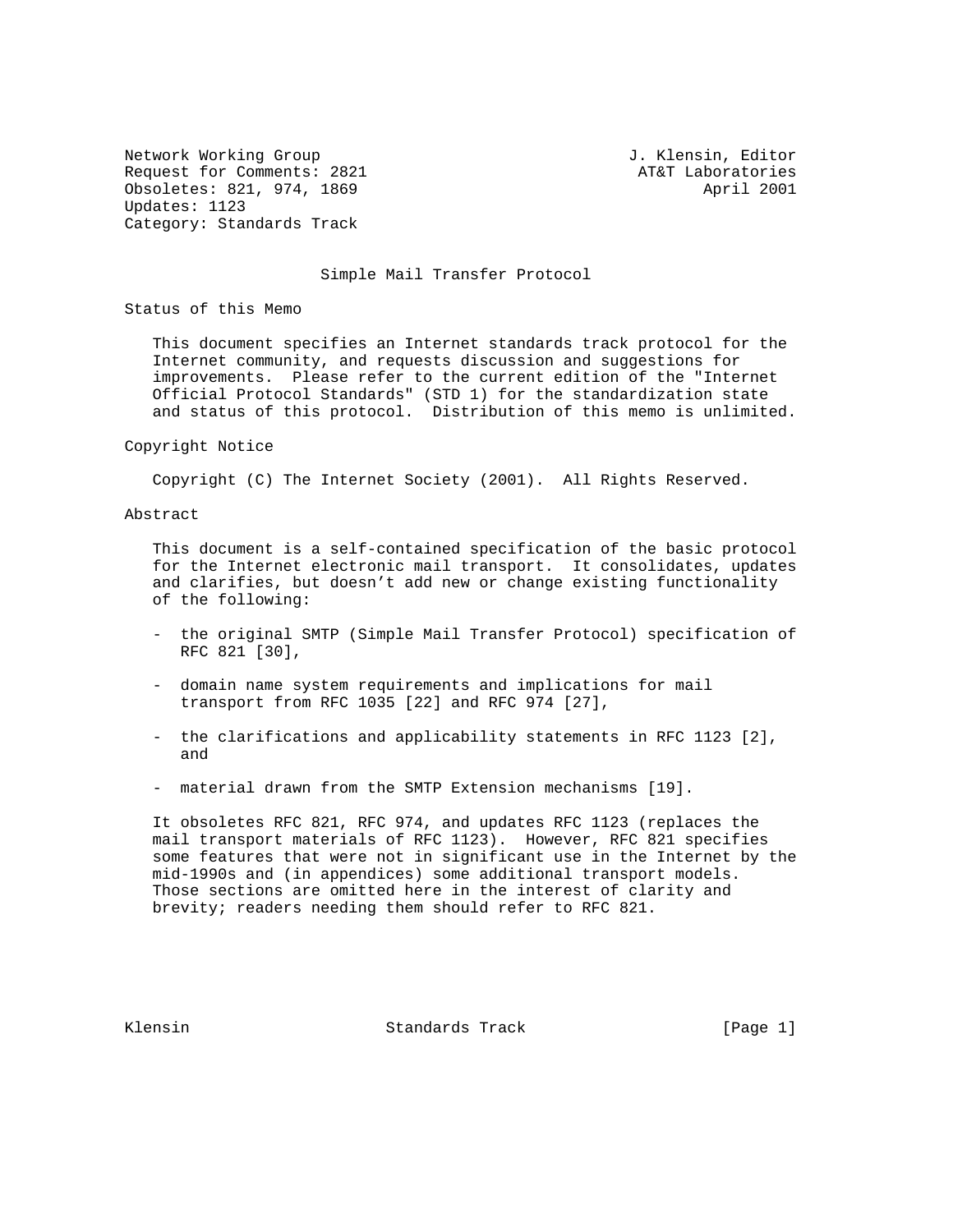Network Working Group and Month Communications of Methods J. Klensin, Editor Request for Comments: 2821 AT&T Laboratories Obsoletes: 821, 974, 1869 April 2001 Updates: 1123 Category: Standards Track

## Simple Mail Transfer Protocol

Status of this Memo

 This document specifies an Internet standards track protocol for the Internet community, and requests discussion and suggestions for improvements. Please refer to the current edition of the "Internet Official Protocol Standards" (STD 1) for the standardization state and status of this protocol. Distribution of this memo is unlimited.

#### Copyright Notice

Copyright (C) The Internet Society (2001). All Rights Reserved.

#### Abstract

 This document is a self-contained specification of the basic protocol for the Internet electronic mail transport. It consolidates, updates and clarifies, but doesn't add new or change existing functionality of the following:

- the original SMTP (Simple Mail Transfer Protocol) specification of RFC 821 [30],
- domain name system requirements and implications for mail transport from RFC 1035 [22] and RFC 974 [27],
- the clarifications and applicability statements in RFC 1123 [2], and
- material drawn from the SMTP Extension mechanisms [19].

 It obsoletes RFC 821, RFC 974, and updates RFC 1123 (replaces the mail transport materials of RFC 1123). However, RFC 821 specifies some features that were not in significant use in the Internet by the mid-1990s and (in appendices) some additional transport models. Those sections are omitted here in the interest of clarity and brevity; readers needing them should refer to RFC 821.

Klensin Chamber Standards Track (Page 1)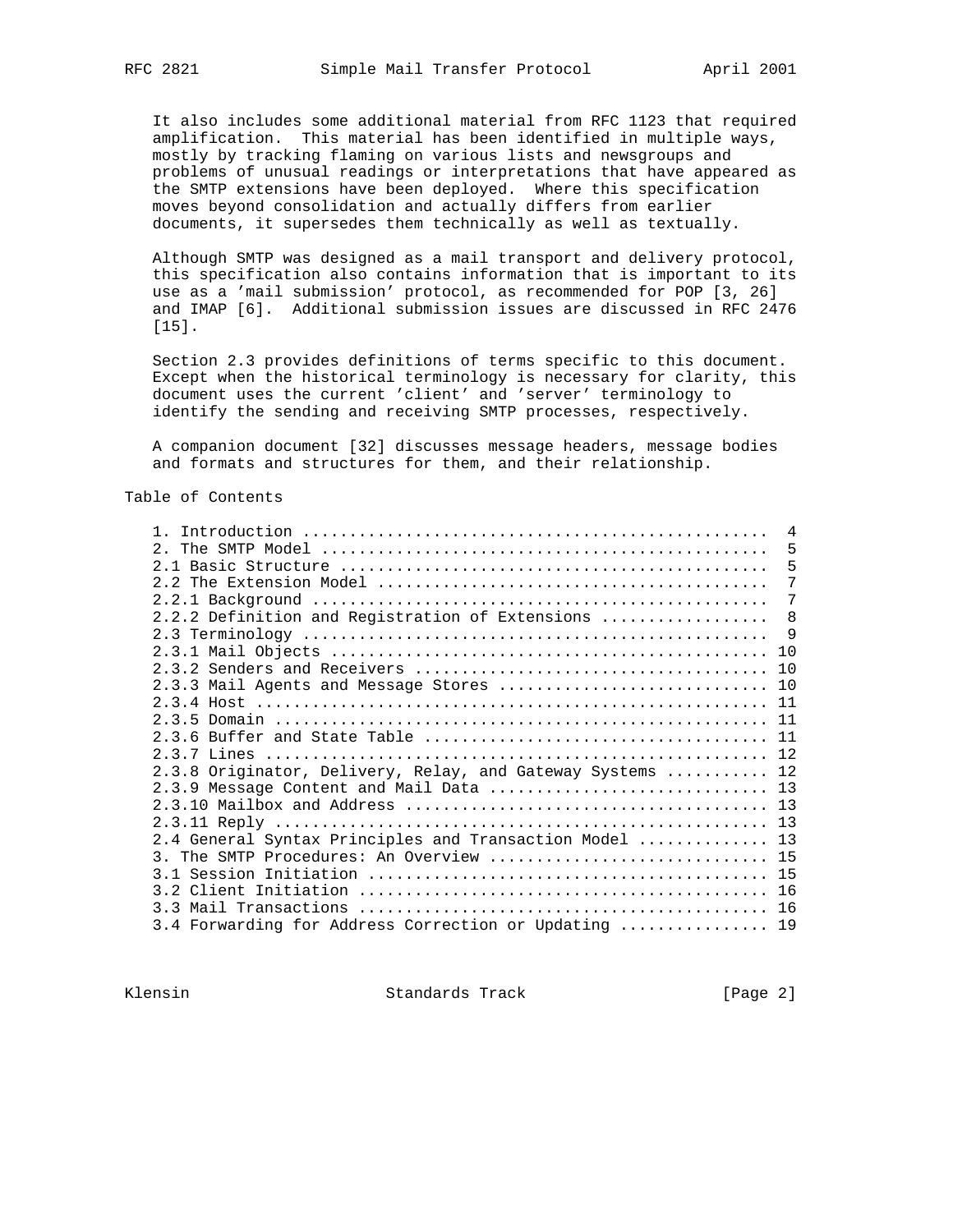It also includes some additional material from RFC 1123 that required amplification. This material has been identified in multiple ways, mostly by tracking flaming on various lists and newsgroups and problems of unusual readings or interpretations that have appeared as the SMTP extensions have been deployed. Where this specification moves beyond consolidation and actually differs from earlier documents, it supersedes them technically as well as textually.

 Although SMTP was designed as a mail transport and delivery protocol, this specification also contains information that is important to its use as a 'mail submission' protocol, as recommended for POP [3, 26] and IMAP [6]. Additional submission issues are discussed in RFC 2476 [15].

 Section 2.3 provides definitions of terms specific to this document. Except when the historical terminology is necessary for clarity, this document uses the current 'client' and 'server' terminology to identify the sending and receiving SMTP processes, respectively.

 A companion document [32] discusses message headers, message bodies and formats and structures for them, and their relationship.

# Table of Contents

|                                                            | $\overline{4}$ |
|------------------------------------------------------------|----------------|
|                                                            | 5              |
|                                                            | - 5            |
|                                                            | 7              |
|                                                            | 7              |
| 2.2.2 Definition and Registration of Extensions  8         |                |
|                                                            | - 9            |
|                                                            |                |
|                                                            |                |
| 2.3.3 Mail Agents and Message Stores  10                   |                |
|                                                            |                |
|                                                            |                |
|                                                            |                |
|                                                            |                |
| 2.3.8 Originator, Delivery, Relay, and Gateway Systems  12 |                |
| 2.3.9 Message Content and Mail Data  13                    |                |
|                                                            |                |
|                                                            |                |
| 2.4 General Syntax Principles and Transaction Model  13    |                |
| 3. The SMTP Procedures: An Overview  15                    |                |
|                                                            |                |
|                                                            |                |
|                                                            |                |
| 3.4 Forwarding for Address Correction or Updating  19      |                |

Klensin Chamber Standards Track (Page 2)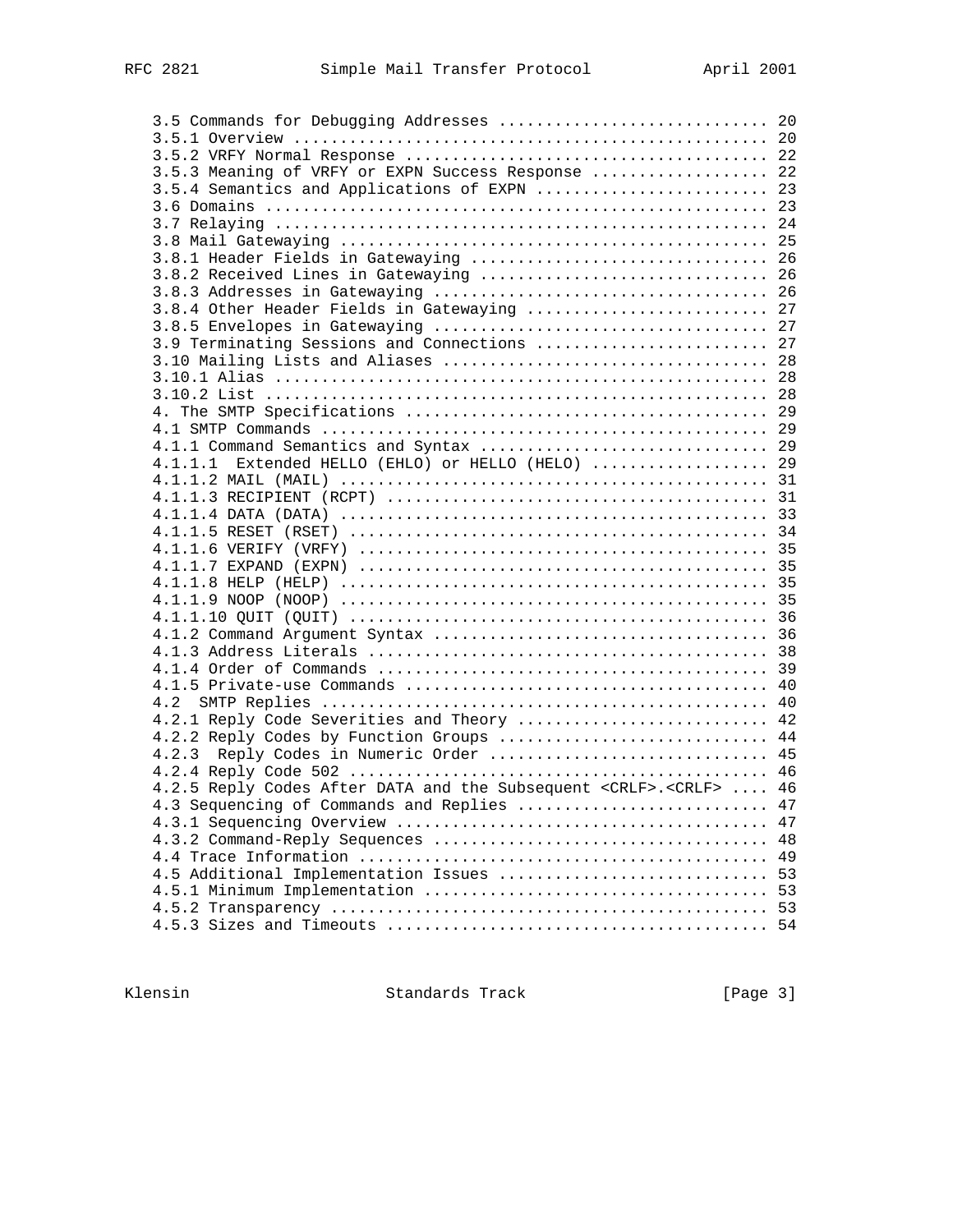| 3.5 Commands for Debugging Addresses  20                                        |          |
|---------------------------------------------------------------------------------|----------|
|                                                                                 |          |
|                                                                                 |          |
| 3.5.3 Meaning of VRFY or EXPN Success Response  22                              |          |
| 3.5.4 Semantics and Applications of EXPN  23                                    |          |
|                                                                                 |          |
|                                                                                 |          |
|                                                                                 |          |
|                                                                                 |          |
| 3.8.2 Received Lines in Gatewaying  26                                          |          |
|                                                                                 |          |
| 3.8.4 Other Header Fields in Gatewaying  27                                     |          |
|                                                                                 |          |
| 3.9 Terminating Sessions and Connections  27                                    |          |
|                                                                                 |          |
|                                                                                 |          |
|                                                                                 |          |
|                                                                                 |          |
|                                                                                 |          |
|                                                                                 |          |
| 4.1.1.1 Extended HELLO (EHLO) or HELLO (HELO)  29                               |          |
|                                                                                 |          |
|                                                                                 |          |
|                                                                                 |          |
|                                                                                 |          |
|                                                                                 |          |
|                                                                                 |          |
|                                                                                 |          |
|                                                                                 |          |
|                                                                                 |          |
|                                                                                 |          |
|                                                                                 |          |
|                                                                                 |          |
|                                                                                 |          |
|                                                                                 |          |
| 4.2.1 Reply Code Severities and Theory  42                                      |          |
| 4.2.2 Reply Codes by Function Groups  44                                        |          |
| 4.2.3 Reply Codes in Numeric Order  45                                          |          |
|                                                                                 |          |
| 4.2.5 Reply Codes After DATA and the Subsequent <crlf>.<crlf>  46</crlf></crlf> |          |
| 4.3 Sequencing of Commands and Replies  47                                      |          |
|                                                                                 |          |
|                                                                                 | 47<br>48 |
|                                                                                 |          |
|                                                                                 | 49       |
| 4.5 Additional Implementation Issues                                            | 53       |
|                                                                                 | 53       |
|                                                                                 |          |
|                                                                                 | 54       |

Klensin Standards Track [Page 3]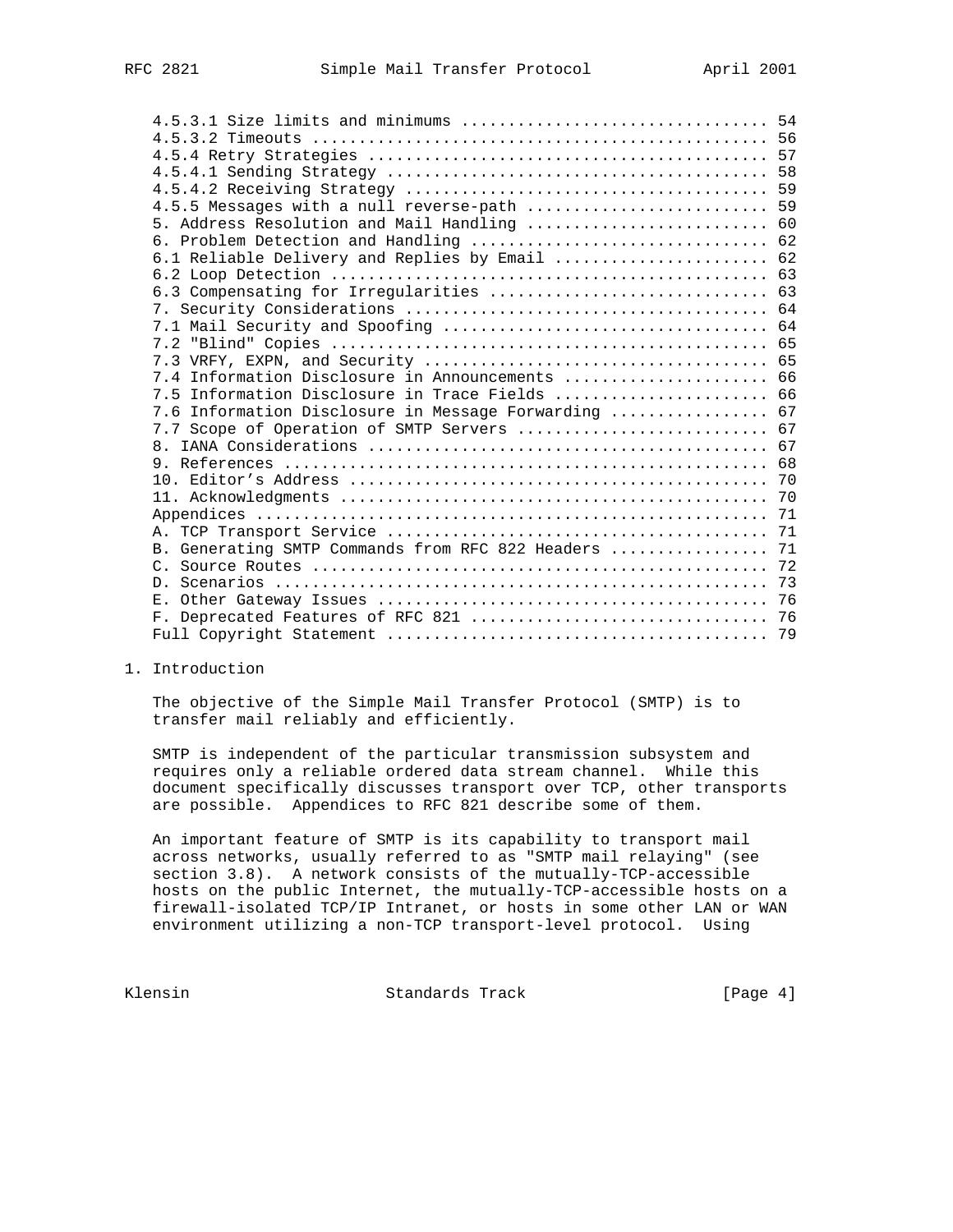| 4.5.5 Messages with a null reverse-path  59          |    |
|------------------------------------------------------|----|
| 5. Address Resolution and Mail Handling  60          |    |
|                                                      |    |
| 6.1 Reliable Delivery and Replies by Email  62       |    |
|                                                      |    |
|                                                      |    |
|                                                      |    |
|                                                      |    |
|                                                      |    |
|                                                      |    |
| 7.4 Information Disclosure in Announcements  66      |    |
| 7.5 Information Disclosure in Trace Fields  66       |    |
| 7.6 Information Disclosure in Message Forwarding  67 |    |
| 7.7 Scope of Operation of SMTP Servers  67           |    |
|                                                      |    |
|                                                      |    |
|                                                      |    |
|                                                      |    |
|                                                      |    |
|                                                      |    |
| B. Generating SMTP Commands from RFC 822 Headers  71 |    |
|                                                      |    |
| D <sub>1</sub>                                       |    |
|                                                      |    |
|                                                      |    |
|                                                      | 79 |

#### 1. Introduction

 The objective of the Simple Mail Transfer Protocol (SMTP) is to transfer mail reliably and efficiently.

 SMTP is independent of the particular transmission subsystem and requires only a reliable ordered data stream channel. While this document specifically discusses transport over TCP, other transports are possible. Appendices to RFC 821 describe some of them.

 An important feature of SMTP is its capability to transport mail across networks, usually referred to as "SMTP mail relaying" (see section 3.8). A network consists of the mutually-TCP-accessible hosts on the public Internet, the mutually-TCP-accessible hosts on a firewall-isolated TCP/IP Intranet, or hosts in some other LAN or WAN environment utilizing a non-TCP transport-level protocol. Using

Klensin Chamber Standards Track (Page 4)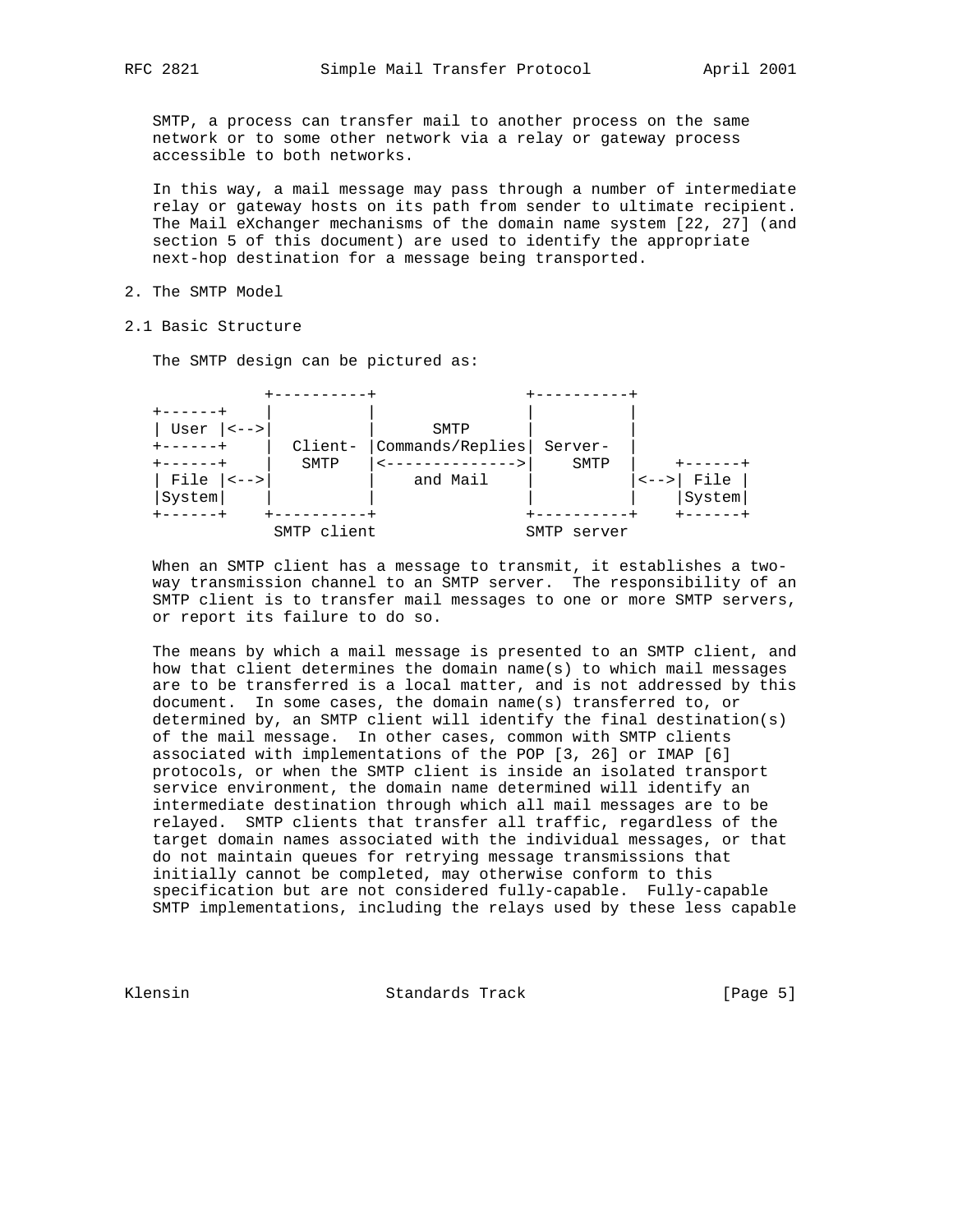SMTP, a process can transfer mail to another process on the same network or to some other network via a relay or gateway process accessible to both networks.

 In this way, a mail message may pass through a number of intermediate relay or gateway hosts on its path from sender to ultimate recipient. The Mail eXchanger mechanisms of the domain name system [22, 27] (and section 5 of this document) are used to identify the appropriate next-hop destination for a message being transported.

- 2. The SMTP Model
- 2.1 Basic Structure

The SMTP design can be pictured as:



 When an SMTP client has a message to transmit, it establishes a two way transmission channel to an SMTP server. The responsibility of an SMTP client is to transfer mail messages to one or more SMTP servers, or report its failure to do so.

 The means by which a mail message is presented to an SMTP client, and how that client determines the domain name(s) to which mail messages are to be transferred is a local matter, and is not addressed by this document. In some cases, the domain name(s) transferred to, or determined by, an SMTP client will identify the final destination(s) of the mail message. In other cases, common with SMTP clients associated with implementations of the POP [3, 26] or IMAP [6] protocols, or when the SMTP client is inside an isolated transport service environment, the domain name determined will identify an intermediate destination through which all mail messages are to be relayed. SMTP clients that transfer all traffic, regardless of the target domain names associated with the individual messages, or that do not maintain queues for retrying message transmissions that initially cannot be completed, may otherwise conform to this specification but are not considered fully-capable. Fully-capable SMTP implementations, including the relays used by these less capable

Klensin Chamber Standards Track (Page 5)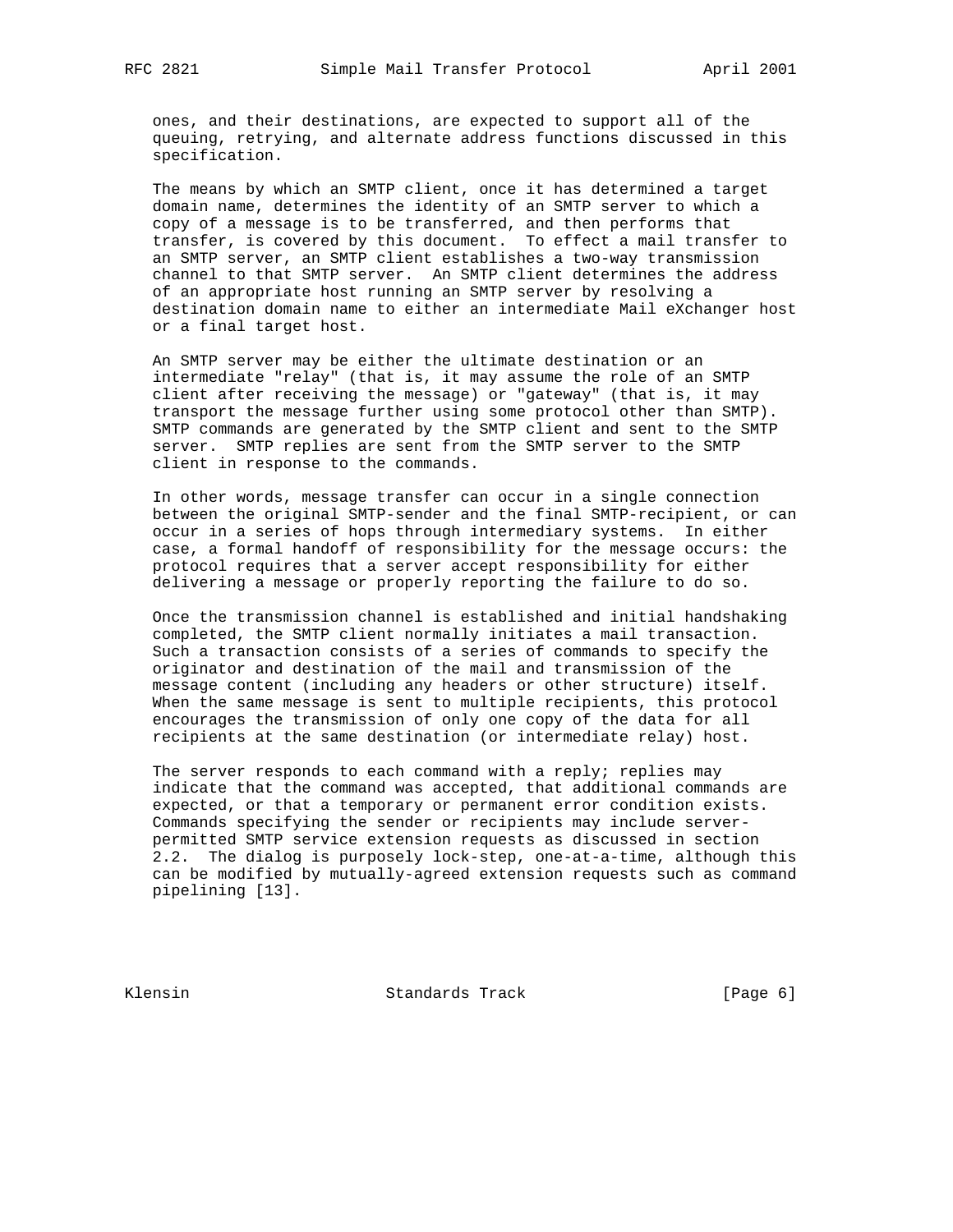ones, and their destinations, are expected to support all of the queuing, retrying, and alternate address functions discussed in this specification.

 The means by which an SMTP client, once it has determined a target domain name, determines the identity of an SMTP server to which a copy of a message is to be transferred, and then performs that transfer, is covered by this document. To effect a mail transfer to an SMTP server, an SMTP client establishes a two-way transmission channel to that SMTP server. An SMTP client determines the address of an appropriate host running an SMTP server by resolving a destination domain name to either an intermediate Mail eXchanger host or a final target host.

 An SMTP server may be either the ultimate destination or an intermediate "relay" (that is, it may assume the role of an SMTP client after receiving the message) or "gateway" (that is, it may transport the message further using some protocol other than SMTP). SMTP commands are generated by the SMTP client and sent to the SMTP server. SMTP replies are sent from the SMTP server to the SMTP client in response to the commands.

 In other words, message transfer can occur in a single connection between the original SMTP-sender and the final SMTP-recipient, or can occur in a series of hops through intermediary systems. In either case, a formal handoff of responsibility for the message occurs: the protocol requires that a server accept responsibility for either delivering a message or properly reporting the failure to do so.

 Once the transmission channel is established and initial handshaking completed, the SMTP client normally initiates a mail transaction. Such a transaction consists of a series of commands to specify the originator and destination of the mail and transmission of the message content (including any headers or other structure) itself. When the same message is sent to multiple recipients, this protocol encourages the transmission of only one copy of the data for all recipients at the same destination (or intermediate relay) host.

The server responds to each command with a reply; replies may indicate that the command was accepted, that additional commands are expected, or that a temporary or permanent error condition exists. Commands specifying the sender or recipients may include server permitted SMTP service extension requests as discussed in section 2.2. The dialog is purposely lock-step, one-at-a-time, although this can be modified by mutually-agreed extension requests such as command pipelining [13].

Klensin Chamber Standards Track (Page 6)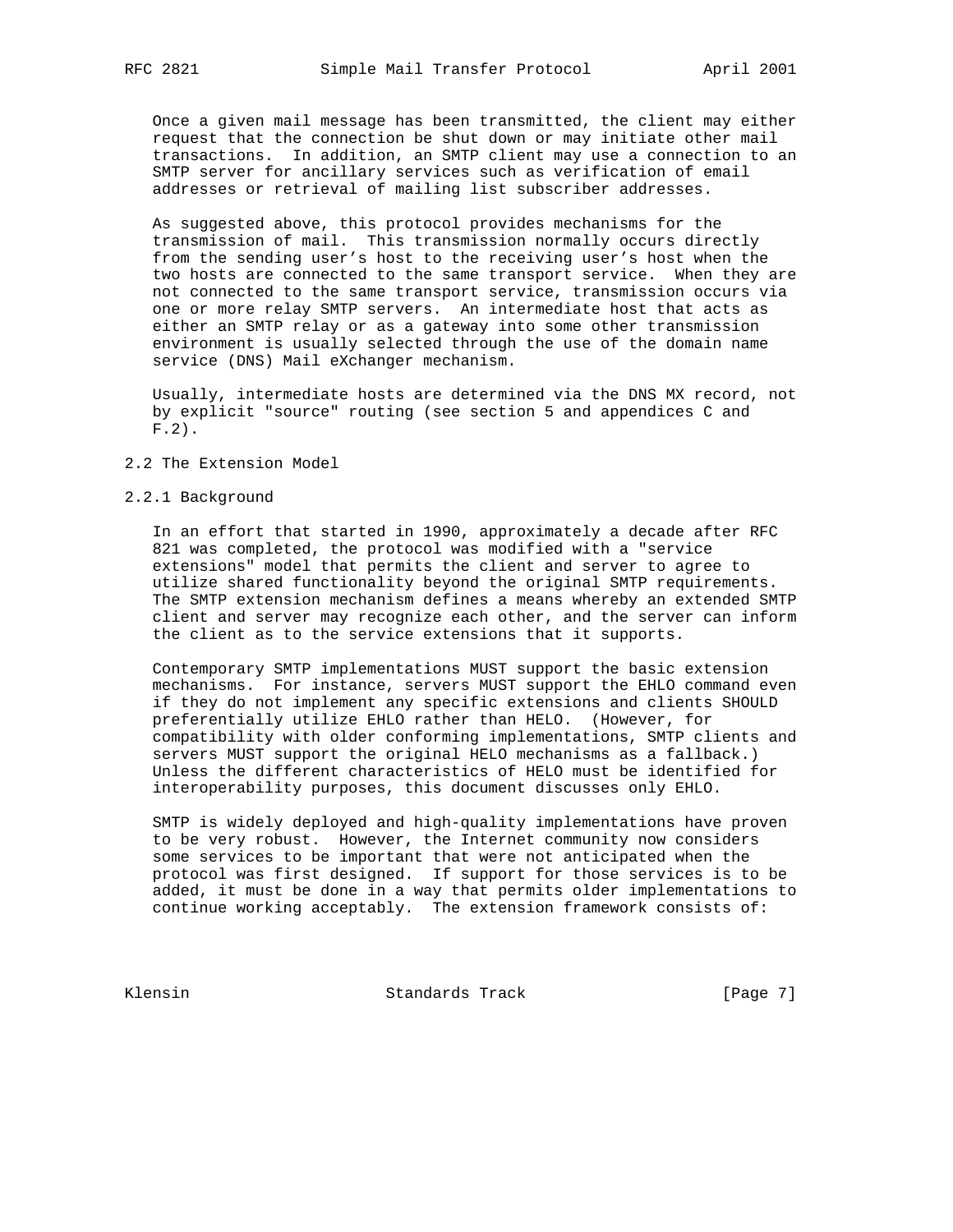Once a given mail message has been transmitted, the client may either request that the connection be shut down or may initiate other mail transactions. In addition, an SMTP client may use a connection to an SMTP server for ancillary services such as verification of email addresses or retrieval of mailing list subscriber addresses.

 As suggested above, this protocol provides mechanisms for the transmission of mail. This transmission normally occurs directly from the sending user's host to the receiving user's host when the two hosts are connected to the same transport service. When they are not connected to the same transport service, transmission occurs via one or more relay SMTP servers. An intermediate host that acts as either an SMTP relay or as a gateway into some other transmission environment is usually selected through the use of the domain name service (DNS) Mail eXchanger mechanism.

 Usually, intermediate hosts are determined via the DNS MX record, not by explicit "source" routing (see section 5 and appendices C and F.2).

#### 2.2 The Extension Model

#### 2.2.1 Background

 In an effort that started in 1990, approximately a decade after RFC 821 was completed, the protocol was modified with a "service extensions" model that permits the client and server to agree to utilize shared functionality beyond the original SMTP requirements. The SMTP extension mechanism defines a means whereby an extended SMTP client and server may recognize each other, and the server can inform the client as to the service extensions that it supports.

 Contemporary SMTP implementations MUST support the basic extension mechanisms. For instance, servers MUST support the EHLO command even if they do not implement any specific extensions and clients SHOULD preferentially utilize EHLO rather than HELO. (However, for compatibility with older conforming implementations, SMTP clients and servers MUST support the original HELO mechanisms as a fallback.) Unless the different characteristics of HELO must be identified for interoperability purposes, this document discusses only EHLO.

 SMTP is widely deployed and high-quality implementations have proven to be very robust. However, the Internet community now considers some services to be important that were not anticipated when the protocol was first designed. If support for those services is to be added, it must be done in a way that permits older implementations to continue working acceptably. The extension framework consists of:

Klensin Changel Standards Track [Page 7]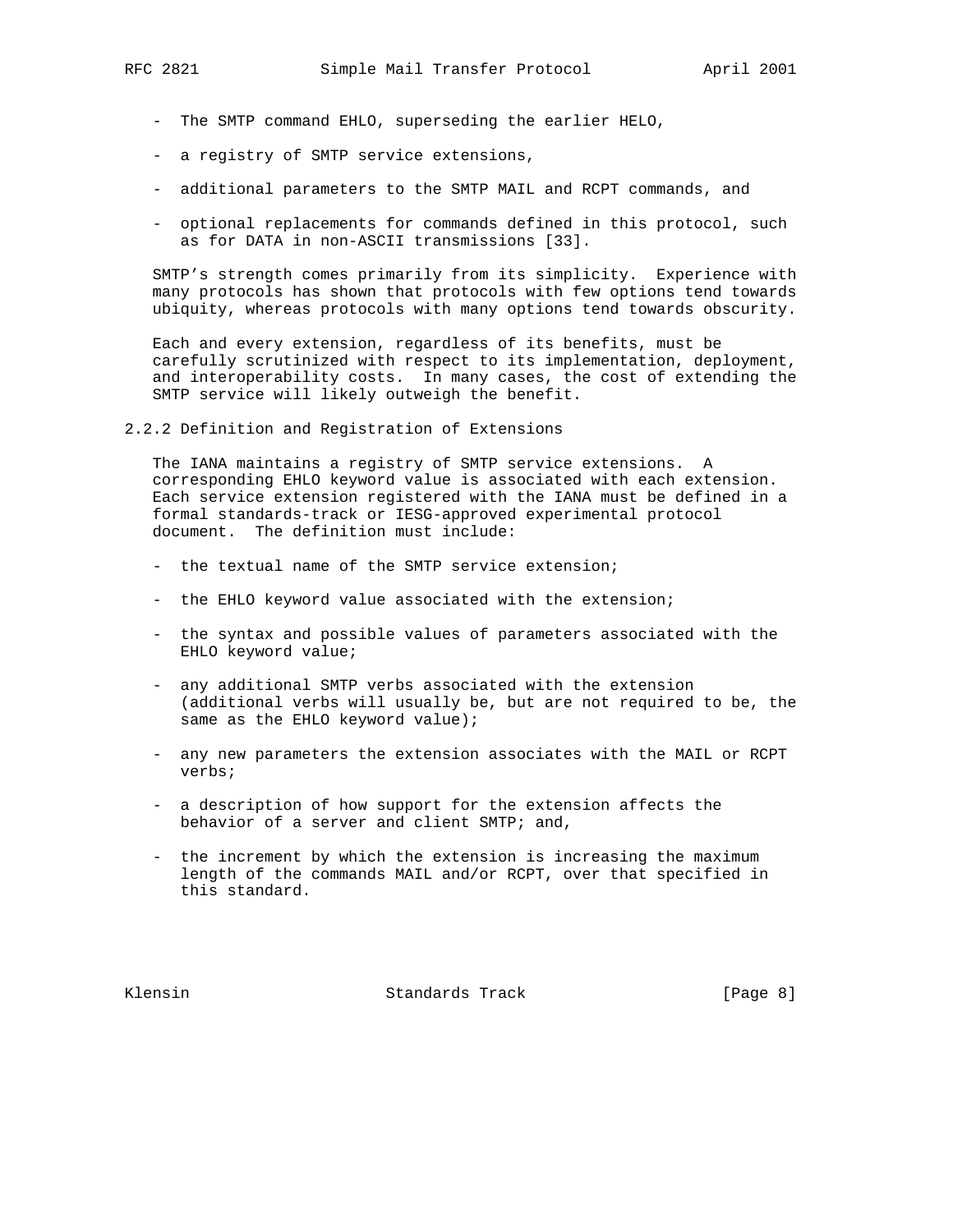- The SMTP command EHLO, superseding the earlier HELO,
- a registry of SMTP service extensions,
- additional parameters to the SMTP MAIL and RCPT commands, and
- optional replacements for commands defined in this protocol, such as for DATA in non-ASCII transmissions [33].

 SMTP's strength comes primarily from its simplicity. Experience with many protocols has shown that protocols with few options tend towards ubiquity, whereas protocols with many options tend towards obscurity.

 Each and every extension, regardless of its benefits, must be carefully scrutinized with respect to its implementation, deployment, and interoperability costs. In many cases, the cost of extending the SMTP service will likely outweigh the benefit.

2.2.2 Definition and Registration of Extensions

 The IANA maintains a registry of SMTP service extensions. A corresponding EHLO keyword value is associated with each extension. Each service extension registered with the IANA must be defined in a formal standards-track or IESG-approved experimental protocol document. The definition must include:

- the textual name of the SMTP service extension;
- the EHLO keyword value associated with the extension;
- the syntax and possible values of parameters associated with the EHLO keyword value;
- any additional SMTP verbs associated with the extension (additional verbs will usually be, but are not required to be, the same as the EHLO keyword value);
- any new parameters the extension associates with the MAIL or RCPT verbs;
- a description of how support for the extension affects the behavior of a server and client SMTP; and,
- the increment by which the extension is increasing the maximum length of the commands MAIL and/or RCPT, over that specified in this standard.

Klensin Chamber Standards Track (Page 8)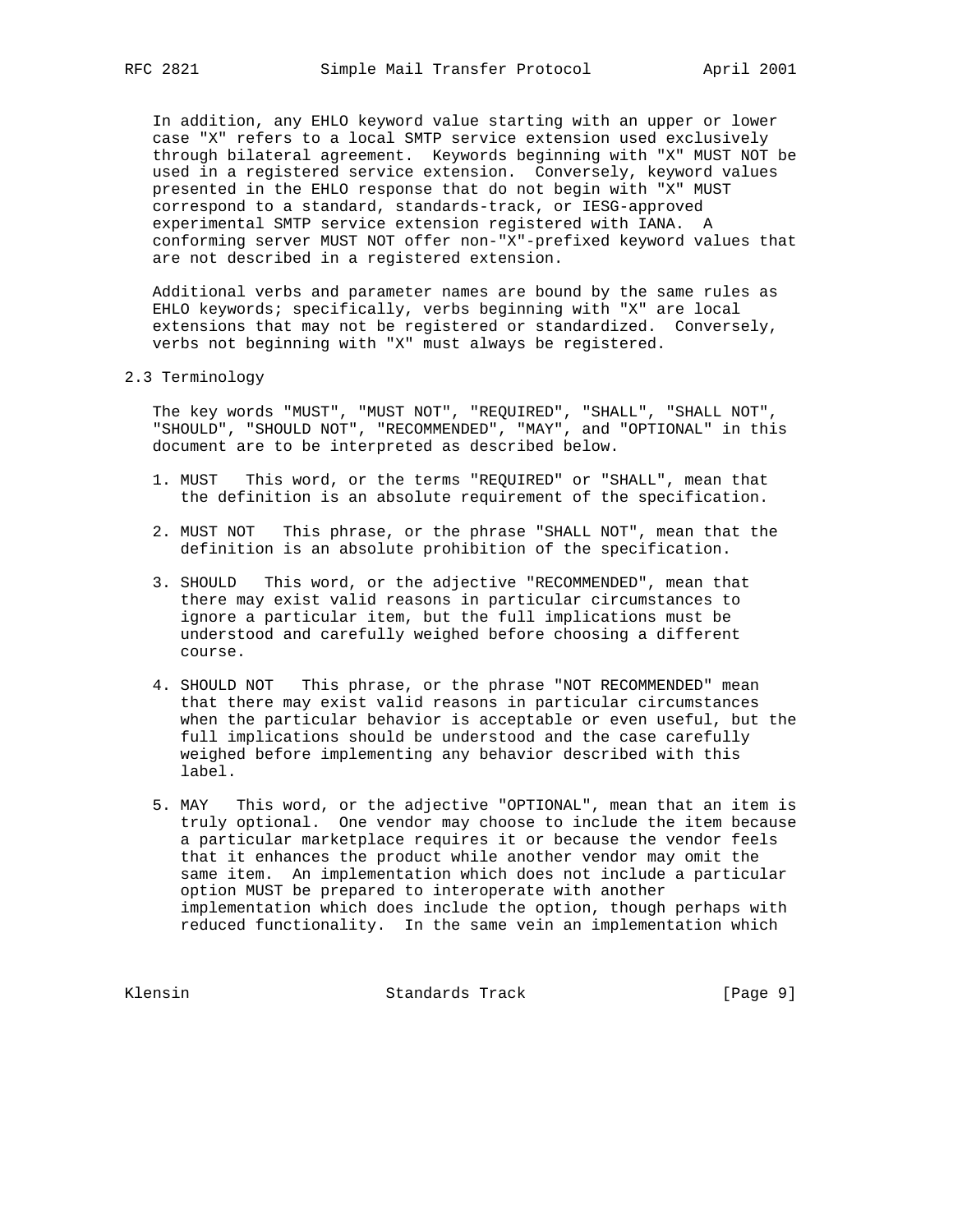In addition, any EHLO keyword value starting with an upper or lower case "X" refers to a local SMTP service extension used exclusively through bilateral agreement. Keywords beginning with "X" MUST NOT be used in a registered service extension. Conversely, keyword values presented in the EHLO response that do not begin with "X" MUST correspond to a standard, standards-track, or IESG-approved experimental SMTP service extension registered with IANA. A conforming server MUST NOT offer non-"X"-prefixed keyword values that are not described in a registered extension.

 Additional verbs and parameter names are bound by the same rules as EHLO keywords; specifically, verbs beginning with "X" are local extensions that may not be registered or standardized. Conversely, verbs not beginning with "X" must always be registered.

#### 2.3 Terminology

 The key words "MUST", "MUST NOT", "REQUIRED", "SHALL", "SHALL NOT", "SHOULD", "SHOULD NOT", "RECOMMENDED", "MAY", and "OPTIONAL" in this document are to be interpreted as described below.

- 1. MUST This word, or the terms "REQUIRED" or "SHALL", mean that the definition is an absolute requirement of the specification.
- 2. MUST NOT This phrase, or the phrase "SHALL NOT", mean that the definition is an absolute prohibition of the specification.
- 3. SHOULD This word, or the adjective "RECOMMENDED", mean that there may exist valid reasons in particular circumstances to ignore a particular item, but the full implications must be understood and carefully weighed before choosing a different course.
- 4. SHOULD NOT This phrase, or the phrase "NOT RECOMMENDED" mean that there may exist valid reasons in particular circumstances when the particular behavior is acceptable or even useful, but the full implications should be understood and the case carefully weighed before implementing any behavior described with this label.
- 5. MAY This word, or the adjective "OPTIONAL", mean that an item is truly optional. One vendor may choose to include the item because a particular marketplace requires it or because the vendor feels that it enhances the product while another vendor may omit the same item. An implementation which does not include a particular option MUST be prepared to interoperate with another implementation which does include the option, though perhaps with reduced functionality. In the same vein an implementation which

Klensin Chamber Standards Track [Page 9]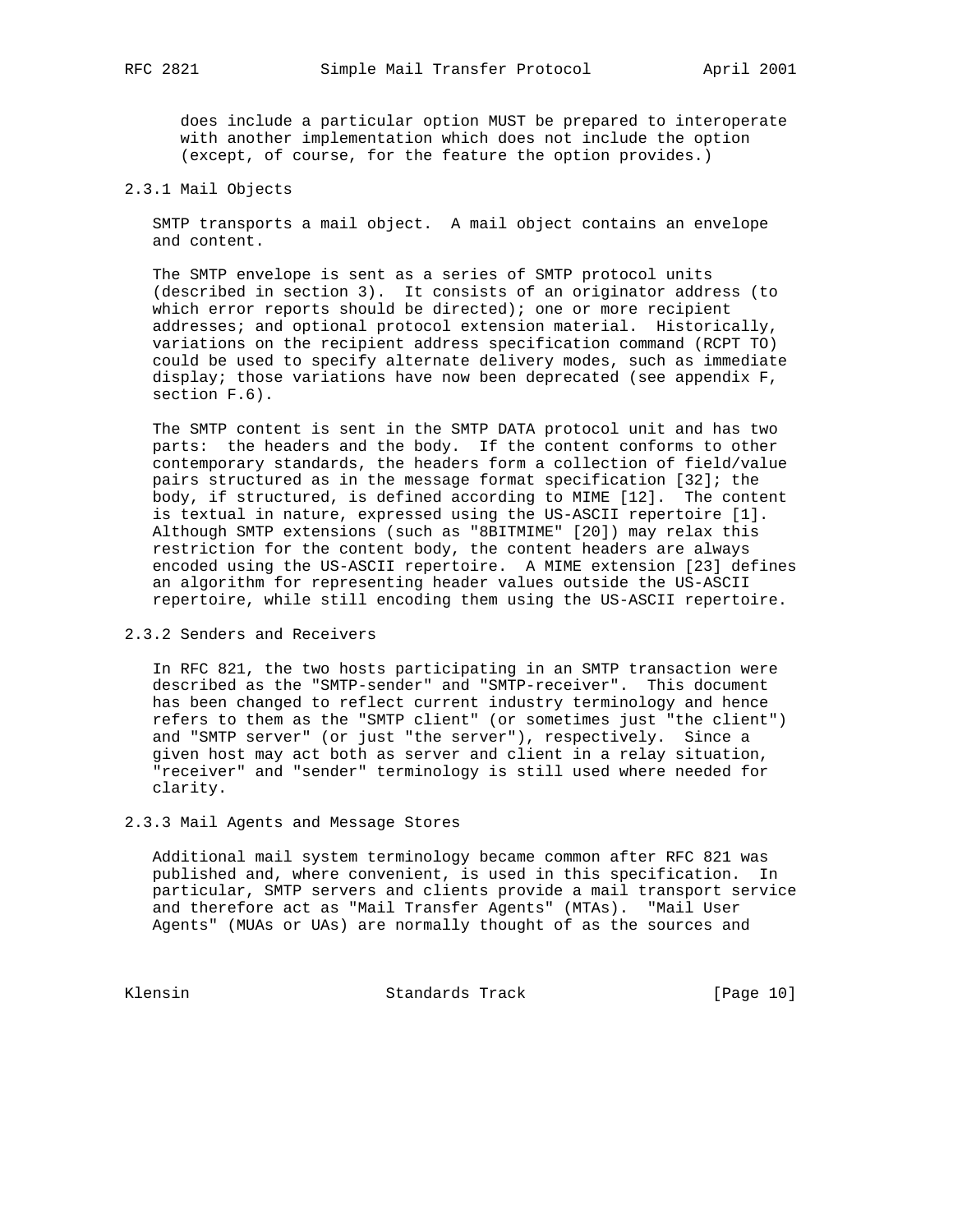does include a particular option MUST be prepared to interoperate with another implementation which does not include the option (except, of course, for the feature the option provides.)

#### 2.3.1 Mail Objects

 SMTP transports a mail object. A mail object contains an envelope and content.

 The SMTP envelope is sent as a series of SMTP protocol units (described in section 3). It consists of an originator address (to which error reports should be directed); one or more recipient addresses; and optional protocol extension material. Historically, variations on the recipient address specification command (RCPT TO) could be used to specify alternate delivery modes, such as immediate display; those variations have now been deprecated (see appendix F, section F.6).

 The SMTP content is sent in the SMTP DATA protocol unit and has two parts: the headers and the body. If the content conforms to other contemporary standards, the headers form a collection of field/value pairs structured as in the message format specification [32]; the body, if structured, is defined according to MIME [12]. The content is textual in nature, expressed using the US-ASCII repertoire [1]. Although SMTP extensions (such as "8BITMIME" [20]) may relax this restriction for the content body, the content headers are always encoded using the US-ASCII repertoire. A MIME extension [23] defines an algorithm for representing header values outside the US-ASCII repertoire, while still encoding them using the US-ASCII repertoire.

2.3.2 Senders and Receivers

 In RFC 821, the two hosts participating in an SMTP transaction were described as the "SMTP-sender" and "SMTP-receiver". This document has been changed to reflect current industry terminology and hence refers to them as the "SMTP client" (or sometimes just "the client") and "SMTP server" (or just "the server"), respectively. Since a given host may act both as server and client in a relay situation, "receiver" and "sender" terminology is still used where needed for clarity.

2.3.3 Mail Agents and Message Stores

 Additional mail system terminology became common after RFC 821 was published and, where convenient, is used in this specification. In particular, SMTP servers and clients provide a mail transport service and therefore act as "Mail Transfer Agents" (MTAs). "Mail User Agents" (MUAs or UAs) are normally thought of as the sources and

Klensin Chamber Standards Track [Page 10]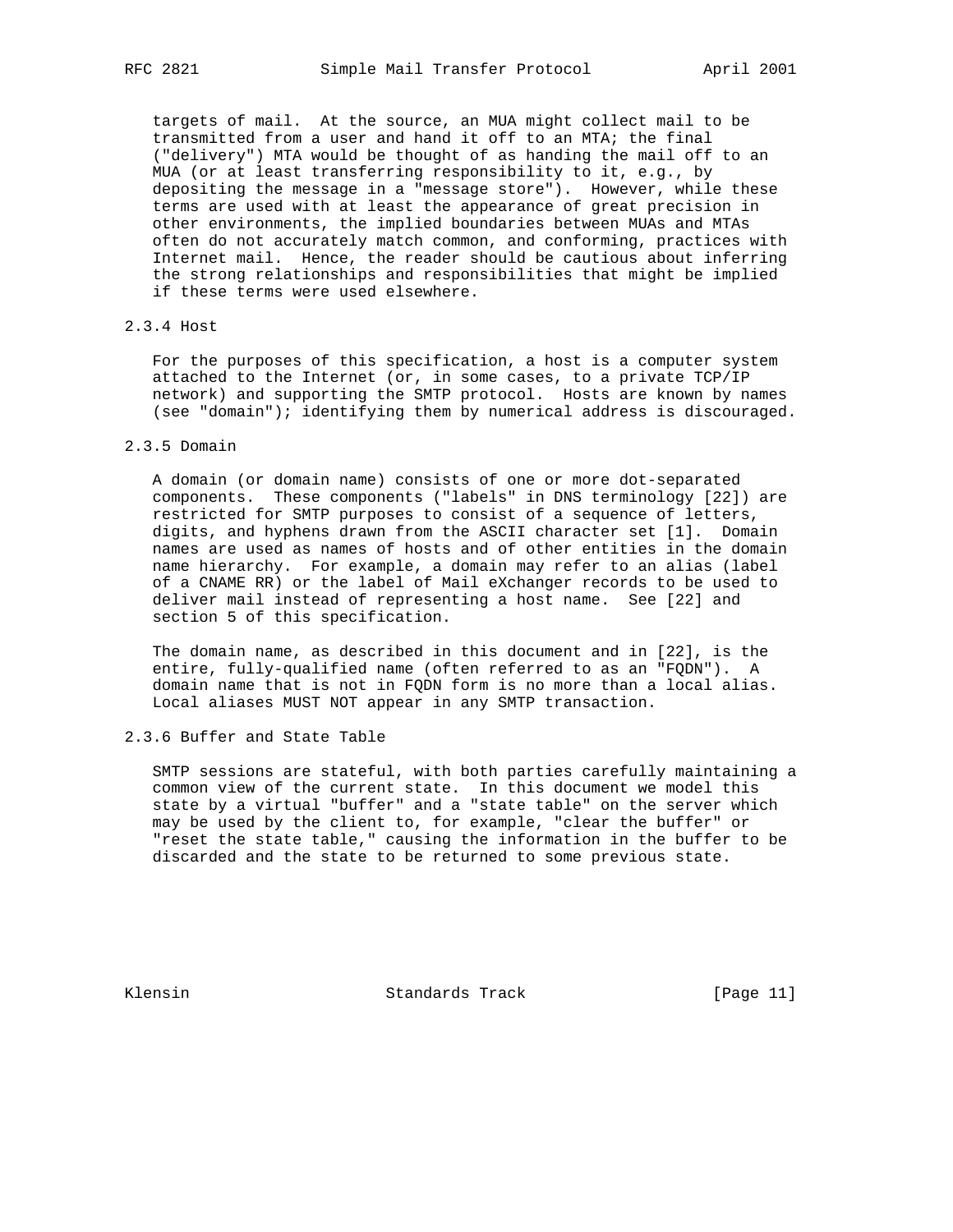targets of mail. At the source, an MUA might collect mail to be transmitted from a user and hand it off to an MTA; the final ("delivery") MTA would be thought of as handing the mail off to an MUA (or at least transferring responsibility to it, e.g., by depositing the message in a "message store"). However, while these terms are used with at least the appearance of great precision in other environments, the implied boundaries between MUAs and MTAs often do not accurately match common, and conforming, practices with Internet mail. Hence, the reader should be cautious about inferring the strong relationships and responsibilities that might be implied if these terms were used elsewhere.

#### 2.3.4 Host

 For the purposes of this specification, a host is a computer system attached to the Internet (or, in some cases, to a private TCP/IP network) and supporting the SMTP protocol. Hosts are known by names (see "domain"); identifying them by numerical address is discouraged.

#### 2.3.5 Domain

 A domain (or domain name) consists of one or more dot-separated components. These components ("labels" in DNS terminology [22]) are restricted for SMTP purposes to consist of a sequence of letters, digits, and hyphens drawn from the ASCII character set [1]. Domain names are used as names of hosts and of other entities in the domain name hierarchy. For example, a domain may refer to an alias (label of a CNAME RR) or the label of Mail eXchanger records to be used to deliver mail instead of representing a host name. See [22] and section 5 of this specification.

 The domain name, as described in this document and in [22], is the entire, fully-qualified name (often referred to as an "FQDN"). A domain name that is not in FQDN form is no more than a local alias. Local aliases MUST NOT appear in any SMTP transaction.

## 2.3.6 Buffer and State Table

 SMTP sessions are stateful, with both parties carefully maintaining a common view of the current state. In this document we model this state by a virtual "buffer" and a "state table" on the server which may be used by the client to, for example, "clear the buffer" or "reset the state table," causing the information in the buffer to be discarded and the state to be returned to some previous state.

Klensin Chamber Standards Track [Page 11]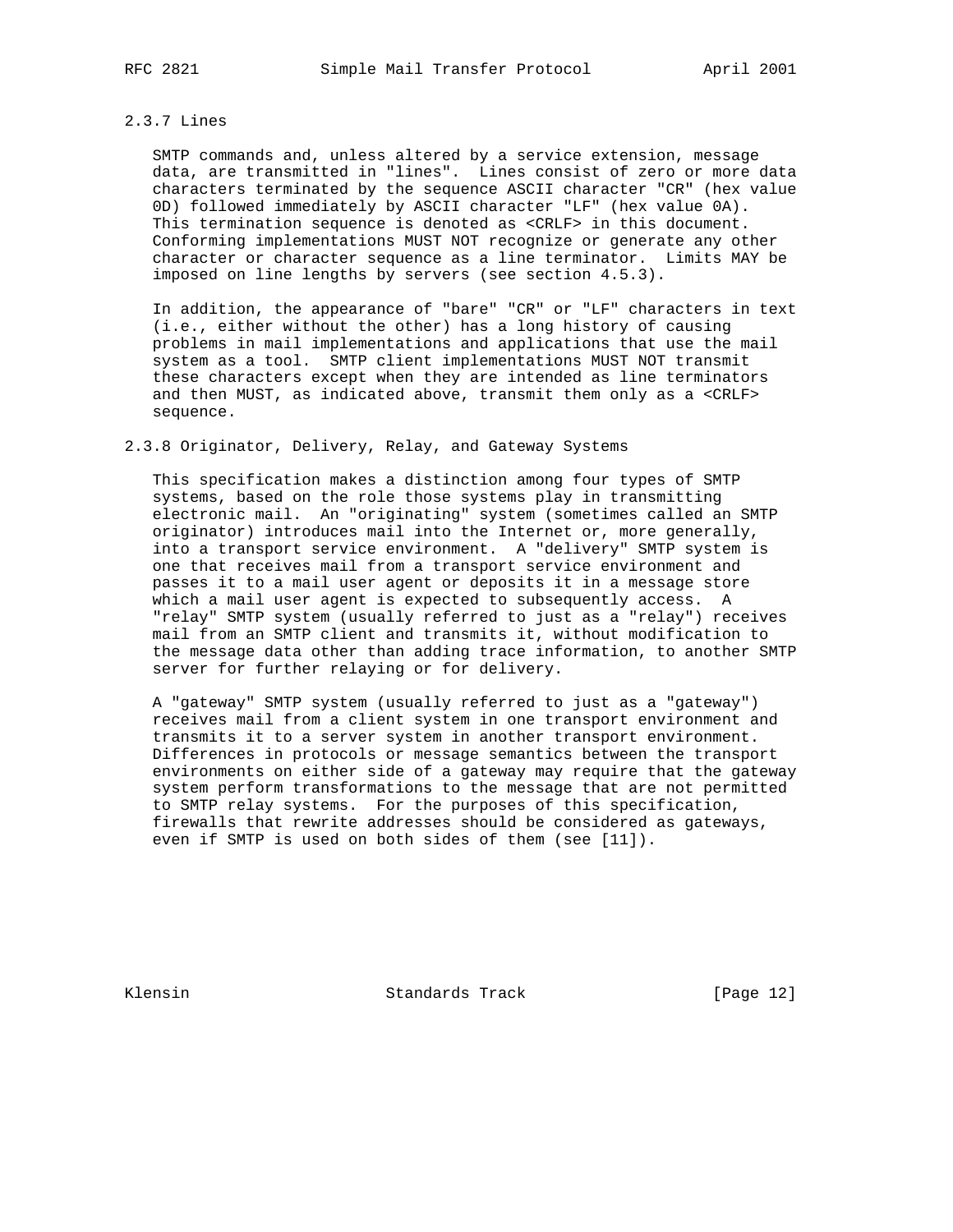#### 2.3.7 Lines

 SMTP commands and, unless altered by a service extension, message data, are transmitted in "lines". Lines consist of zero or more data characters terminated by the sequence ASCII character "CR" (hex value 0D) followed immediately by ASCII character "LF" (hex value 0A). This termination sequence is denoted as <CRLF> in this document. Conforming implementations MUST NOT recognize or generate any other character or character sequence as a line terminator. Limits MAY be imposed on line lengths by servers (see section 4.5.3).

 In addition, the appearance of "bare" "CR" or "LF" characters in text (i.e., either without the other) has a long history of causing problems in mail implementations and applications that use the mail system as a tool. SMTP client implementations MUST NOT transmit these characters except when they are intended as line terminators and then MUST, as indicated above, transmit them only as a <CRLF> sequence.

#### 2.3.8 Originator, Delivery, Relay, and Gateway Systems

 This specification makes a distinction among four types of SMTP systems, based on the role those systems play in transmitting electronic mail. An "originating" system (sometimes called an SMTP originator) introduces mail into the Internet or, more generally, into a transport service environment. A "delivery" SMTP system is one that receives mail from a transport service environment and passes it to a mail user agent or deposits it in a message store which a mail user agent is expected to subsequently access. A "relay" SMTP system (usually referred to just as a "relay") receives mail from an SMTP client and transmits it, without modification to the message data other than adding trace information, to another SMTP server for further relaying or for delivery.

 A "gateway" SMTP system (usually referred to just as a "gateway") receives mail from a client system in one transport environment and transmits it to a server system in another transport environment. Differences in protocols or message semantics between the transport environments on either side of a gateway may require that the gateway system perform transformations to the message that are not permitted to SMTP relay systems. For the purposes of this specification, firewalls that rewrite addresses should be considered as gateways, even if SMTP is used on both sides of them (see [11]).

Klensin Chamber Standards Track [Page 12]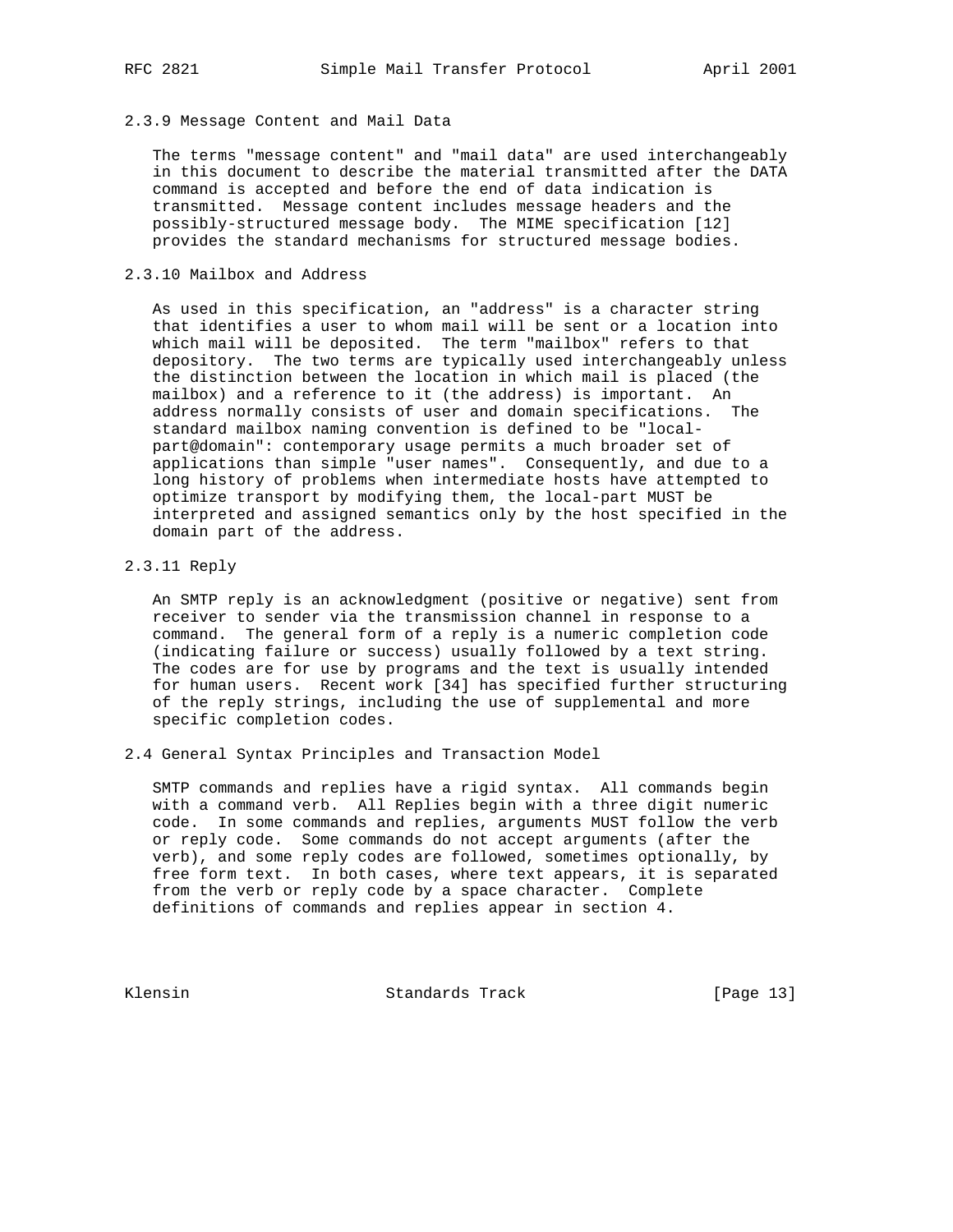# 2.3.9 Message Content and Mail Data

 The terms "message content" and "mail data" are used interchangeably in this document to describe the material transmitted after the DATA command is accepted and before the end of data indication is transmitted. Message content includes message headers and the possibly-structured message body. The MIME specification [12] provides the standard mechanisms for structured message bodies.

## 2.3.10 Mailbox and Address

 As used in this specification, an "address" is a character string that identifies a user to whom mail will be sent or a location into which mail will be deposited. The term "mailbox" refers to that depository. The two terms are typically used interchangeably unless the distinction between the location in which mail is placed (the mailbox) and a reference to it (the address) is important. An address normally consists of user and domain specifications. The standard mailbox naming convention is defined to be "local part@domain": contemporary usage permits a much broader set of applications than simple "user names". Consequently, and due to a long history of problems when intermediate hosts have attempted to optimize transport by modifying them, the local-part MUST be interpreted and assigned semantics only by the host specified in the domain part of the address.

# 2.3.11 Reply

 An SMTP reply is an acknowledgment (positive or negative) sent from receiver to sender via the transmission channel in response to a command. The general form of a reply is a numeric completion code (indicating failure or success) usually followed by a text string. The codes are for use by programs and the text is usually intended for human users. Recent work [34] has specified further structuring of the reply strings, including the use of supplemental and more specific completion codes.

2.4 General Syntax Principles and Transaction Model

 SMTP commands and replies have a rigid syntax. All commands begin with a command verb. All Replies begin with a three digit numeric code. In some commands and replies, arguments MUST follow the verb or reply code. Some commands do not accept arguments (after the verb), and some reply codes are followed, sometimes optionally, by free form text. In both cases, where text appears, it is separated from the verb or reply code by a space character. Complete definitions of commands and replies appear in section 4.

Klensin Chamber Standards Track [Page 13]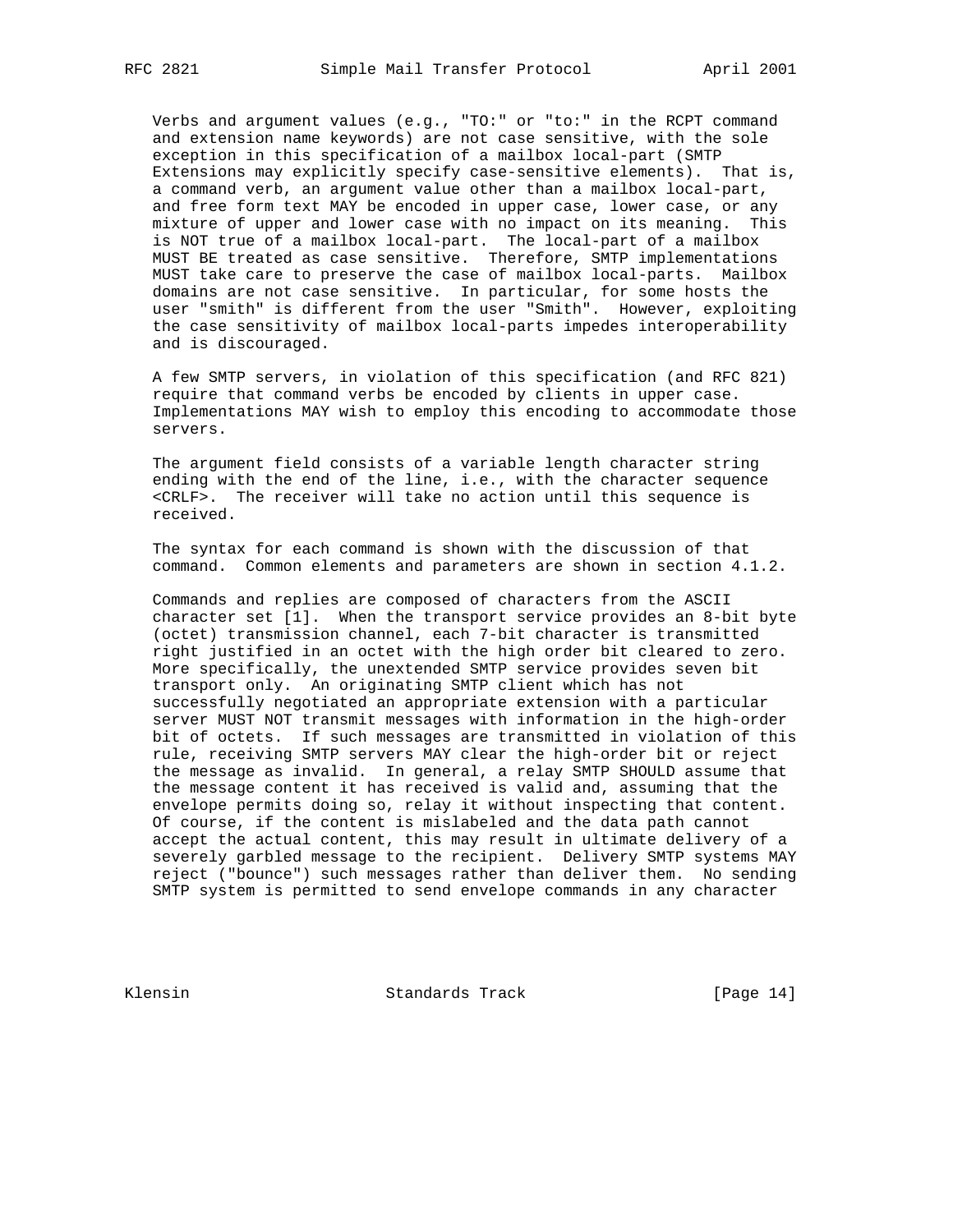Verbs and argument values (e.g., "TO:" or "to:" in the RCPT command and extension name keywords) are not case sensitive, with the sole exception in this specification of a mailbox local-part (SMTP Extensions may explicitly specify case-sensitive elements). That is, a command verb, an argument value other than a mailbox local-part, and free form text MAY be encoded in upper case, lower case, or any mixture of upper and lower case with no impact on its meaning. This is NOT true of a mailbox local-part. The local-part of a mailbox MUST BE treated as case sensitive. Therefore, SMTP implementations MUST take care to preserve the case of mailbox local-parts. Mailbox domains are not case sensitive. In particular, for some hosts the user "smith" is different from the user "Smith". However, exploiting the case sensitivity of mailbox local-parts impedes interoperability and is discouraged.

 A few SMTP servers, in violation of this specification (and RFC 821) require that command verbs be encoded by clients in upper case. Implementations MAY wish to employ this encoding to accommodate those servers.

 The argument field consists of a variable length character string ending with the end of the line, i.e., with the character sequence <CRLF>. The receiver will take no action until this sequence is received.

 The syntax for each command is shown with the discussion of that command. Common elements and parameters are shown in section 4.1.2.

 Commands and replies are composed of characters from the ASCII character set [1]. When the transport service provides an 8-bit byte (octet) transmission channel, each 7-bit character is transmitted right justified in an octet with the high order bit cleared to zero. More specifically, the unextended SMTP service provides seven bit transport only. An originating SMTP client which has not successfully negotiated an appropriate extension with a particular server MUST NOT transmit messages with information in the high-order bit of octets. If such messages are transmitted in violation of this rule, receiving SMTP servers MAY clear the high-order bit or reject the message as invalid. In general, a relay SMTP SHOULD assume that the message content it has received is valid and, assuming that the envelope permits doing so, relay it without inspecting that content. Of course, if the content is mislabeled and the data path cannot accept the actual content, this may result in ultimate delivery of a severely garbled message to the recipient. Delivery SMTP systems MAY reject ("bounce") such messages rather than deliver them. No sending SMTP system is permitted to send envelope commands in any character

Klensin Standards Track [Page 14]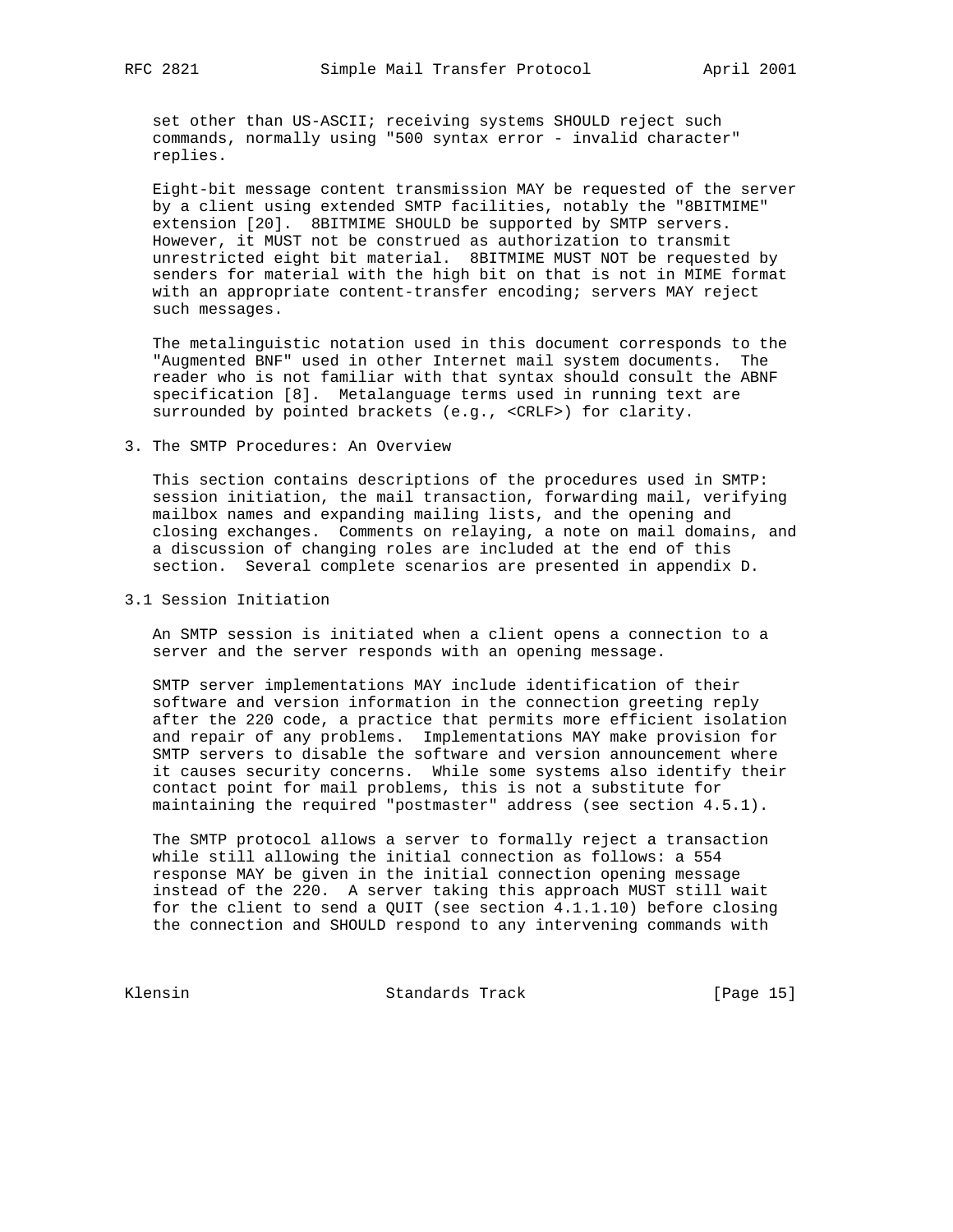set other than US-ASCII; receiving systems SHOULD reject such commands, normally using "500 syntax error - invalid character" replies.

 Eight-bit message content transmission MAY be requested of the server by a client using extended SMTP facilities, notably the "8BITMIME" extension [20]. 8BITMIME SHOULD be supported by SMTP servers. However, it MUST not be construed as authorization to transmit unrestricted eight bit material. 8BITMIME MUST NOT be requested by senders for material with the high bit on that is not in MIME format with an appropriate content-transfer encoding; servers MAY reject such messages.

 The metalinguistic notation used in this document corresponds to the "Augmented BNF" used in other Internet mail system documents. The reader who is not familiar with that syntax should consult the ABNF specification [8]. Metalanguage terms used in running text are surrounded by pointed brackets (e.g., <CRLF>) for clarity.

3. The SMTP Procedures: An Overview

 This section contains descriptions of the procedures used in SMTP: session initiation, the mail transaction, forwarding mail, verifying mailbox names and expanding mailing lists, and the opening and closing exchanges. Comments on relaying, a note on mail domains, and a discussion of changing roles are included at the end of this section. Several complete scenarios are presented in appendix D.

3.1 Session Initiation

 An SMTP session is initiated when a client opens a connection to a server and the server responds with an opening message.

 SMTP server implementations MAY include identification of their software and version information in the connection greeting reply after the 220 code, a practice that permits more efficient isolation and repair of any problems. Implementations MAY make provision for SMTP servers to disable the software and version announcement where it causes security concerns. While some systems also identify their contact point for mail problems, this is not a substitute for maintaining the required "postmaster" address (see section 4.5.1).

 The SMTP protocol allows a server to formally reject a transaction while still allowing the initial connection as follows: a 554 response MAY be given in the initial connection opening message instead of the 220. A server taking this approach MUST still wait for the client to send a QUIT (see section 4.1.1.10) before closing the connection and SHOULD respond to any intervening commands with

Klensin Chamber Standards Track [Page 15]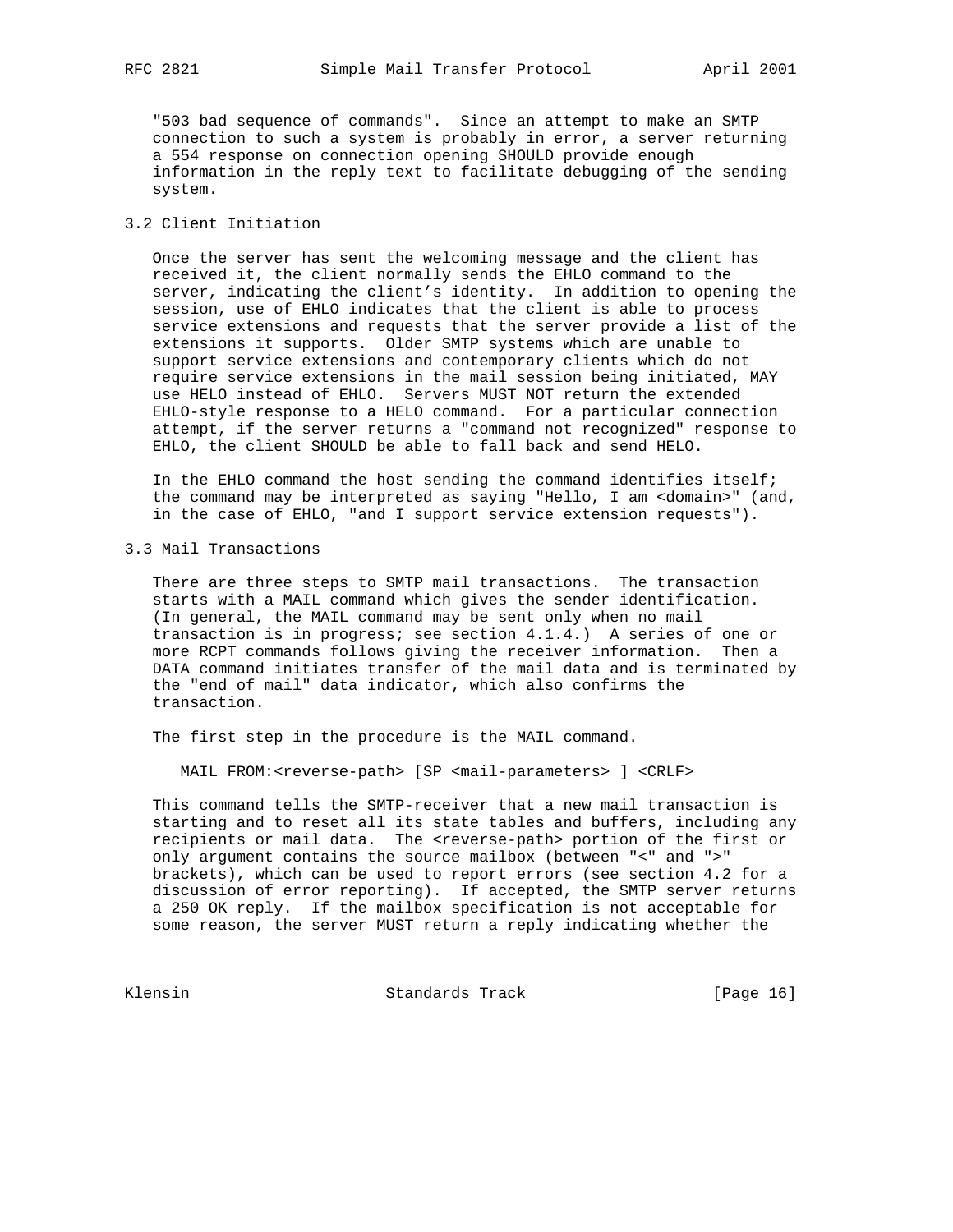"503 bad sequence of commands". Since an attempt to make an SMTP connection to such a system is probably in error, a server returning a 554 response on connection opening SHOULD provide enough information in the reply text to facilitate debugging of the sending system.

## 3.2 Client Initiation

 Once the server has sent the welcoming message and the client has received it, the client normally sends the EHLO command to the server, indicating the client's identity. In addition to opening the session, use of EHLO indicates that the client is able to process service extensions and requests that the server provide a list of the extensions it supports. Older SMTP systems which are unable to support service extensions and contemporary clients which do not require service extensions in the mail session being initiated, MAY use HELO instead of EHLO. Servers MUST NOT return the extended EHLO-style response to a HELO command. For a particular connection attempt, if the server returns a "command not recognized" response to EHLO, the client SHOULD be able to fall back and send HELO.

 In the EHLO command the host sending the command identifies itself; the command may be interpreted as saying "Hello, I am <domain>" (and, in the case of EHLO, "and I support service extension requests").

3.3 Mail Transactions

 There are three steps to SMTP mail transactions. The transaction starts with a MAIL command which gives the sender identification. (In general, the MAIL command may be sent only when no mail transaction is in progress; see section 4.1.4.) A series of one or more RCPT commands follows giving the receiver information. Then a DATA command initiates transfer of the mail data and is terminated by the "end of mail" data indicator, which also confirms the transaction.

The first step in the procedure is the MAIL command.

MAIL FROM:<reverse-path> [SP <mail-parameters> ] <CRLF>

 This command tells the SMTP-receiver that a new mail transaction is starting and to reset all its state tables and buffers, including any recipients or mail data. The <reverse-path> portion of the first or only argument contains the source mailbox (between "<" and ">" brackets), which can be used to report errors (see section 4.2 for a discussion of error reporting). If accepted, the SMTP server returns a 250 OK reply. If the mailbox specification is not acceptable for some reason, the server MUST return a reply indicating whether the

Klensin Chamber Standards Track [Page 16]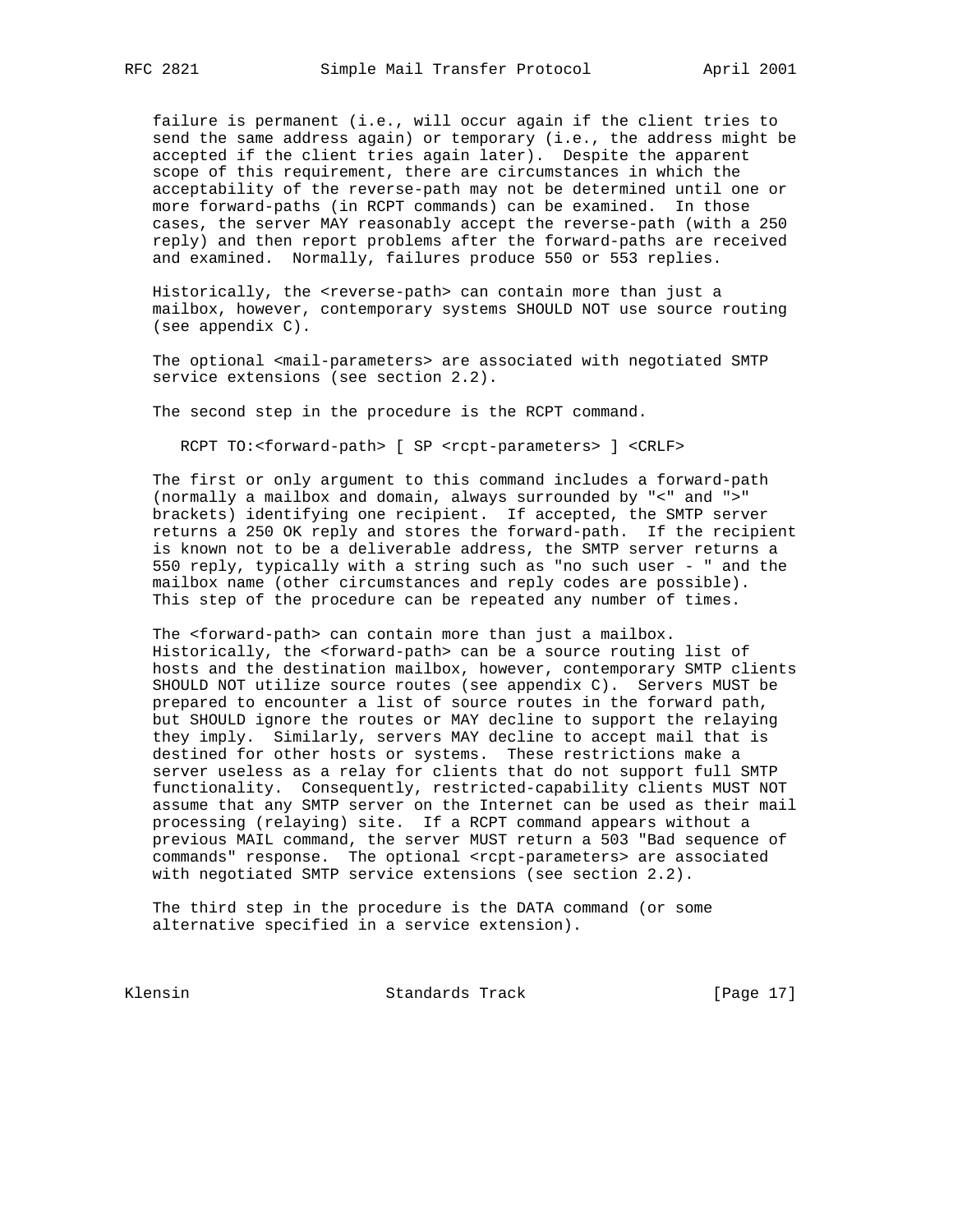failure is permanent (i.e., will occur again if the client tries to send the same address again) or temporary (i.e., the address might be accepted if the client tries again later). Despite the apparent scope of this requirement, there are circumstances in which the acceptability of the reverse-path may not be determined until one or more forward-paths (in RCPT commands) can be examined. In those cases, the server MAY reasonably accept the reverse-path (with a 250 reply) and then report problems after the forward-paths are received and examined. Normally, failures produce 550 or 553 replies.

 Historically, the <reverse-path> can contain more than just a mailbox, however, contemporary systems SHOULD NOT use source routing (see appendix C).

 The optional <mail-parameters> are associated with negotiated SMTP service extensions (see section 2.2).

The second step in the procedure is the RCPT command.

RCPT TO:<forward-path> [ SP <rcpt-parameters> ] <CRLF>

 The first or only argument to this command includes a forward-path (normally a mailbox and domain, always surrounded by "<" and ">" brackets) identifying one recipient. If accepted, the SMTP server returns a 250 OK reply and stores the forward-path. If the recipient is known not to be a deliverable address, the SMTP server returns a 550 reply, typically with a string such as "no such user - " and the mailbox name (other circumstances and reply codes are possible). This step of the procedure can be repeated any number of times.

 The <forward-path> can contain more than just a mailbox. Historically, the <forward-path> can be a source routing list of hosts and the destination mailbox, however, contemporary SMTP clients SHOULD NOT utilize source routes (see appendix C). Servers MUST be prepared to encounter a list of source routes in the forward path, but SHOULD ignore the routes or MAY decline to support the relaying they imply. Similarly, servers MAY decline to accept mail that is destined for other hosts or systems. These restrictions make a server useless as a relay for clients that do not support full SMTP functionality. Consequently, restricted-capability clients MUST NOT assume that any SMTP server on the Internet can be used as their mail processing (relaying) site. If a RCPT command appears without a previous MAIL command, the server MUST return a 503 "Bad sequence of commands" response. The optional <rcpt-parameters> are associated with negotiated SMTP service extensions (see section 2.2).

 The third step in the procedure is the DATA command (or some alternative specified in a service extension).

Klensin Chamber Standards Track [Page 17]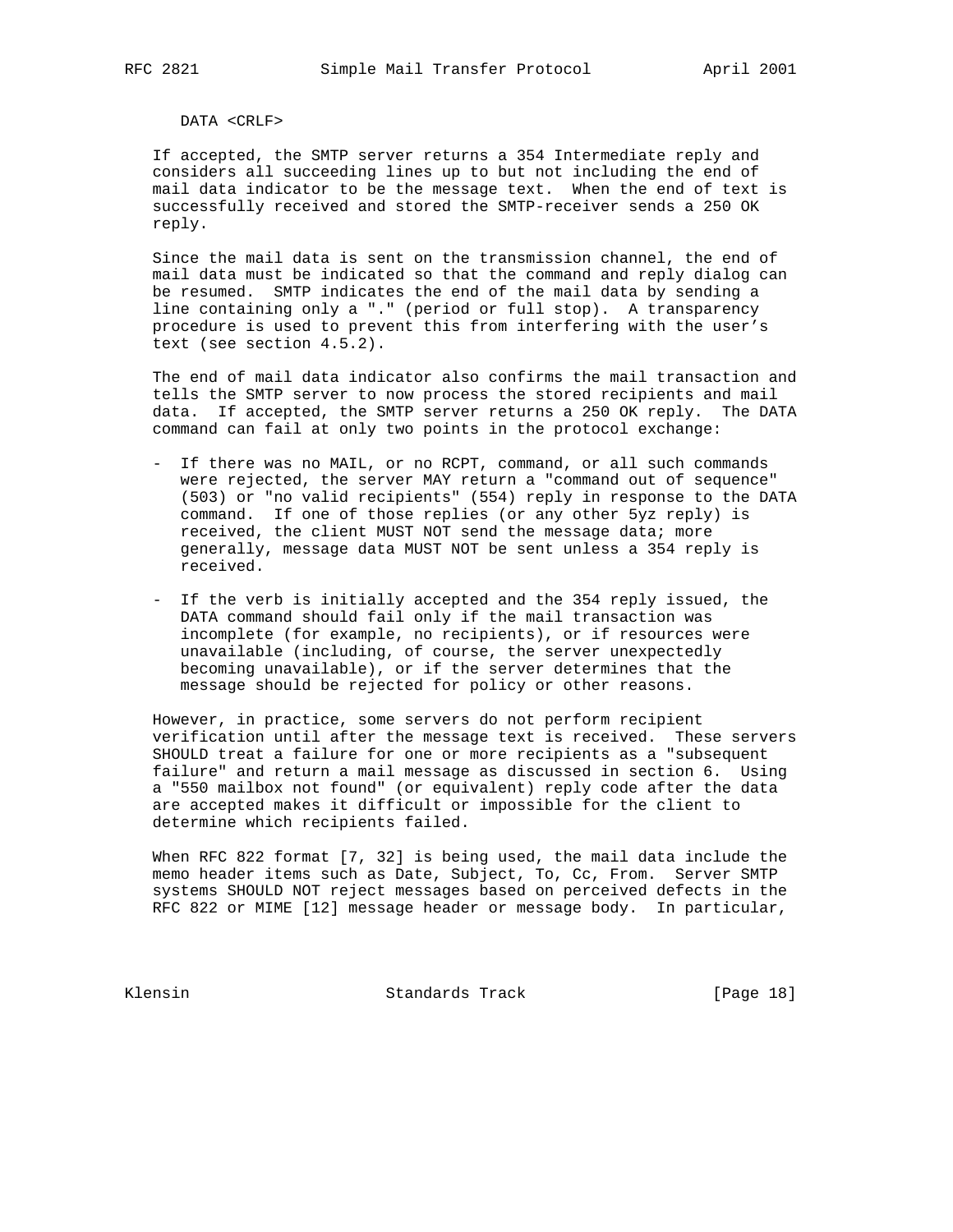## DATA <CRLF>

 If accepted, the SMTP server returns a 354 Intermediate reply and considers all succeeding lines up to but not including the end of mail data indicator to be the message text. When the end of text is successfully received and stored the SMTP-receiver sends a 250 OK reply.

 Since the mail data is sent on the transmission channel, the end of mail data must be indicated so that the command and reply dialog can be resumed. SMTP indicates the end of the mail data by sending a line containing only a "." (period or full stop). A transparency procedure is used to prevent this from interfering with the user's text (see section 4.5.2).

 The end of mail data indicator also confirms the mail transaction and tells the SMTP server to now process the stored recipients and mail data. If accepted, the SMTP server returns a 250 OK reply. The DATA command can fail at only two points in the protocol exchange:

- If there was no MAIL, or no RCPT, command, or all such commands were rejected, the server MAY return a "command out of sequence" (503) or "no valid recipients" (554) reply in response to the DATA command. If one of those replies (or any other 5yz reply) is received, the client MUST NOT send the message data; more generally, message data MUST NOT be sent unless a 354 reply is received.
- If the verb is initially accepted and the 354 reply issued, the DATA command should fail only if the mail transaction was incomplete (for example, no recipients), or if resources were unavailable (including, of course, the server unexpectedly becoming unavailable), or if the server determines that the message should be rejected for policy or other reasons.

 However, in practice, some servers do not perform recipient verification until after the message text is received. These servers SHOULD treat a failure for one or more recipients as a "subsequent failure" and return a mail message as discussed in section 6. Using a "550 mailbox not found" (or equivalent) reply code after the data are accepted makes it difficult or impossible for the client to determine which recipients failed.

 When RFC 822 format [7, 32] is being used, the mail data include the memo header items such as Date, Subject, To, Cc, From. Server SMTP systems SHOULD NOT reject messages based on perceived defects in the RFC 822 or MIME [12] message header or message body. In particular,

Klensin Chamber Standards Track [Page 18]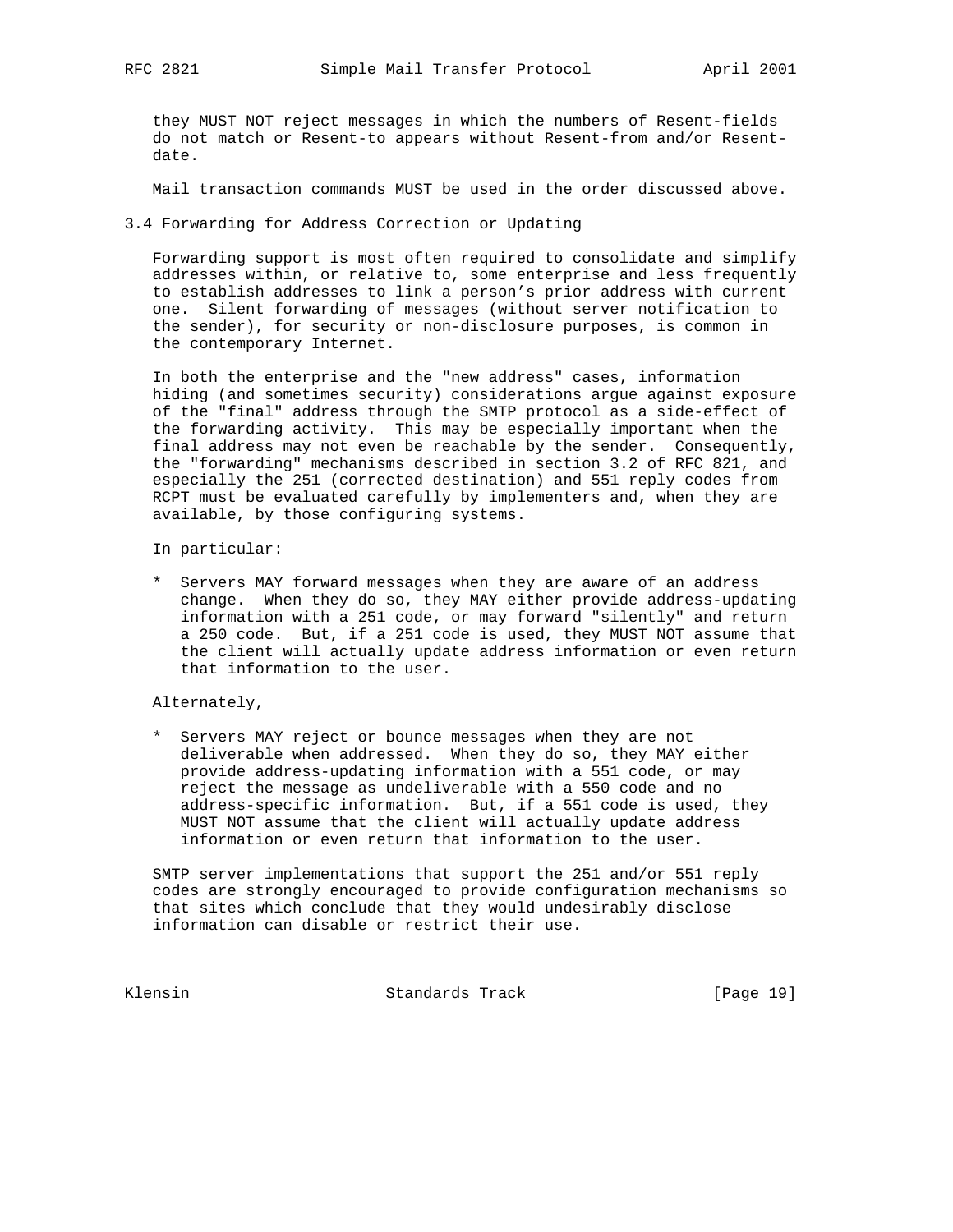they MUST NOT reject messages in which the numbers of Resent-fields do not match or Resent-to appears without Resent-from and/or Resent date.

Mail transaction commands MUST be used in the order discussed above.

3.4 Forwarding for Address Correction or Updating

 Forwarding support is most often required to consolidate and simplify addresses within, or relative to, some enterprise and less frequently to establish addresses to link a person's prior address with current one. Silent forwarding of messages (without server notification to the sender), for security or non-disclosure purposes, is common in the contemporary Internet.

 In both the enterprise and the "new address" cases, information hiding (and sometimes security) considerations argue against exposure of the "final" address through the SMTP protocol as a side-effect of the forwarding activity. This may be especially important when the final address may not even be reachable by the sender. Consequently, the "forwarding" mechanisms described in section 3.2 of RFC 821, and especially the 251 (corrected destination) and 551 reply codes from RCPT must be evaluated carefully by implementers and, when they are available, by those configuring systems.

In particular:

 \* Servers MAY forward messages when they are aware of an address change. When they do so, they MAY either provide address-updating information with a 251 code, or may forward "silently" and return a 250 code. But, if a 251 code is used, they MUST NOT assume that the client will actually update address information or even return that information to the user.

Alternately,

 \* Servers MAY reject or bounce messages when they are not deliverable when addressed. When they do so, they MAY either provide address-updating information with a 551 code, or may reject the message as undeliverable with a 550 code and no address-specific information. But, if a 551 code is used, they MUST NOT assume that the client will actually update address information or even return that information to the user.

 SMTP server implementations that support the 251 and/or 551 reply codes are strongly encouraged to provide configuration mechanisms so that sites which conclude that they would undesirably disclose information can disable or restrict their use.

Klensin Chamber Standards Track [Page 19]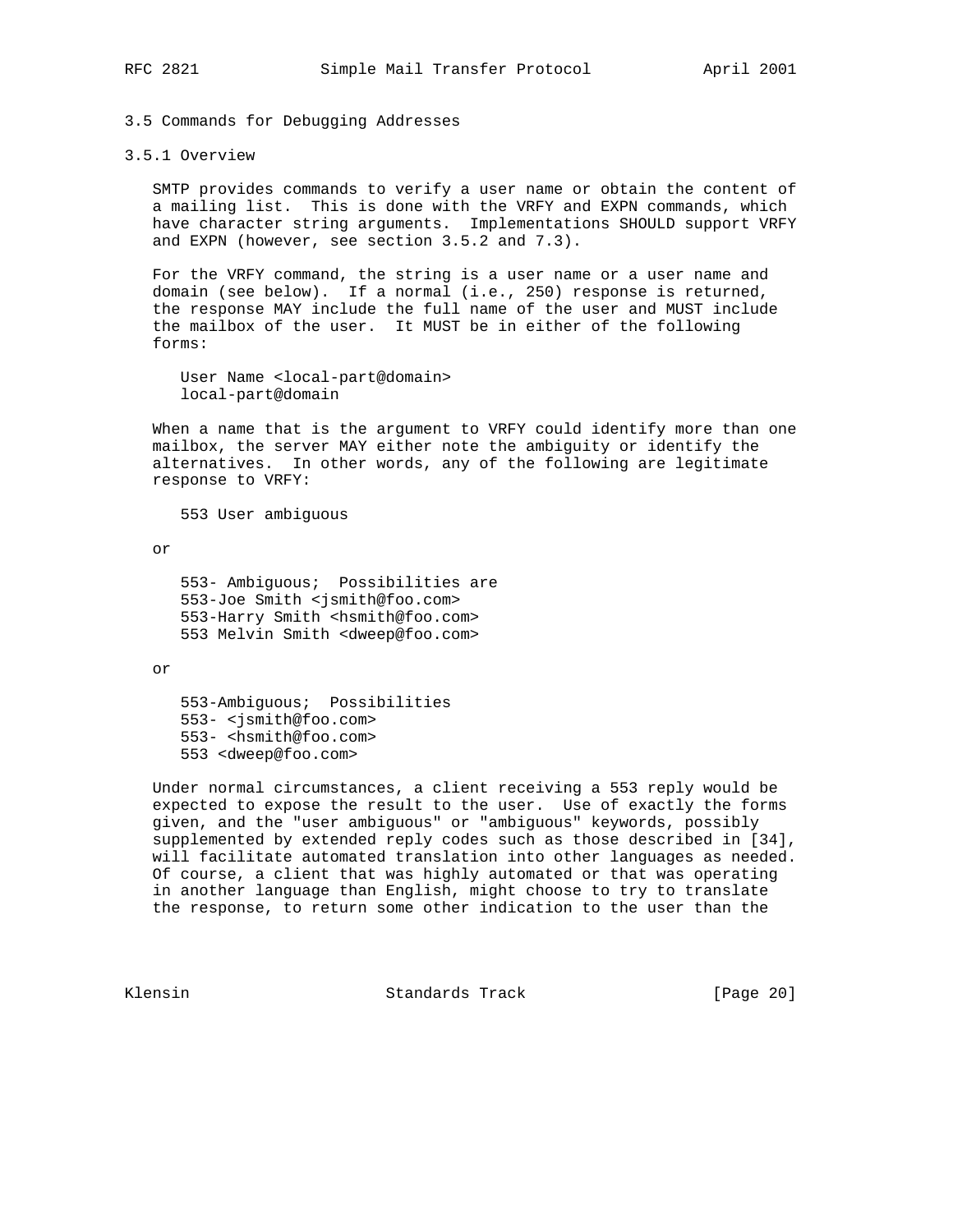3.5 Commands for Debugging Addresses

3.5.1 Overview

 SMTP provides commands to verify a user name or obtain the content of a mailing list. This is done with the VRFY and EXPN commands, which have character string arguments. Implementations SHOULD support VRFY and EXPN (however, see section 3.5.2 and 7.3).

 For the VRFY command, the string is a user name or a user name and domain (see below). If a normal (i.e., 250) response is returned, the response MAY include the full name of the user and MUST include the mailbox of the user. It MUST be in either of the following forms:

 User Name <local-part@domain> local-part@domain

 When a name that is the argument to VRFY could identify more than one mailbox, the server MAY either note the ambiguity or identify the alternatives. In other words, any of the following are legitimate response to VRFY:

553 User ambiguous

or

 553- Ambiguous; Possibilities are 553-Joe Smith <jsmith@foo.com> 553-Harry Smith <hsmith@foo.com> 553 Melvin Smith <dweep@foo.com>

or

 553-Ambiguous; Possibilities 553- <jsmith@foo.com> 553- <hsmith@foo.com> 553 <dweep@foo.com>

 Under normal circumstances, a client receiving a 553 reply would be expected to expose the result to the user. Use of exactly the forms given, and the "user ambiguous" or "ambiguous" keywords, possibly supplemented by extended reply codes such as those described in [34], will facilitate automated translation into other languages as needed. Of course, a client that was highly automated or that was operating in another language than English, might choose to try to translate the response, to return some other indication to the user than the

Klensin Chamber Standards Track [Page 20]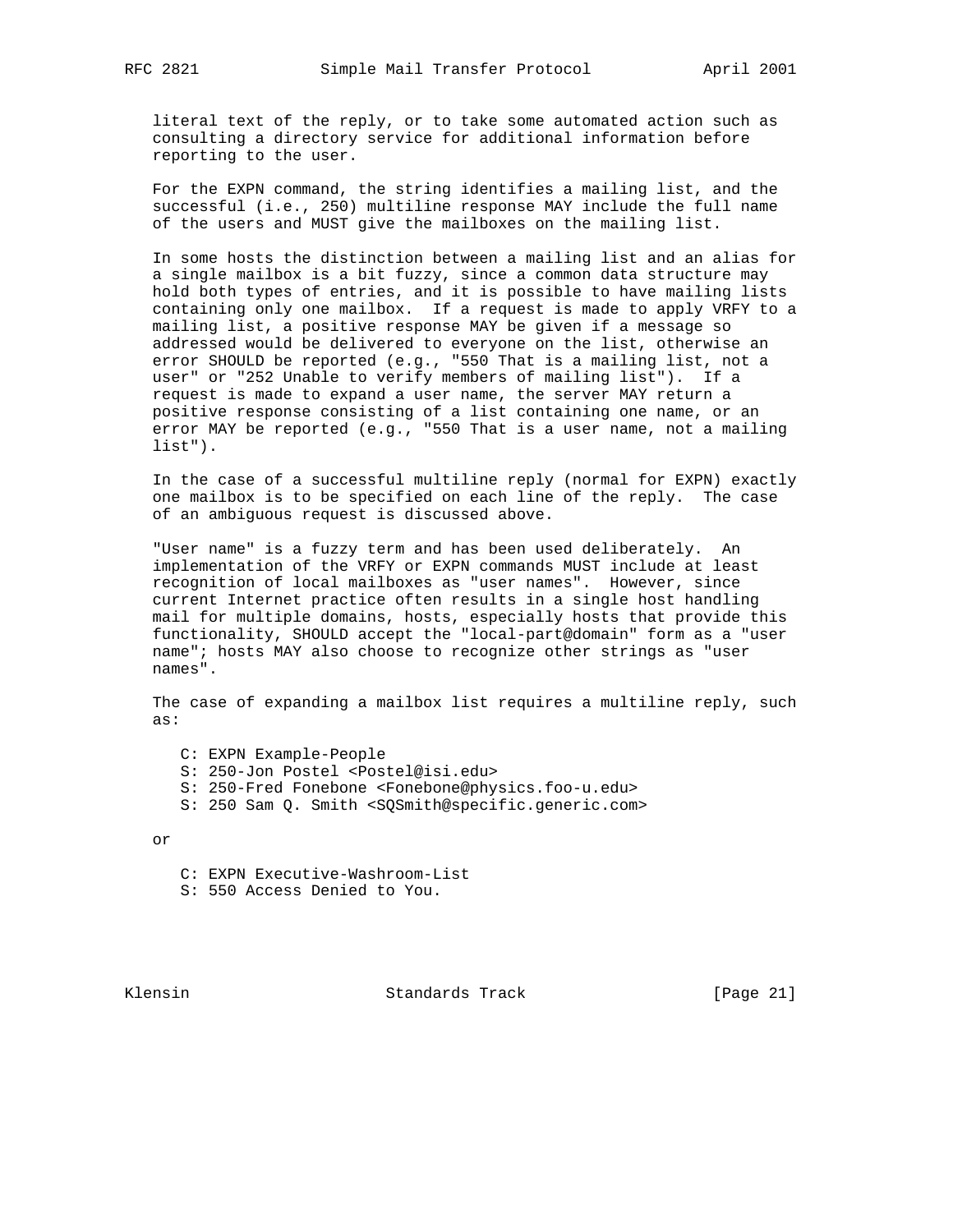literal text of the reply, or to take some automated action such as consulting a directory service for additional information before reporting to the user.

 For the EXPN command, the string identifies a mailing list, and the successful (i.e., 250) multiline response MAY include the full name of the users and MUST give the mailboxes on the mailing list.

 In some hosts the distinction between a mailing list and an alias for a single mailbox is a bit fuzzy, since a common data structure may hold both types of entries, and it is possible to have mailing lists containing only one mailbox. If a request is made to apply VRFY to a mailing list, a positive response MAY be given if a message so addressed would be delivered to everyone on the list, otherwise an error SHOULD be reported (e.g., "550 That is a mailing list, not a user" or "252 Unable to verify members of mailing list"). If a request is made to expand a user name, the server MAY return a positive response consisting of a list containing one name, or an error MAY be reported (e.g., "550 That is a user name, not a mailing list").

 In the case of a successful multiline reply (normal for EXPN) exactly one mailbox is to be specified on each line of the reply. The case of an ambiguous request is discussed above.

 "User name" is a fuzzy term and has been used deliberately. An implementation of the VRFY or EXPN commands MUST include at least recognition of local mailboxes as "user names". However, since current Internet practice often results in a single host handling mail for multiple domains, hosts, especially hosts that provide this functionality, SHOULD accept the "local-part@domain" form as a "user name"; hosts MAY also choose to recognize other strings as "user names".

 The case of expanding a mailbox list requires a multiline reply, such as:

 C: EXPN Example-People S: 250-Jon Postel <Postel@isi.edu> S: 250-Fred Fonebone <Fonebone@physics.foo-u.edu> S: 250 Sam Q. Smith <SQSmith@specific.generic.com>

or

 C: EXPN Executive-Washroom-List S: 550 Access Denied to You.

Klensin Changel Standards Track [Page 21]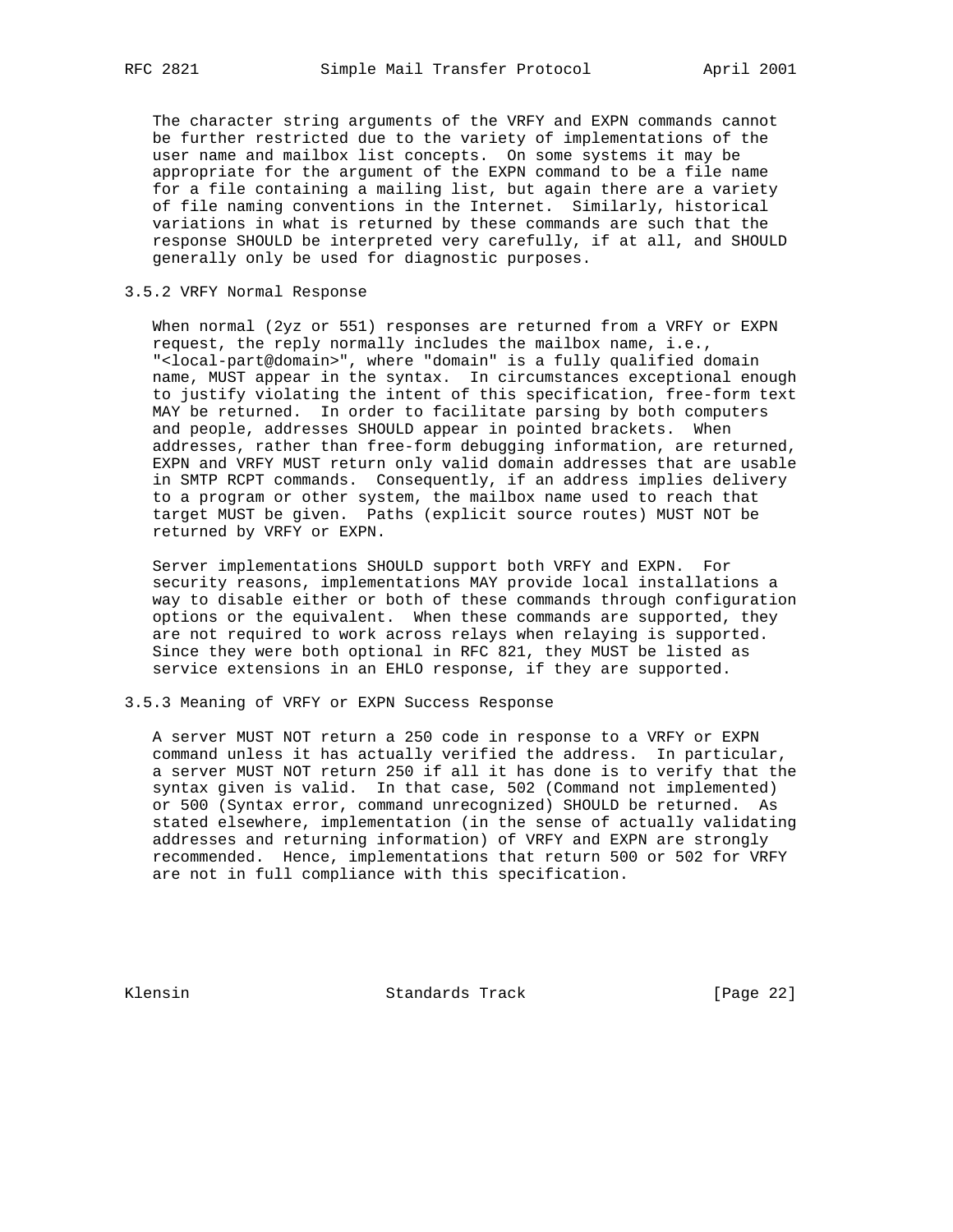The character string arguments of the VRFY and EXPN commands cannot be further restricted due to the variety of implementations of the user name and mailbox list concepts. On some systems it may be appropriate for the argument of the EXPN command to be a file name for a file containing a mailing list, but again there are a variety of file naming conventions in the Internet. Similarly, historical variations in what is returned by these commands are such that the response SHOULD be interpreted very carefully, if at all, and SHOULD generally only be used for diagnostic purposes.

## 3.5.2 VRFY Normal Response

 When normal (2yz or 551) responses are returned from a VRFY or EXPN request, the reply normally includes the mailbox name, i.e., "<local-part@domain>", where "domain" is a fully qualified domain name, MUST appear in the syntax. In circumstances exceptional enough to justify violating the intent of this specification, free-form text MAY be returned. In order to facilitate parsing by both computers and people, addresses SHOULD appear in pointed brackets. When addresses, rather than free-form debugging information, are returned, EXPN and VRFY MUST return only valid domain addresses that are usable in SMTP RCPT commands. Consequently, if an address implies delivery to a program or other system, the mailbox name used to reach that target MUST be given. Paths (explicit source routes) MUST NOT be returned by VRFY or EXPN.

 Server implementations SHOULD support both VRFY and EXPN. For security reasons, implementations MAY provide local installations a way to disable either or both of these commands through configuration options or the equivalent. When these commands are supported, they are not required to work across relays when relaying is supported. Since they were both optional in RFC 821, they MUST be listed as service extensions in an EHLO response, if they are supported.

#### 3.5.3 Meaning of VRFY or EXPN Success Response

 A server MUST NOT return a 250 code in response to a VRFY or EXPN command unless it has actually verified the address. In particular, a server MUST NOT return 250 if all it has done is to verify that the syntax given is valid. In that case, 502 (Command not implemented) or 500 (Syntax error, command unrecognized) SHOULD be returned. As stated elsewhere, implementation (in the sense of actually validating addresses and returning information) of VRFY and EXPN are strongly recommended. Hence, implementations that return 500 or 502 for VRFY are not in full compliance with this specification.

Klensin Chamber Standards Track [Page 22]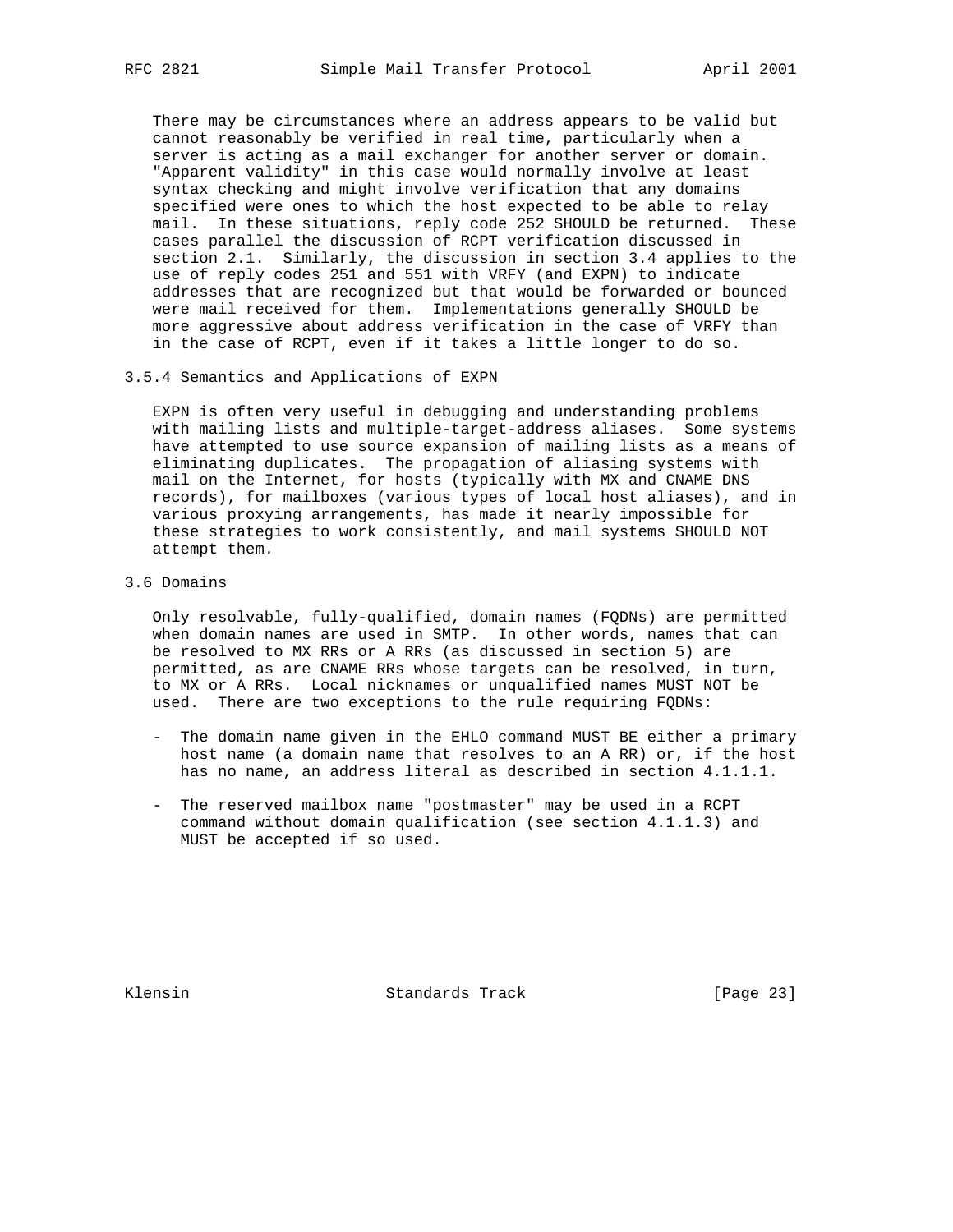There may be circumstances where an address appears to be valid but cannot reasonably be verified in real time, particularly when a server is acting as a mail exchanger for another server or domain. "Apparent validity" in this case would normally involve at least syntax checking and might involve verification that any domains specified were ones to which the host expected to be able to relay mail. In these situations, reply code 252 SHOULD be returned. These cases parallel the discussion of RCPT verification discussed in section 2.1. Similarly, the discussion in section 3.4 applies to the use of reply codes 251 and 551 with VRFY (and EXPN) to indicate addresses that are recognized but that would be forwarded or bounced were mail received for them. Implementations generally SHOULD be more aggressive about address verification in the case of VRFY than in the case of RCPT, even if it takes a little longer to do so.

3.5.4 Semantics and Applications of EXPN

 EXPN is often very useful in debugging and understanding problems with mailing lists and multiple-target-address aliases. Some systems have attempted to use source expansion of mailing lists as a means of eliminating duplicates. The propagation of aliasing systems with mail on the Internet, for hosts (typically with MX and CNAME DNS records), for mailboxes (various types of local host aliases), and in various proxying arrangements, has made it nearly impossible for these strategies to work consistently, and mail systems SHOULD NOT attempt them.

3.6 Domains

 Only resolvable, fully-qualified, domain names (FQDNs) are permitted when domain names are used in SMTP. In other words, names that can be resolved to MX RRs or A RRs (as discussed in section 5) are permitted, as are CNAME RRs whose targets can be resolved, in turn, to MX or A RRs. Local nicknames or unqualified names MUST NOT be used. There are two exceptions to the rule requiring FQDNs:

- The domain name given in the EHLO command MUST BE either a primary host name (a domain name that resolves to an A RR) or, if the host has no name, an address literal as described in section 4.1.1.1.
- The reserved mailbox name "postmaster" may be used in a RCPT command without domain qualification (see section 4.1.1.3) and MUST be accepted if so used.

Klensin Chamber Standards Track [Page 23]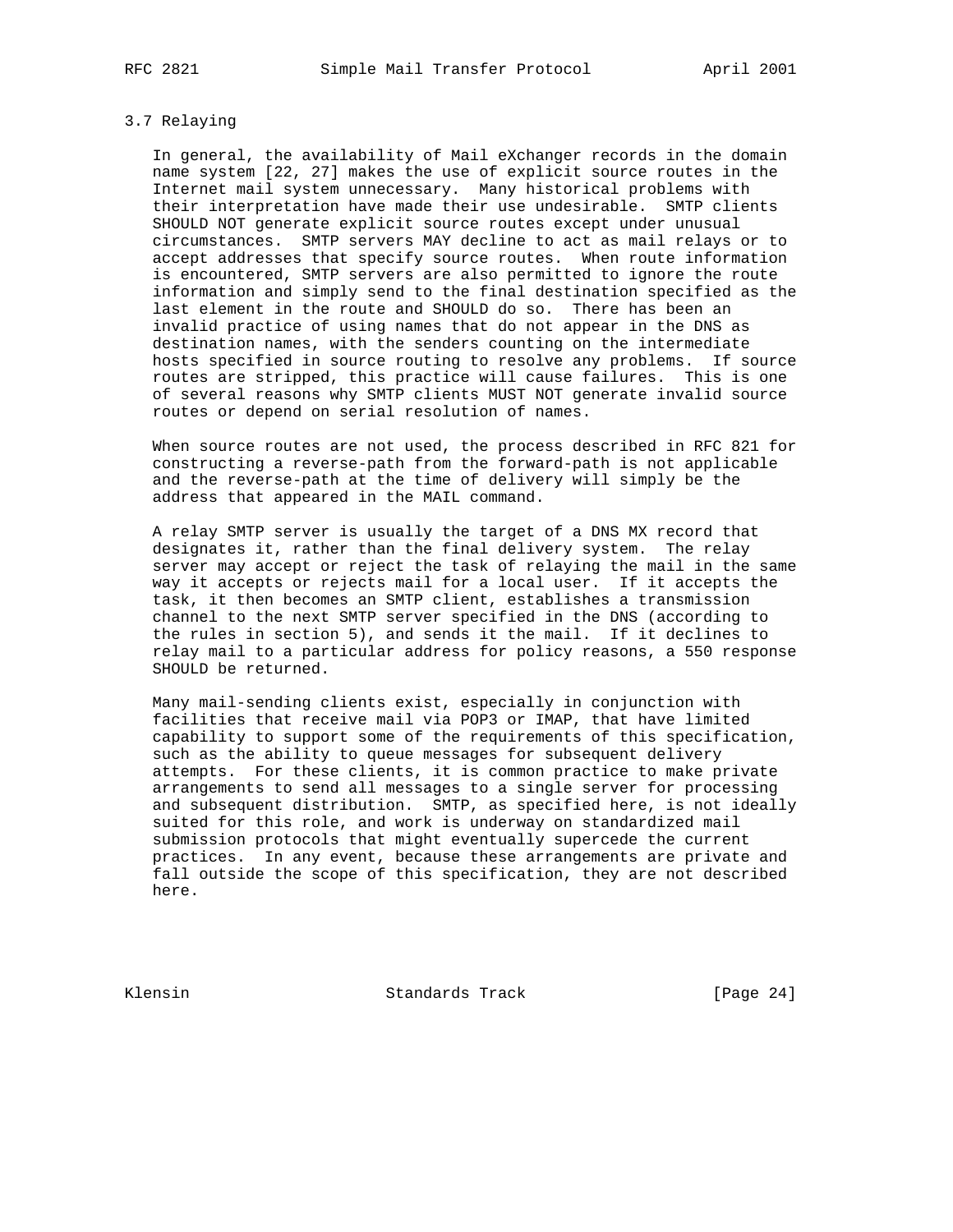#### 3.7 Relaying

 In general, the availability of Mail eXchanger records in the domain name system [22, 27] makes the use of explicit source routes in the Internet mail system unnecessary. Many historical problems with their interpretation have made their use undesirable. SMTP clients SHOULD NOT generate explicit source routes except under unusual circumstances. SMTP servers MAY decline to act as mail relays or to accept addresses that specify source routes. When route information is encountered, SMTP servers are also permitted to ignore the route information and simply send to the final destination specified as the last element in the route and SHOULD do so. There has been an invalid practice of using names that do not appear in the DNS as destination names, with the senders counting on the intermediate hosts specified in source routing to resolve any problems. If source routes are stripped, this practice will cause failures. This is one of several reasons why SMTP clients MUST NOT generate invalid source routes or depend on serial resolution of names.

 When source routes are not used, the process described in RFC 821 for constructing a reverse-path from the forward-path is not applicable and the reverse-path at the time of delivery will simply be the address that appeared in the MAIL command.

 A relay SMTP server is usually the target of a DNS MX record that designates it, rather than the final delivery system. The relay server may accept or reject the task of relaying the mail in the same way it accepts or rejects mail for a local user. If it accepts the task, it then becomes an SMTP client, establishes a transmission channel to the next SMTP server specified in the DNS (according to the rules in section 5), and sends it the mail. If it declines to relay mail to a particular address for policy reasons, a 550 response SHOULD be returned.

 Many mail-sending clients exist, especially in conjunction with facilities that receive mail via POP3 or IMAP, that have limited capability to support some of the requirements of this specification, such as the ability to queue messages for subsequent delivery attempts. For these clients, it is common practice to make private arrangements to send all messages to a single server for processing and subsequent distribution. SMTP, as specified here, is not ideally suited for this role, and work is underway on standardized mail submission protocols that might eventually supercede the current practices. In any event, because these arrangements are private and fall outside the scope of this specification, they are not described here.

Klensin Standards Track [Page 24]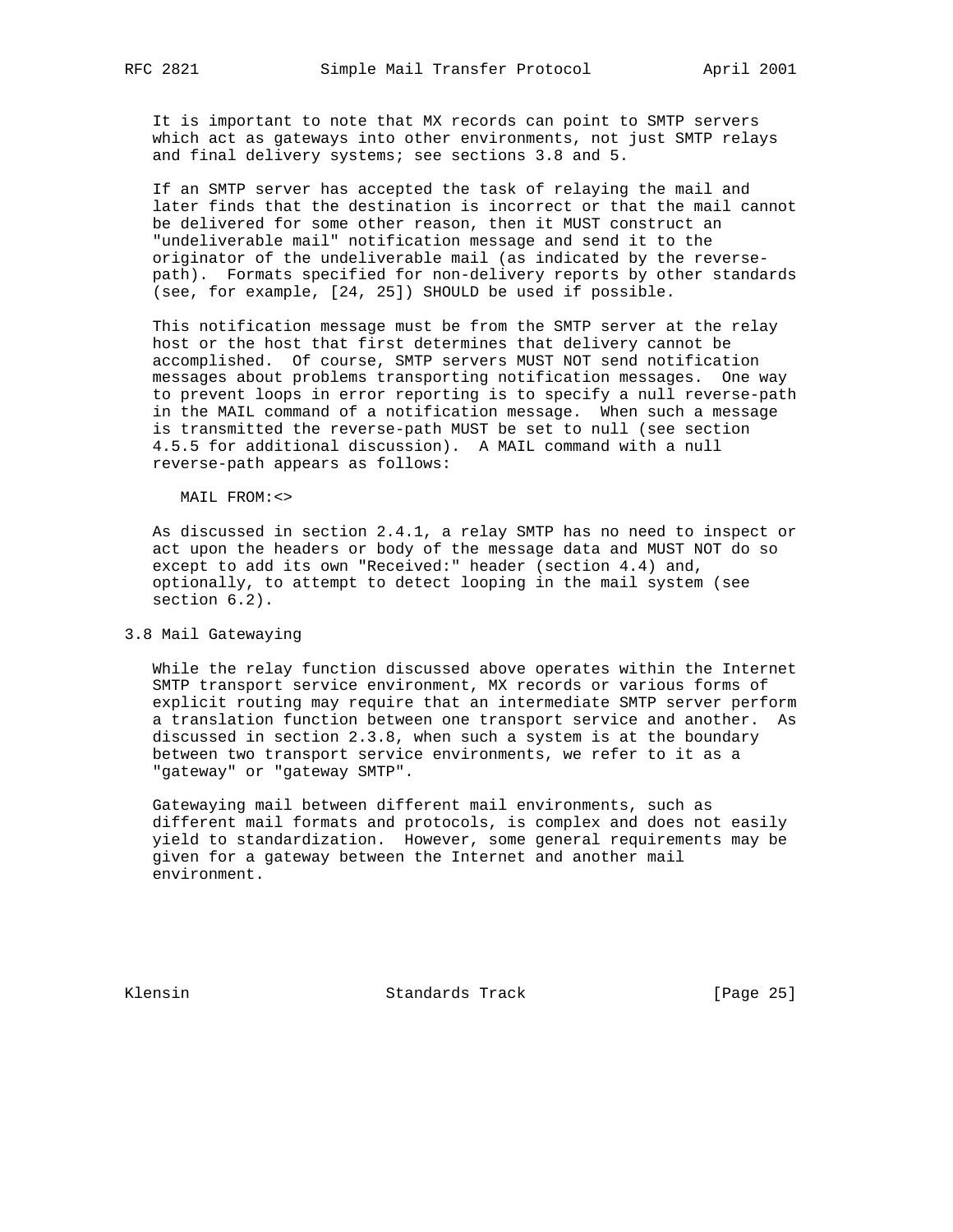It is important to note that MX records can point to SMTP servers which act as gateways into other environments, not just SMTP relays and final delivery systems; see sections 3.8 and 5.

 If an SMTP server has accepted the task of relaying the mail and later finds that the destination is incorrect or that the mail cannot be delivered for some other reason, then it MUST construct an "undeliverable mail" notification message and send it to the originator of the undeliverable mail (as indicated by the reverse path). Formats specified for non-delivery reports by other standards (see, for example, [24, 25]) SHOULD be used if possible.

 This notification message must be from the SMTP server at the relay host or the host that first determines that delivery cannot be accomplished. Of course, SMTP servers MUST NOT send notification messages about problems transporting notification messages. One way to prevent loops in error reporting is to specify a null reverse-path in the MAIL command of a notification message. When such a message is transmitted the reverse-path MUST be set to null (see section 4.5.5 for additional discussion). A MAIL command with a null reverse-path appears as follows:

MAIL FROM:<>

 As discussed in section 2.4.1, a relay SMTP has no need to inspect or act upon the headers or body of the message data and MUST NOT do so except to add its own "Received:" header (section 4.4) and, optionally, to attempt to detect looping in the mail system (see section 6.2).

3.8 Mail Gatewaying

 While the relay function discussed above operates within the Internet SMTP transport service environment, MX records or various forms of explicit routing may require that an intermediate SMTP server perform a translation function between one transport service and another. As discussed in section 2.3.8, when such a system is at the boundary between two transport service environments, we refer to it as a "gateway" or "gateway SMTP".

 Gatewaying mail between different mail environments, such as different mail formats and protocols, is complex and does not easily yield to standardization. However, some general requirements may be given for a gateway between the Internet and another mail environment.

Klensin Chamber Standards Track [Page 25]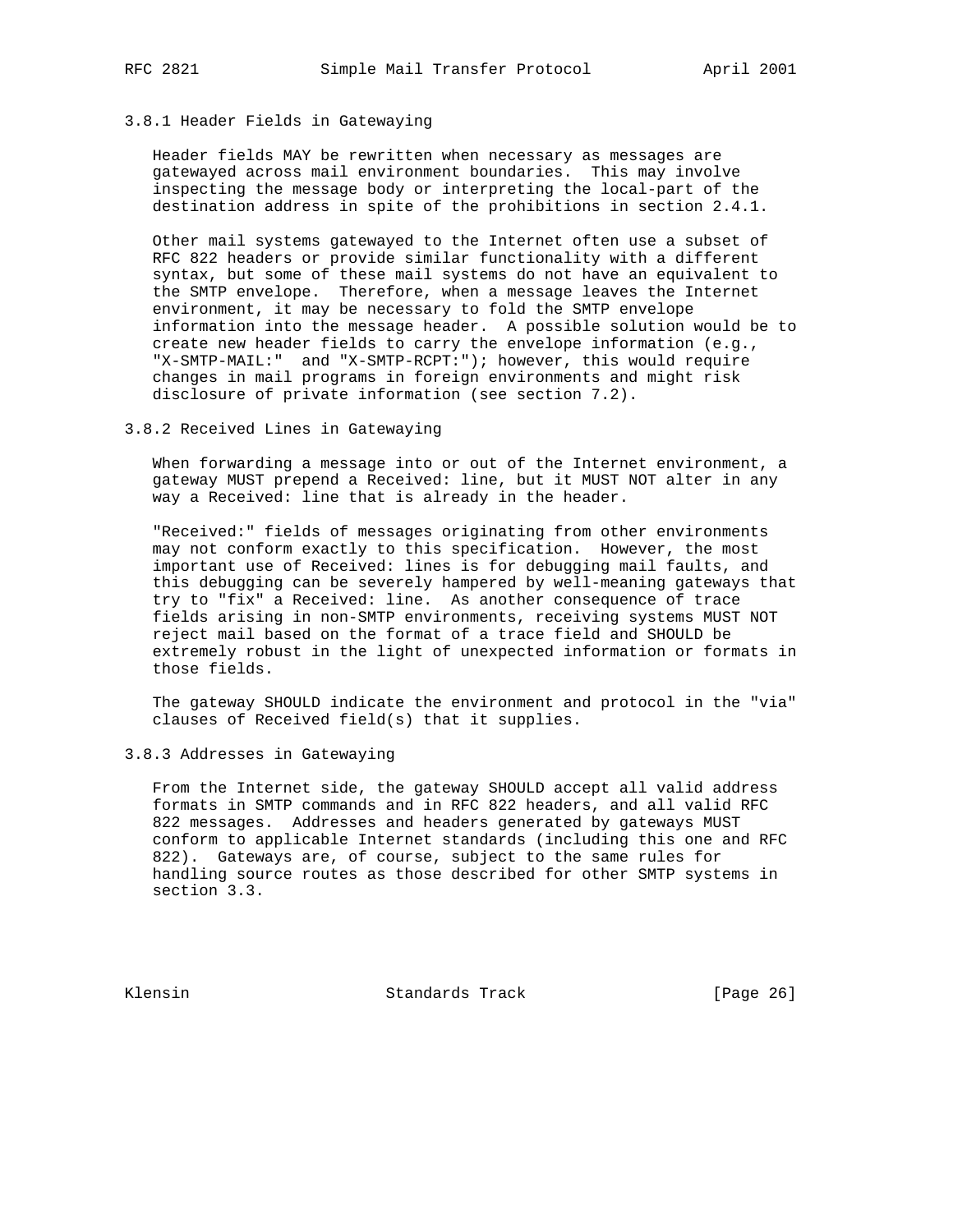# 3.8.1 Header Fields in Gatewaying

 Header fields MAY be rewritten when necessary as messages are gatewayed across mail environment boundaries. This may involve inspecting the message body or interpreting the local-part of the destination address in spite of the prohibitions in section 2.4.1.

 Other mail systems gatewayed to the Internet often use a subset of RFC 822 headers or provide similar functionality with a different syntax, but some of these mail systems do not have an equivalent to the SMTP envelope. Therefore, when a message leaves the Internet environment, it may be necessary to fold the SMTP envelope information into the message header. A possible solution would be to create new header fields to carry the envelope information (e.g., "X-SMTP-MAIL:" and "X-SMTP-RCPT:"); however, this would require changes in mail programs in foreign environments and might risk disclosure of private information (see section 7.2).

#### 3.8.2 Received Lines in Gatewaying

 When forwarding a message into or out of the Internet environment, a gateway MUST prepend a Received: line, but it MUST NOT alter in any way a Received: line that is already in the header.

 "Received:" fields of messages originating from other environments may not conform exactly to this specification. However, the most important use of Received: lines is for debugging mail faults, and this debugging can be severely hampered by well-meaning gateways that try to "fix" a Received: line. As another consequence of trace fields arising in non-SMTP environments, receiving systems MUST NOT reject mail based on the format of a trace field and SHOULD be extremely robust in the light of unexpected information or formats in those fields.

 The gateway SHOULD indicate the environment and protocol in the "via" clauses of Received field(s) that it supplies.

#### 3.8.3 Addresses in Gatewaying

 From the Internet side, the gateway SHOULD accept all valid address formats in SMTP commands and in RFC 822 headers, and all valid RFC 822 messages. Addresses and headers generated by gateways MUST conform to applicable Internet standards (including this one and RFC 822). Gateways are, of course, subject to the same rules for handling source routes as those described for other SMTP systems in section 3.3.

Klensin Chamber Standards Track [Page 26]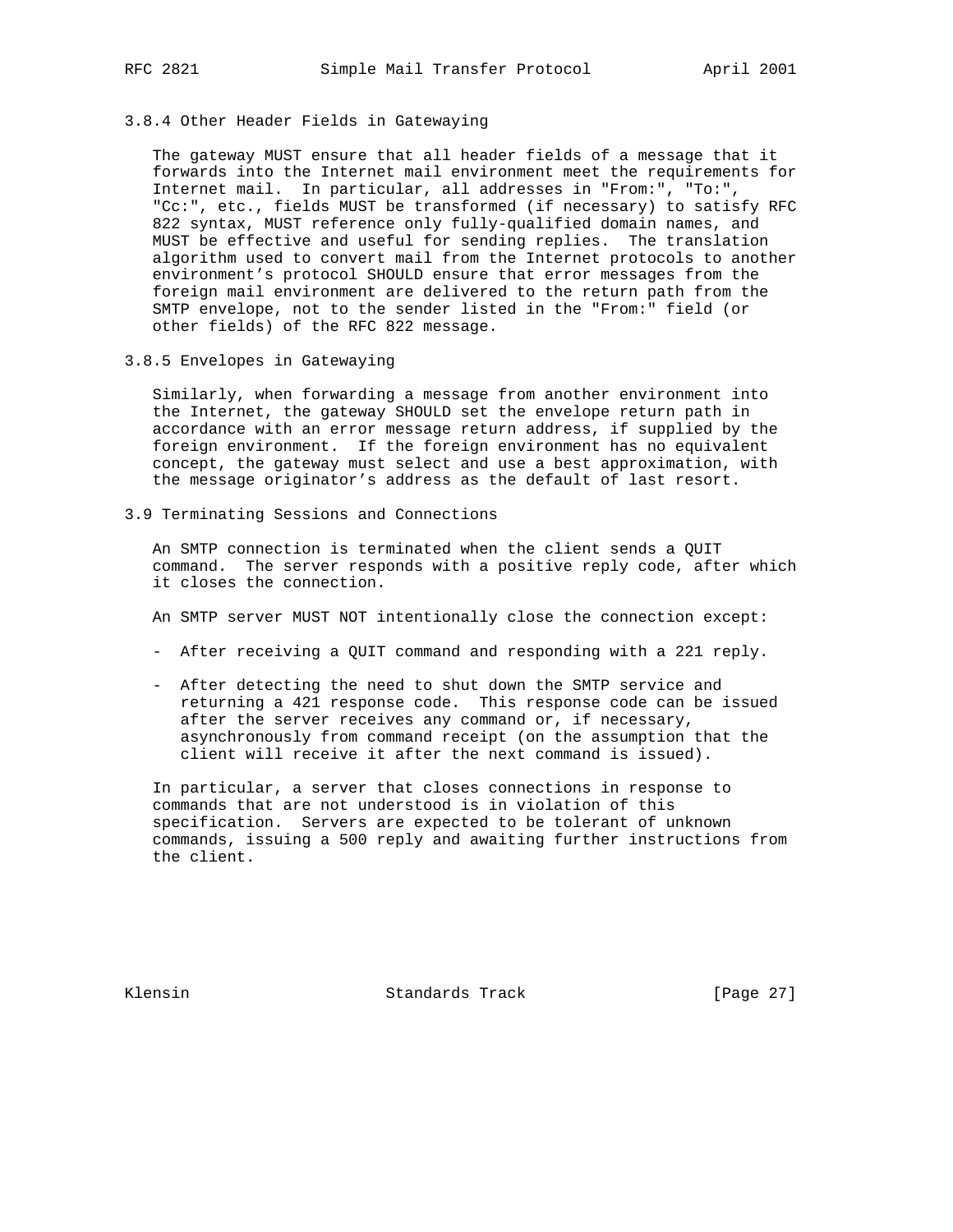## 3.8.4 Other Header Fields in Gatewaying

 The gateway MUST ensure that all header fields of a message that it forwards into the Internet mail environment meet the requirements for Internet mail. In particular, all addresses in "From:", "To:", "Cc:", etc., fields MUST be transformed (if necessary) to satisfy RFC 822 syntax, MUST reference only fully-qualified domain names, and MUST be effective and useful for sending replies. The translation algorithm used to convert mail from the Internet protocols to another environment's protocol SHOULD ensure that error messages from the foreign mail environment are delivered to the return path from the SMTP envelope, not to the sender listed in the "From:" field (or other fields) of the RFC 822 message.

3.8.5 Envelopes in Gatewaying

 Similarly, when forwarding a message from another environment into the Internet, the gateway SHOULD set the envelope return path in accordance with an error message return address, if supplied by the foreign environment. If the foreign environment has no equivalent concept, the gateway must select and use a best approximation, with the message originator's address as the default of last resort.

3.9 Terminating Sessions and Connections

 An SMTP connection is terminated when the client sends a QUIT command. The server responds with a positive reply code, after which it closes the connection.

An SMTP server MUST NOT intentionally close the connection except:

- After receiving a QUIT command and responding with a 221 reply.
- After detecting the need to shut down the SMTP service and returning a 421 response code. This response code can be issued after the server receives any command or, if necessary, asynchronously from command receipt (on the assumption that the client will receive it after the next command is issued).

 In particular, a server that closes connections in response to commands that are not understood is in violation of this specification. Servers are expected to be tolerant of unknown commands, issuing a 500 reply and awaiting further instructions from the client.

Klensin Standards Track [Page 27]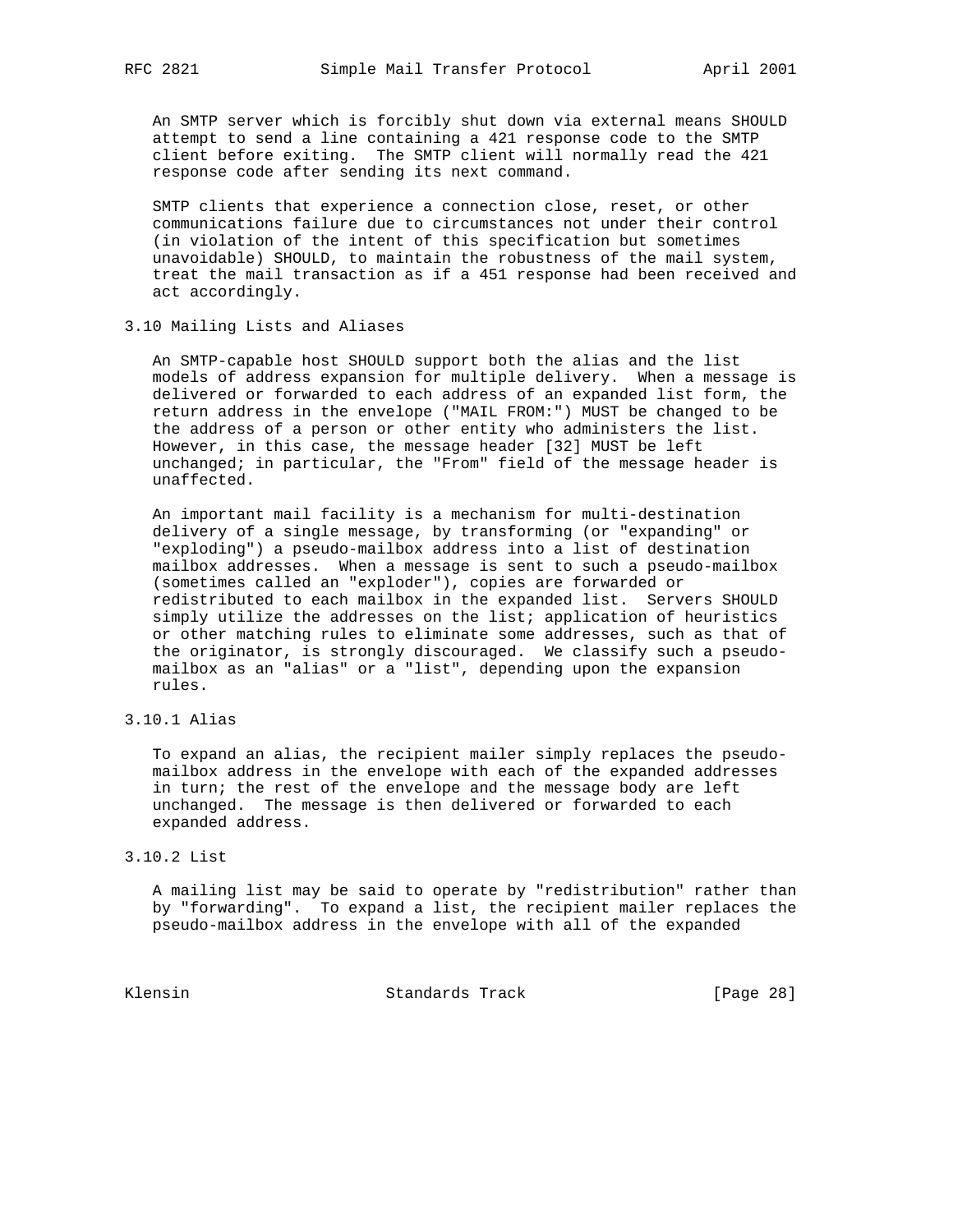An SMTP server which is forcibly shut down via external means SHOULD attempt to send a line containing a 421 response code to the SMTP client before exiting. The SMTP client will normally read the 421 response code after sending its next command.

 SMTP clients that experience a connection close, reset, or other communications failure due to circumstances not under their control (in violation of the intent of this specification but sometimes unavoidable) SHOULD, to maintain the robustness of the mail system, treat the mail transaction as if a 451 response had been received and act accordingly.

## 3.10 Mailing Lists and Aliases

 An SMTP-capable host SHOULD support both the alias and the list models of address expansion for multiple delivery. When a message is delivered or forwarded to each address of an expanded list form, the return address in the envelope ("MAIL FROM:") MUST be changed to be the address of a person or other entity who administers the list. However, in this case, the message header [32] MUST be left unchanged; in particular, the "From" field of the message header is unaffected.

 An important mail facility is a mechanism for multi-destination delivery of a single message, by transforming (or "expanding" or "exploding") a pseudo-mailbox address into a list of destination mailbox addresses. When a message is sent to such a pseudo-mailbox (sometimes called an "exploder"), copies are forwarded or redistributed to each mailbox in the expanded list. Servers SHOULD simply utilize the addresses on the list; application of heuristics or other matching rules to eliminate some addresses, such as that of the originator, is strongly discouraged. We classify such a pseudo mailbox as an "alias" or a "list", depending upon the expansion rules.

3.10.1 Alias

 To expand an alias, the recipient mailer simply replaces the pseudo mailbox address in the envelope with each of the expanded addresses in turn; the rest of the envelope and the message body are left unchanged. The message is then delivered or forwarded to each expanded address.

#### 3.10.2 List

 A mailing list may be said to operate by "redistribution" rather than by "forwarding". To expand a list, the recipient mailer replaces the pseudo-mailbox address in the envelope with all of the expanded

Klensin Standards Track [Page 28]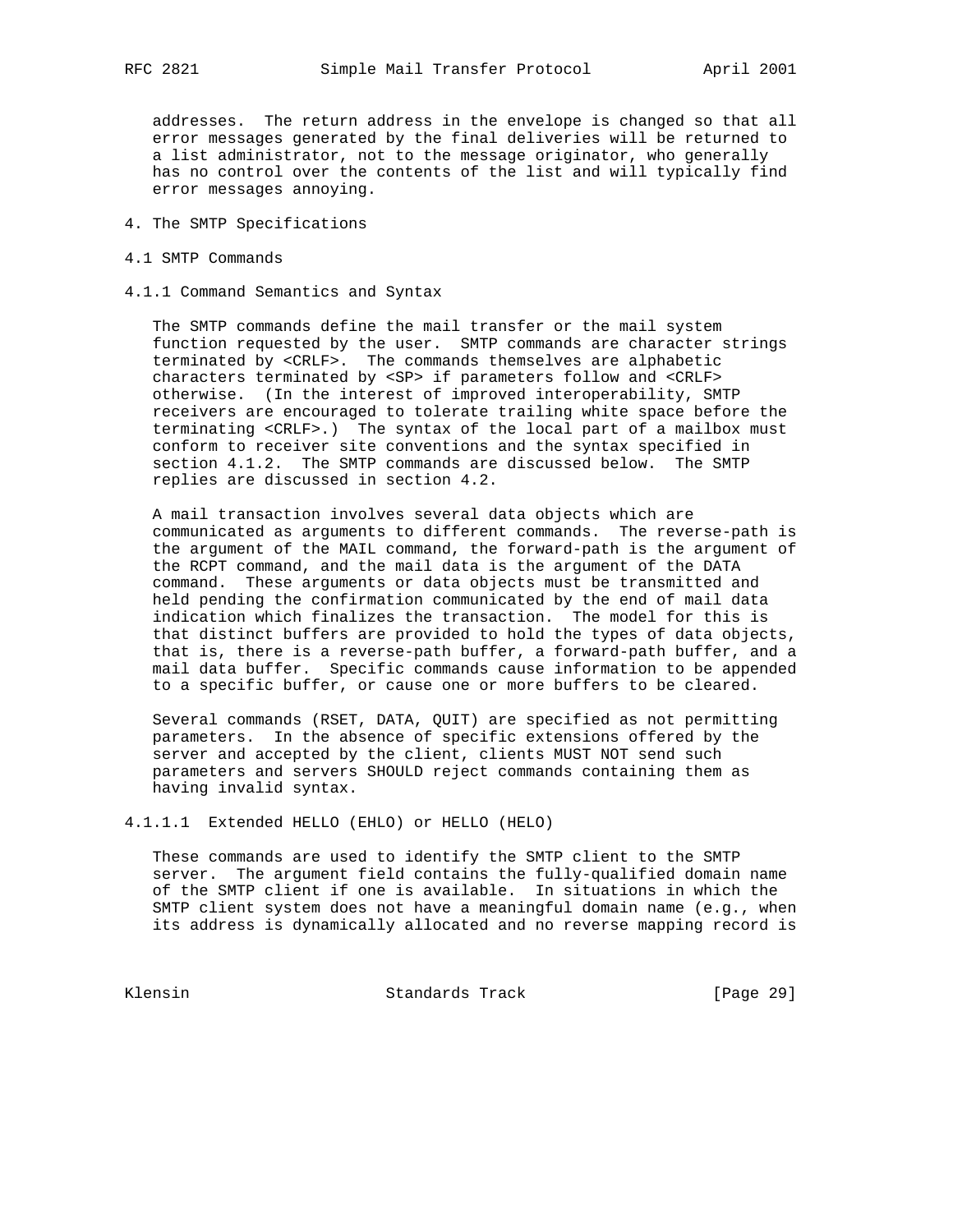addresses. The return address in the envelope is changed so that all error messages generated by the final deliveries will be returned to a list administrator, not to the message originator, who generally has no control over the contents of the list and will typically find error messages annoying.

- 4. The SMTP Specifications
- 4.1 SMTP Commands
- 4.1.1 Command Semantics and Syntax

 The SMTP commands define the mail transfer or the mail system function requested by the user. SMTP commands are character strings terminated by <CRLF>. The commands themselves are alphabetic characters terminated by <SP> if parameters follow and <CRLF> otherwise. (In the interest of improved interoperability, SMTP receivers are encouraged to tolerate trailing white space before the terminating <CRLF>.) The syntax of the local part of a mailbox must conform to receiver site conventions and the syntax specified in section 4.1.2. The SMTP commands are discussed below. The SMTP replies are discussed in section 4.2.

 A mail transaction involves several data objects which are communicated as arguments to different commands. The reverse-path is the argument of the MAIL command, the forward-path is the argument of the RCPT command, and the mail data is the argument of the DATA command. These arguments or data objects must be transmitted and held pending the confirmation communicated by the end of mail data indication which finalizes the transaction. The model for this is that distinct buffers are provided to hold the types of data objects, that is, there is a reverse-path buffer, a forward-path buffer, and a mail data buffer. Specific commands cause information to be appended to a specific buffer, or cause one or more buffers to be cleared.

 Several commands (RSET, DATA, QUIT) are specified as not permitting parameters. In the absence of specific extensions offered by the server and accepted by the client, clients MUST NOT send such parameters and servers SHOULD reject commands containing them as having invalid syntax.

4.1.1.1 Extended HELLO (EHLO) or HELLO (HELO)

 These commands are used to identify the SMTP client to the SMTP server. The argument field contains the fully-qualified domain name of the SMTP client if one is available. In situations in which the SMTP client system does not have a meaningful domain name (e.g., when its address is dynamically allocated and no reverse mapping record is

Klensin Chandards Track [Page 29]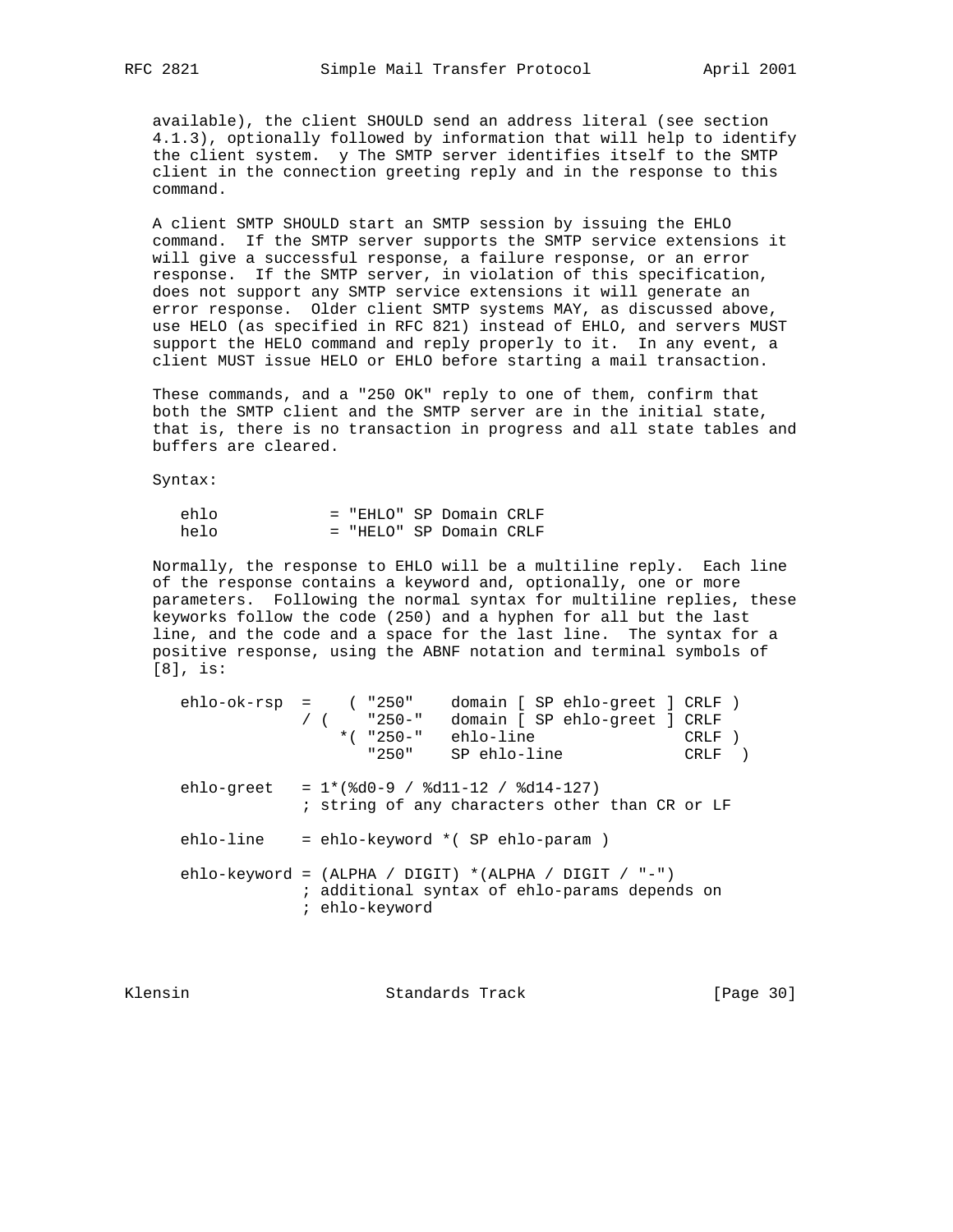available), the client SHOULD send an address literal (see section 4.1.3), optionally followed by information that will help to identify the client system. y The SMTP server identifies itself to the SMTP client in the connection greeting reply and in the response to this command.

 A client SMTP SHOULD start an SMTP session by issuing the EHLO command. If the SMTP server supports the SMTP service extensions it will give a successful response, a failure response, or an error response. If the SMTP server, in violation of this specification, does not support any SMTP service extensions it will generate an error response. Older client SMTP systems MAY, as discussed above, use HELO (as specified in RFC 821) instead of EHLO, and servers MUST support the HELO command and reply properly to it. In any event, a client MUST issue HELO or EHLO before starting a mail transaction.

 These commands, and a "250 OK" reply to one of them, confirm that both the SMTP client and the SMTP server are in the initial state, that is, there is no transaction in progress and all state tables and buffers are cleared.

Syntax:

| ehlo |  | = "EHLO" SP Domain CRLF |  |
|------|--|-------------------------|--|
| helo |  | = "HELO" SP Domain CRLF |  |

 Normally, the response to EHLO will be a multiline reply. Each line of the response contains a keyword and, optionally, one or more parameters. Following the normal syntax for multiline replies, these keyworks follow the code (250) and a hyphen for all but the last line, and the code and a space for the last line. The syntax for a positive response, using the ABNF notation and terminal symbols of [8], is:

| $ehlo-ok-rsp =$ ("250" | $/$ ( $"250-"$<br>*( $"250-"$ ehlo-line | domain [ SP ehlo-greet ] CRLF )<br>domain [ SP ehlo-greet ] CRLF<br>"250" SP ehlo-line                     | CRLF<br>$\rightarrow$<br>CRLF |
|------------------------|-----------------------------------------|------------------------------------------------------------------------------------------------------------|-------------------------------|
| ehlo-greet             |                                         | $= 1*(8d0-9 / 8d11-12 / 8d14-127)$<br>; string of any characters other than CR or LF                       |                               |
| ehlo-line              |                                         | = ehlo-keyword *( SP ehlo-param )                                                                          |                               |
|                        | ; ehlo-keyword                          | ehlo-keyword = $(ALPHA / DIGIT) * (ALPHA / DIGIT / " -")$<br>; additional syntax of ehlo-params depends on |                               |

| Klensin | Standards Track | [Page 30] |  |
|---------|-----------------|-----------|--|
|         |                 |           |  |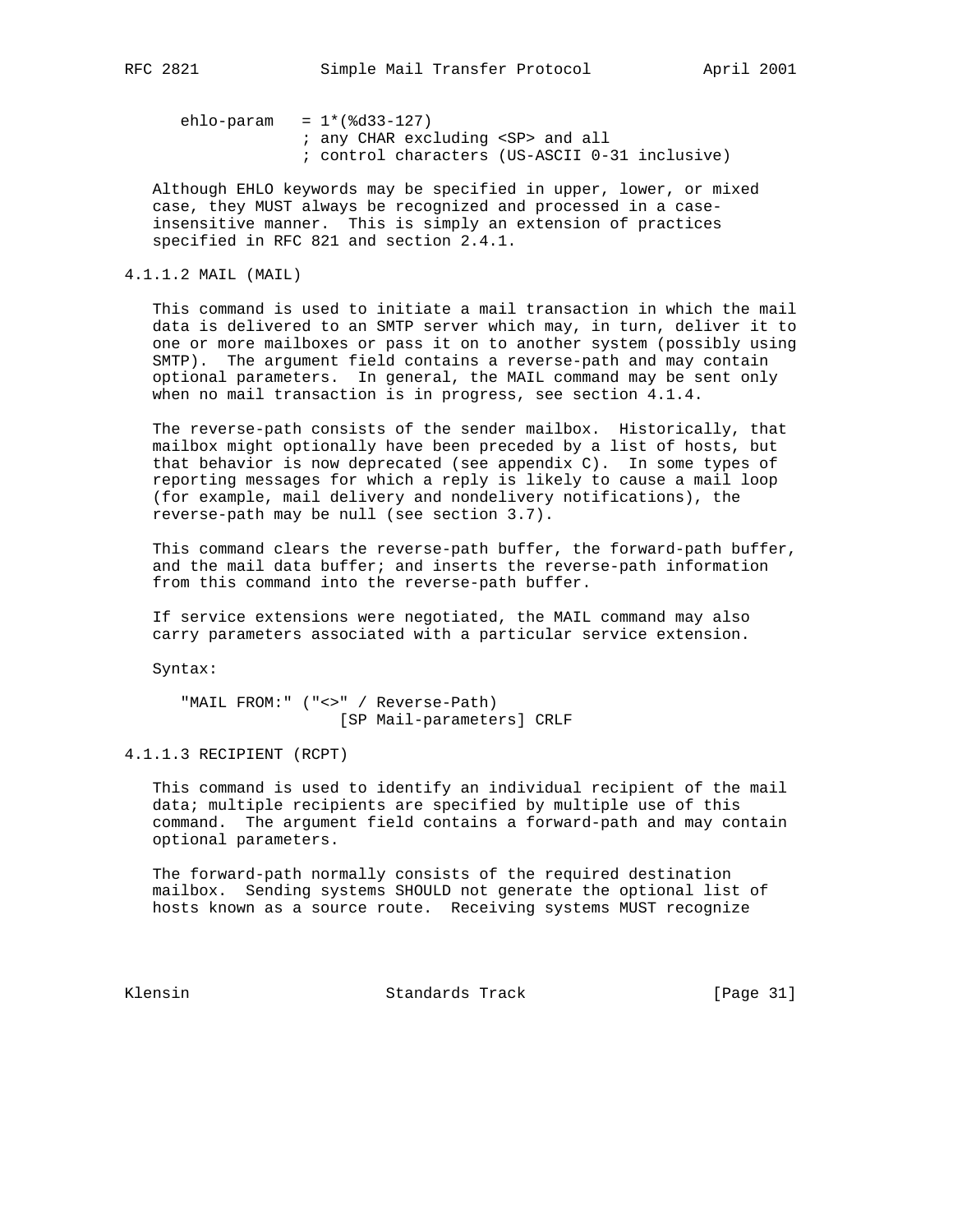$ehlo-param = 1*(8d33-127)$  ; any CHAR excluding <SP> and all ; control characters (US-ASCII 0-31 inclusive)

 Although EHLO keywords may be specified in upper, lower, or mixed case, they MUST always be recognized and processed in a case insensitive manner. This is simply an extension of practices specified in RFC 821 and section 2.4.1.

4.1.1.2 MAIL (MAIL)

 This command is used to initiate a mail transaction in which the mail data is delivered to an SMTP server which may, in turn, deliver it to one or more mailboxes or pass it on to another system (possibly using SMTP). The argument field contains a reverse-path and may contain optional parameters. In general, the MAIL command may be sent only when no mail transaction is in progress, see section 4.1.4.

 The reverse-path consists of the sender mailbox. Historically, that mailbox might optionally have been preceded by a list of hosts, but that behavior is now deprecated (see appendix C). In some types of reporting messages for which a reply is likely to cause a mail loop (for example, mail delivery and nondelivery notifications), the reverse-path may be null (see section 3.7).

 This command clears the reverse-path buffer, the forward-path buffer, and the mail data buffer; and inserts the reverse-path information from this command into the reverse-path buffer.

 If service extensions were negotiated, the MAIL command may also carry parameters associated with a particular service extension.

Syntax:

 "MAIL FROM:" ("<>" / Reverse-Path) [SP Mail-parameters] CRLF

4.1.1.3 RECIPIENT (RCPT)

 This command is used to identify an individual recipient of the mail data; multiple recipients are specified by multiple use of this command. The argument field contains a forward-path and may contain optional parameters.

 The forward-path normally consists of the required destination mailbox. Sending systems SHOULD not generate the optional list of hosts known as a source route. Receiving systems MUST recognize

Klensin Chamber Standards Track [Page 31]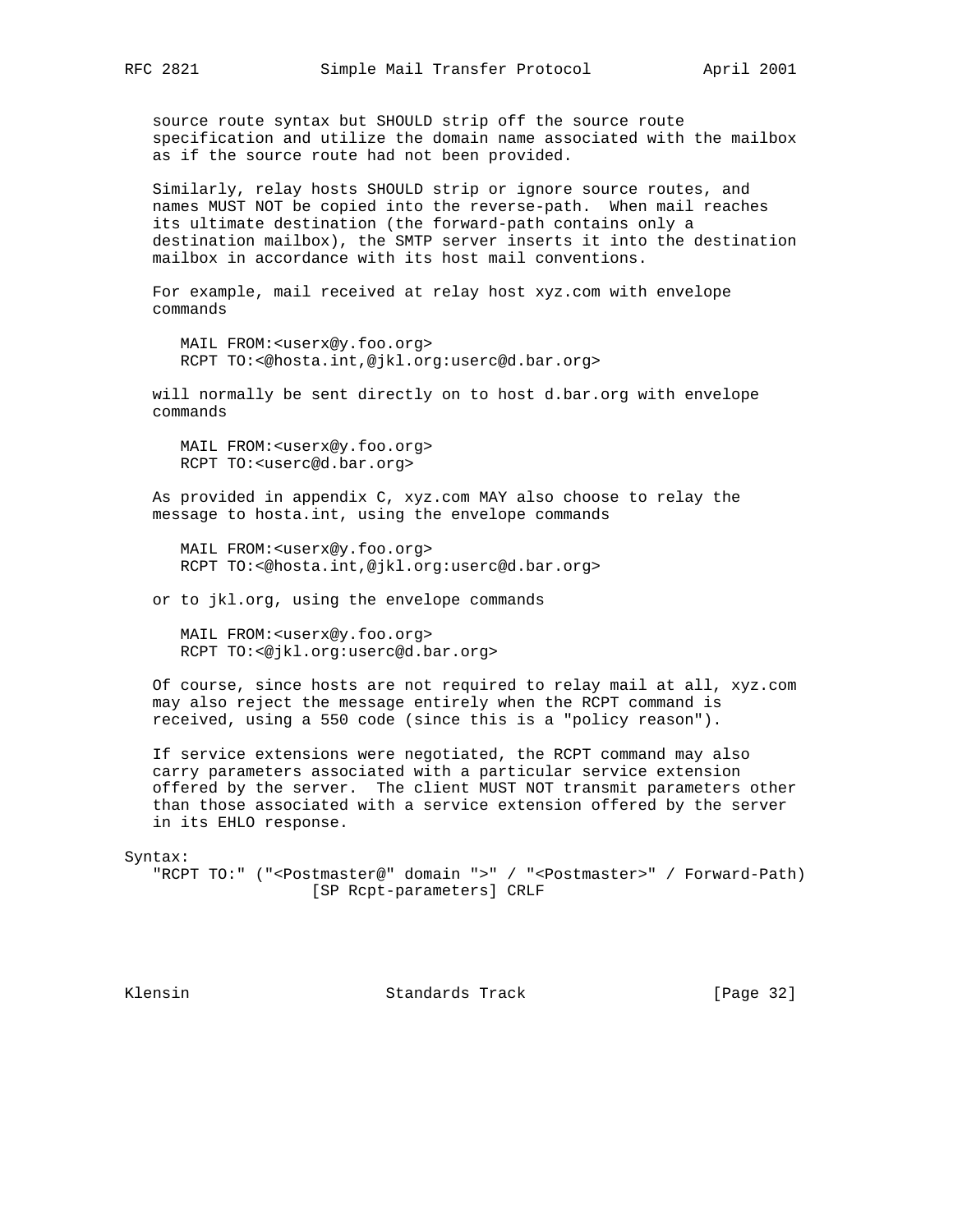source route syntax but SHOULD strip off the source route specification and utilize the domain name associated with the mailbox as if the source route had not been provided.

 Similarly, relay hosts SHOULD strip or ignore source routes, and names MUST NOT be copied into the reverse-path. When mail reaches its ultimate destination (the forward-path contains only a destination mailbox), the SMTP server inserts it into the destination mailbox in accordance with its host mail conventions.

 For example, mail received at relay host xyz.com with envelope commands

 MAIL FROM:<userx@y.foo.org> RCPT TO:<@hosta.int,@jkl.org:userc@d.bar.org>

 will normally be sent directly on to host d.bar.org with envelope commands

 MAIL FROM:<userx@y.foo.org> RCPT TO:<userc@d.bar.org>

 As provided in appendix C, xyz.com MAY also choose to relay the message to hosta.int, using the envelope commands

 MAIL FROM:<userx@y.foo.org> RCPT TO:<@hosta.int,@jkl.org:userc@d.bar.org>

or to jkl.org, using the envelope commands

 MAIL FROM:<userx@y.foo.org> RCPT TO:<@jkl.org:userc@d.bar.org>

 Of course, since hosts are not required to relay mail at all, xyz.com may also reject the message entirely when the RCPT command is received, using a 550 code (since this is a "policy reason").

 If service extensions were negotiated, the RCPT command may also carry parameters associated with a particular service extension offered by the server. The client MUST NOT transmit parameters other than those associated with a service extension offered by the server in its EHLO response.

#### Syntax:

 "RCPT TO:" ("<Postmaster@" domain ">" / "<Postmaster>" / Forward-Path) [SP Rcpt-parameters] CRLF

Klensin Charles Standards Track [Page 32]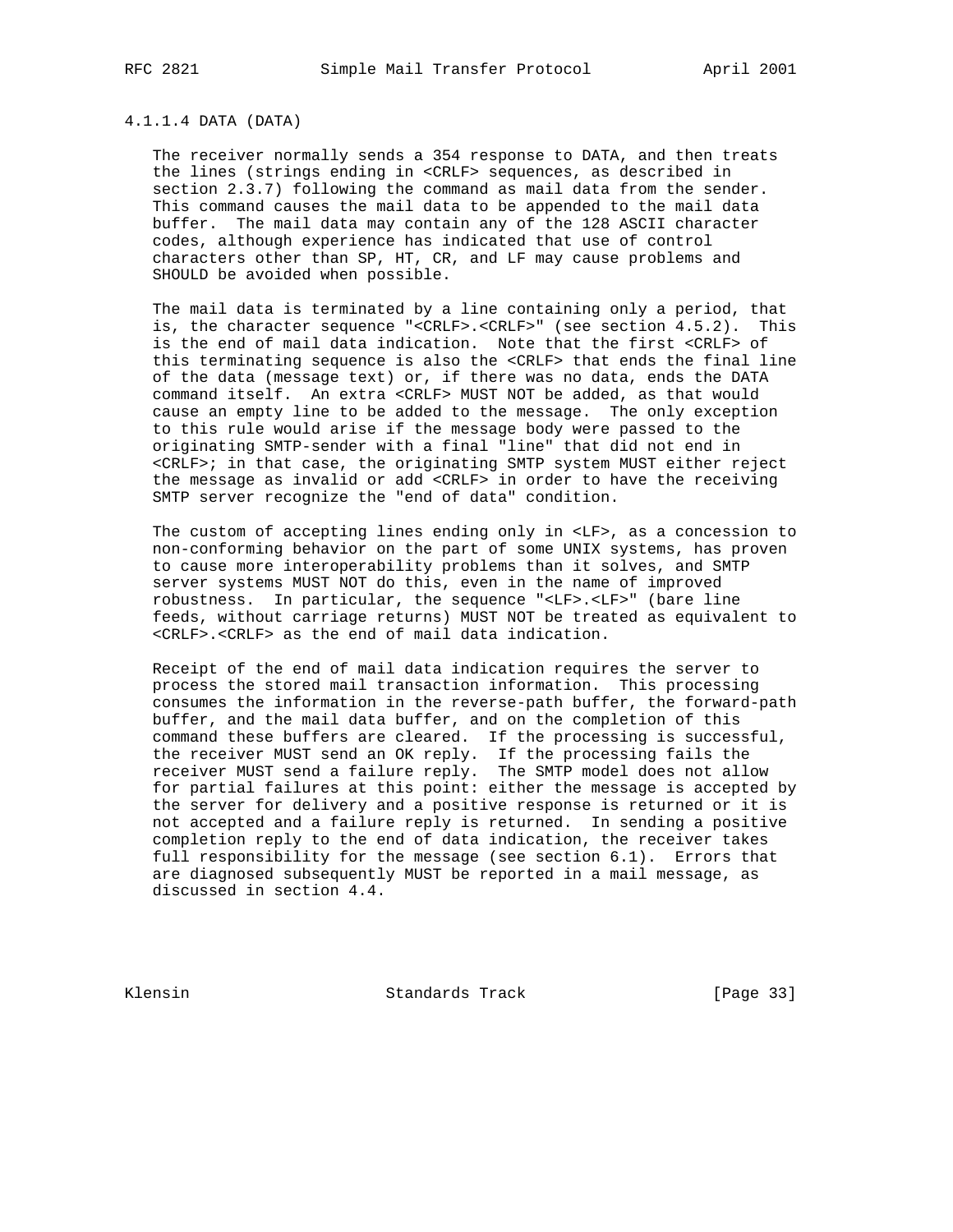#### 4.1.1.4 DATA (DATA)

 The receiver normally sends a 354 response to DATA, and then treats the lines (strings ending in <CRLF> sequences, as described in section 2.3.7) following the command as mail data from the sender. This command causes the mail data to be appended to the mail data buffer. The mail data may contain any of the 128 ASCII character codes, although experience has indicated that use of control characters other than SP, HT, CR, and LF may cause problems and SHOULD be avoided when possible.

 The mail data is terminated by a line containing only a period, that is, the character sequence "<CRLF>.<CRLF>" (see section 4.5.2). This is the end of mail data indication. Note that the first <CRLF> of this terminating sequence is also the <CRLF> that ends the final line of the data (message text) or, if there was no data, ends the DATA command itself. An extra <CRLF> MUST NOT be added, as that would cause an empty line to be added to the message. The only exception to this rule would arise if the message body were passed to the originating SMTP-sender with a final "line" that did not end in <CRLF>; in that case, the originating SMTP system MUST either reject the message as invalid or add <CRLF> in order to have the receiving SMTP server recognize the "end of data" condition.

The custom of accepting lines ending only in <LF>, as a concession to non-conforming behavior on the part of some UNIX systems, has proven to cause more interoperability problems than it solves, and SMTP server systems MUST NOT do this, even in the name of improved robustness. In particular, the sequence "<LF>.<LF>" (bare line feeds, without carriage returns) MUST NOT be treated as equivalent to <CRLF>.<CRLF> as the end of mail data indication.

 Receipt of the end of mail data indication requires the server to process the stored mail transaction information. This processing consumes the information in the reverse-path buffer, the forward-path buffer, and the mail data buffer, and on the completion of this command these buffers are cleared. If the processing is successful, the receiver MUST send an OK reply. If the processing fails the receiver MUST send a failure reply. The SMTP model does not allow for partial failures at this point: either the message is accepted by the server for delivery and a positive response is returned or it is not accepted and a failure reply is returned. In sending a positive completion reply to the end of data indication, the receiver takes full responsibility for the message (see section 6.1). Errors that are diagnosed subsequently MUST be reported in a mail message, as discussed in section 4.4.

Klensin Standards Track [Page 33]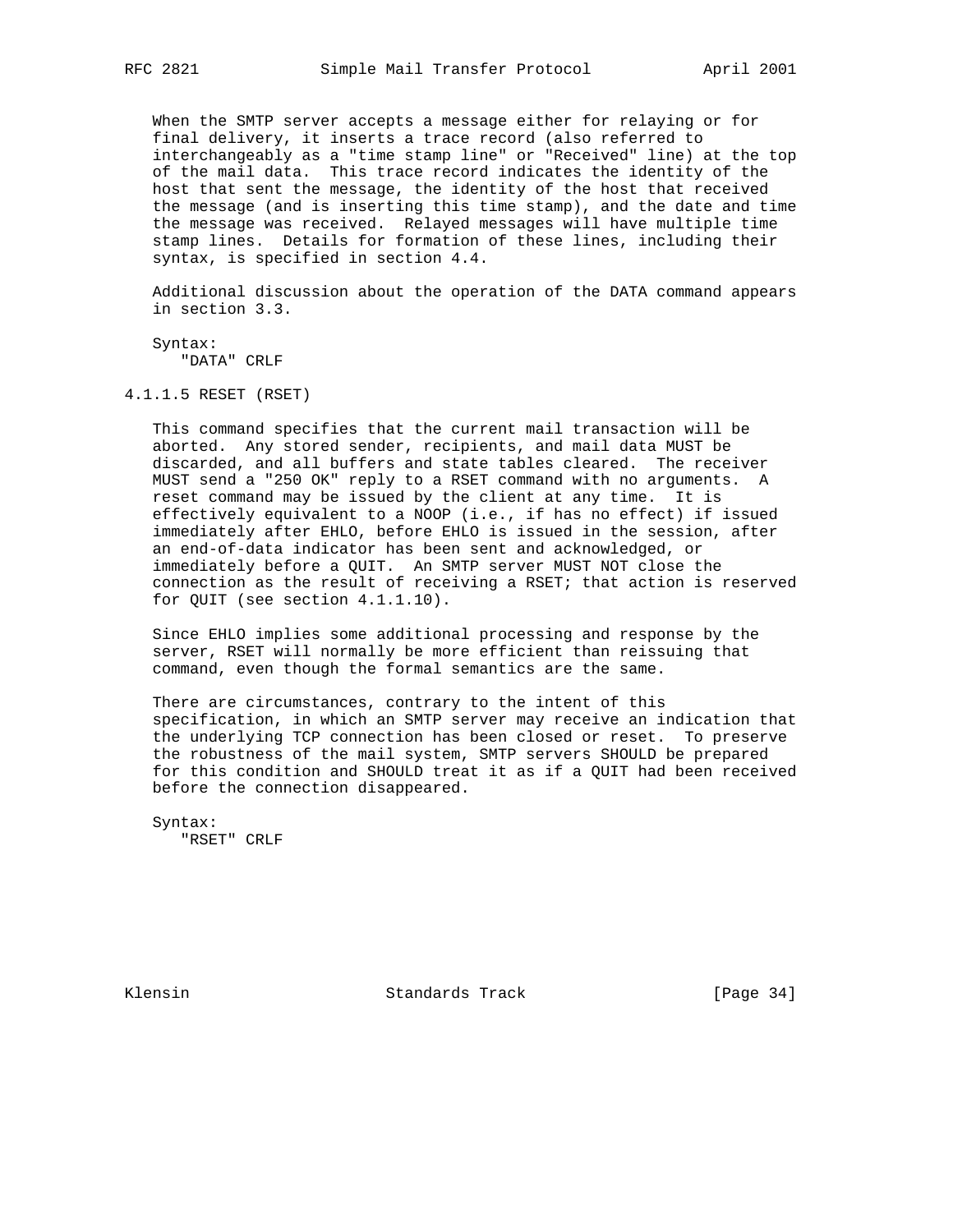When the SMTP server accepts a message either for relaying or for final delivery, it inserts a trace record (also referred to interchangeably as a "time stamp line" or "Received" line) at the top of the mail data. This trace record indicates the identity of the host that sent the message, the identity of the host that received the message (and is inserting this time stamp), and the date and time the message was received. Relayed messages will have multiple time stamp lines. Details for formation of these lines, including their syntax, is specified in section 4.4.

 Additional discussion about the operation of the DATA command appears in section 3.3.

 Syntax: "DATA" CRLF

4.1.1.5 RESET (RSET)

 This command specifies that the current mail transaction will be aborted. Any stored sender, recipients, and mail data MUST be discarded, and all buffers and state tables cleared. The receiver MUST send a "250 OK" reply to a RSET command with no arguments. A reset command may be issued by the client at any time. It is effectively equivalent to a NOOP (i.e., if has no effect) if issued immediately after EHLO, before EHLO is issued in the session, after an end-of-data indicator has been sent and acknowledged, or immediately before a QUIT. An SMTP server MUST NOT close the connection as the result of receiving a RSET; that action is reserved for QUIT (see section 4.1.1.10).

 Since EHLO implies some additional processing and response by the server, RSET will normally be more efficient than reissuing that command, even though the formal semantics are the same.

 There are circumstances, contrary to the intent of this specification, in which an SMTP server may receive an indication that the underlying TCP connection has been closed or reset. To preserve the robustness of the mail system, SMTP servers SHOULD be prepared for this condition and SHOULD treat it as if a QUIT had been received before the connection disappeared.

 Syntax: "RSET" CRLF

Klensin Chamber Standards Track [Page 34]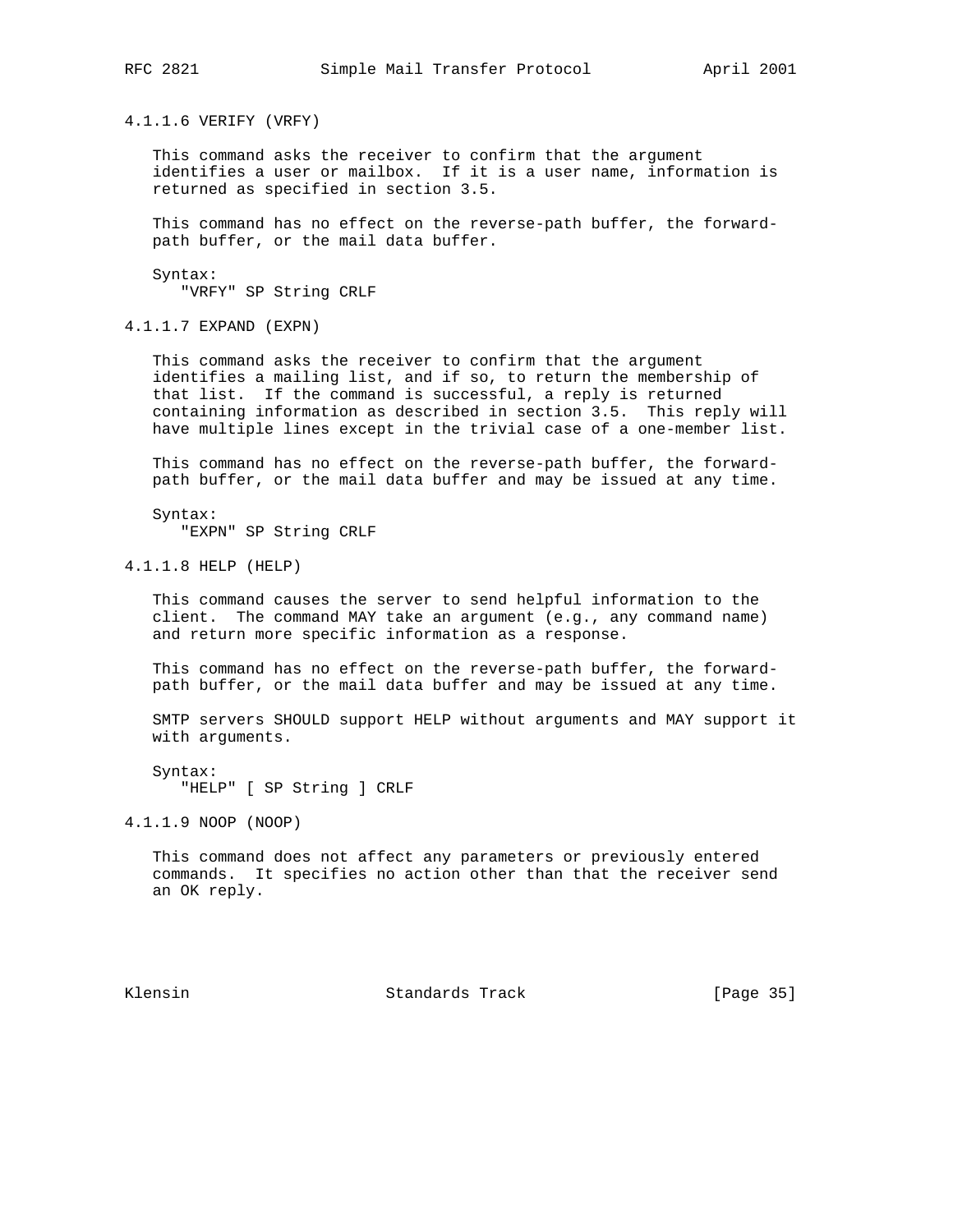4.1.1.6 VERIFY (VRFY)

 This command asks the receiver to confirm that the argument identifies a user or mailbox. If it is a user name, information is returned as specified in section 3.5.

 This command has no effect on the reverse-path buffer, the forward path buffer, or the mail data buffer.

 Syntax: "VRFY" SP String CRLF

4.1.1.7 EXPAND (EXPN)

 This command asks the receiver to confirm that the argument identifies a mailing list, and if so, to return the membership of that list. If the command is successful, a reply is returned containing information as described in section 3.5. This reply will have multiple lines except in the trivial case of a one-member list.

 This command has no effect on the reverse-path buffer, the forward path buffer, or the mail data buffer and may be issued at any time.

 Syntax: "EXPN" SP String CRLF

4.1.1.8 HELP (HELP)

 This command causes the server to send helpful information to the client. The command MAY take an argument (e.g., any command name) and return more specific information as a response.

 This command has no effect on the reverse-path buffer, the forward path buffer, or the mail data buffer and may be issued at any time.

 SMTP servers SHOULD support HELP without arguments and MAY support it with arguments.

 Syntax: "HELP" [ SP String ] CRLF

4.1.1.9 NOOP (NOOP)

 This command does not affect any parameters or previously entered commands. It specifies no action other than that the receiver send an OK reply.

Klensin Charles Standards Track [Page 35]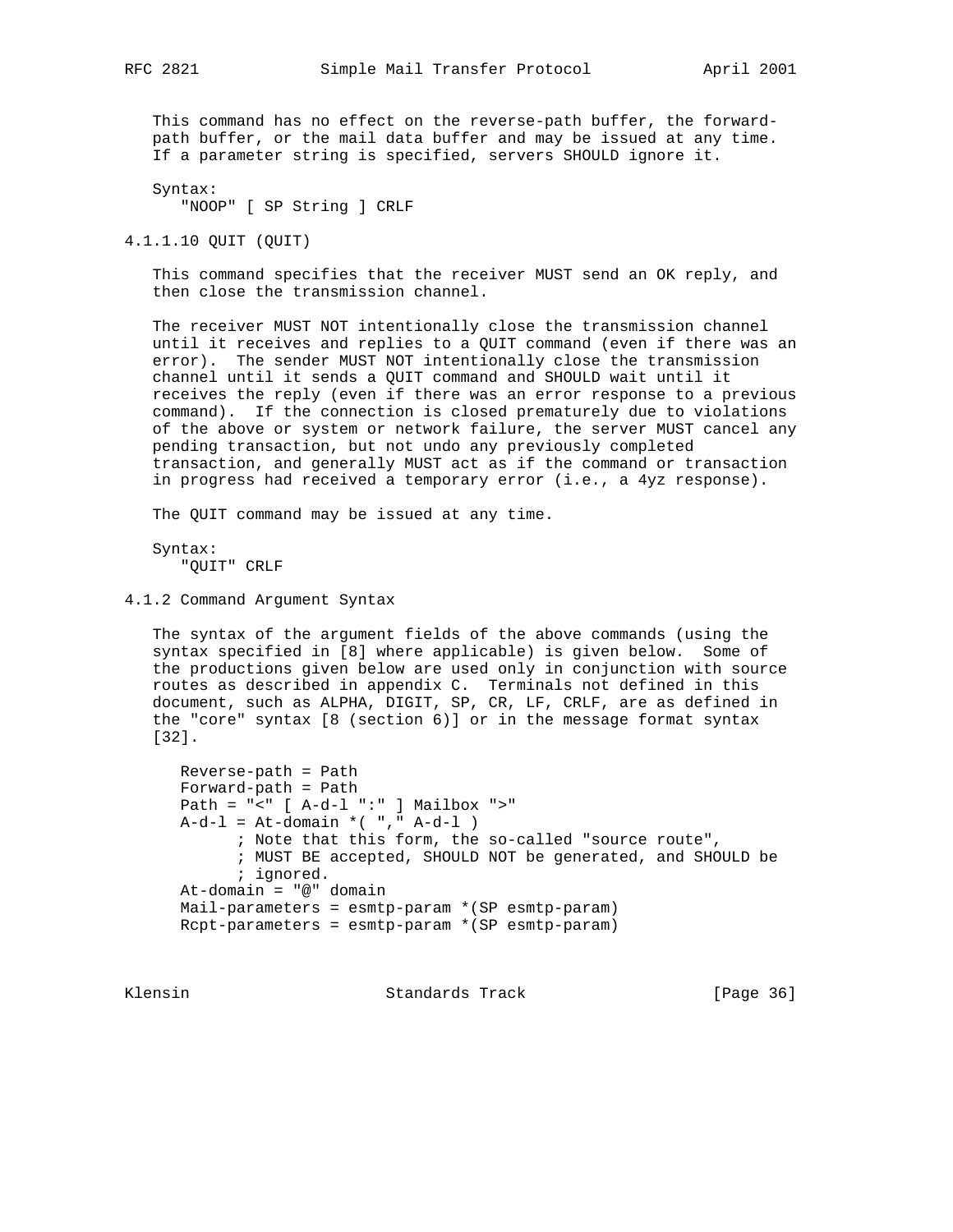This command has no effect on the reverse-path buffer, the forward path buffer, or the mail data buffer and may be issued at any time. If a parameter string is specified, servers SHOULD ignore it.

 Syntax: "NOOP" [ SP String ] CRLF

4.1.1.10 QUIT (QUIT)

 This command specifies that the receiver MUST send an OK reply, and then close the transmission channel.

 The receiver MUST NOT intentionally close the transmission channel until it receives and replies to a QUIT command (even if there was an error). The sender MUST NOT intentionally close the transmission channel until it sends a QUIT command and SHOULD wait until it receives the reply (even if there was an error response to a previous command). If the connection is closed prematurely due to violations of the above or system or network failure, the server MUST cancel any pending transaction, but not undo any previously completed transaction, and generally MUST act as if the command or transaction in progress had received a temporary error (i.e., a 4yz response).

The QUIT command may be issued at any time.

 Syntax: "QUIT" CRLF

4.1.2 Command Argument Syntax

 The syntax of the argument fields of the above commands (using the syntax specified in [8] where applicable) is given below. Some of the productions given below are used only in conjunction with source routes as described in appendix C. Terminals not defined in this document, such as ALPHA, DIGIT, SP, CR, LF, CRLF, are as defined in the "core" syntax [8 (section 6)] or in the message format syntax [32].

 Reverse-path = Path Forward-path = Path Path = "<" [ A-d-l ":" ] Mailbox ">"  $A-d-1 = At-domain * ( " , " A-d-1 )$  ; Note that this form, the so-called "source route", ; MUST BE accepted, SHOULD NOT be generated, and SHOULD be ; ignored. At-domain = "@" domain Mail-parameters = esmtp-param \*(SP esmtp-param) Rcpt-parameters = esmtp-param \*(SP esmtp-param)

Klensin Standards Track [Page 36]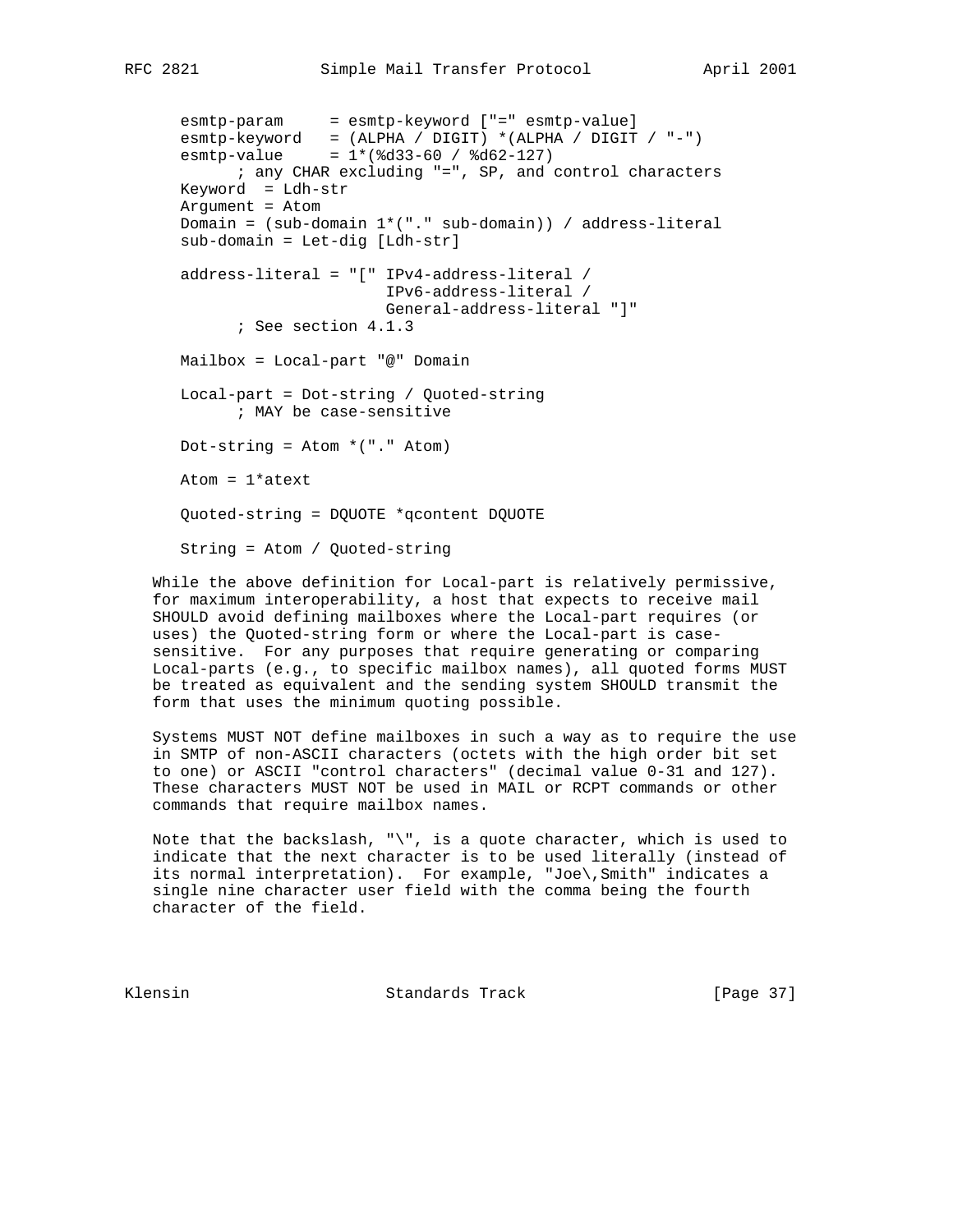```
 esmtp-param = esmtp-keyword ["=" esmtp-value]
 esmtp-keyword = (ALPHA / DIGIT) *(ALPHA / DIGIT / "-")
 esmtp-value = 1*(%d33-60 / %d62-127)
            ; any CHAR excluding "=", SP, and control characters
      Keyword = Ldh-str
      Argument = Atom
      Domain = (sub-domain 1*("." sub-domain)) / address-literal
      sub-domain = Let-dig [Ldh-str]
      address-literal = "[" IPv4-address-literal /
                            IPv6-address-literal /
                            General-address-literal "]"
            ; See section 4.1.3
      Mailbox = Local-part "@" Domain
      Local-part = Dot-string / Quoted-string
            ; MAY be case-sensitive
     Dot -string = Atom * ("." Atom)Atom = 1*atext
      Quoted-string = DQUOTE *qcontent DQUOTE
      String = Atom / Quoted-string
```
 While the above definition for Local-part is relatively permissive, for maximum interoperability, a host that expects to receive mail SHOULD avoid defining mailboxes where the Local-part requires (or uses) the Quoted-string form or where the Local-part is case sensitive. For any purposes that require generating or comparing Local-parts (e.g., to specific mailbox names), all quoted forms MUST be treated as equivalent and the sending system SHOULD transmit the form that uses the minimum quoting possible.

 Systems MUST NOT define mailboxes in such a way as to require the use in SMTP of non-ASCII characters (octets with the high order bit set to one) or ASCII "control characters" (decimal value 0-31 and 127). These characters MUST NOT be used in MAIL or RCPT commands or other commands that require mailbox names.

Note that the backslash, " $\mathcal{N}$ ", is a quote character, which is used to indicate that the next character is to be used literally (instead of its normal interpretation). For example, "Joe\,Smith" indicates a single nine character user field with the comma being the fourth character of the field.

Klensin Charles Standards Track [Page 37]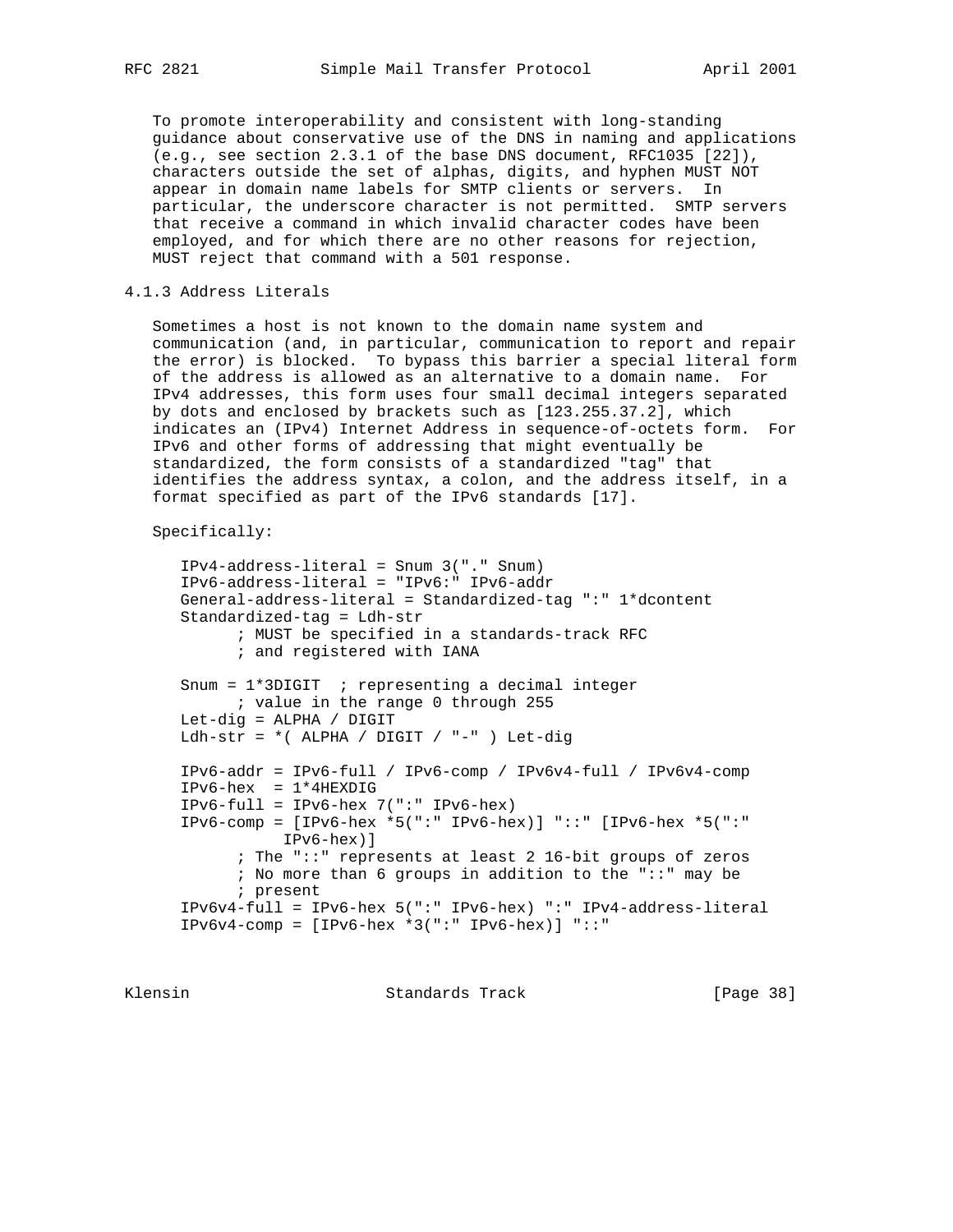To promote interoperability and consistent with long-standing guidance about conservative use of the DNS in naming and applications (e.g., see section 2.3.1 of the base DNS document, RFC1035 [22]), characters outside the set of alphas, digits, and hyphen MUST NOT appear in domain name labels for SMTP clients or servers. In particular, the underscore character is not permitted. SMTP servers that receive a command in which invalid character codes have been employed, and for which there are no other reasons for rejection, MUST reject that command with a 501 response.

## 4.1.3 Address Literals

 Sometimes a host is not known to the domain name system and communication (and, in particular, communication to report and repair the error) is blocked. To bypass this barrier a special literal form of the address is allowed as an alternative to a domain name. For IPv4 addresses, this form uses four small decimal integers separated by dots and enclosed by brackets such as [123.255.37.2], which indicates an (IPv4) Internet Address in sequence-of-octets form. For IPv6 and other forms of addressing that might eventually be standardized, the form consists of a standardized "tag" that identifies the address syntax, a colon, and the address itself, in a format specified as part of the IPv6 standards [17].

# Specifically:

```
 IPv4-address-literal = Snum 3("." Snum)
 IPv6-address-literal = "IPv6:" IPv6-addr
 General-address-literal = Standardized-tag ":" 1*dcontent
 Standardized-tag = Ldh-str
       ; MUST be specified in a standards-track RFC
       ; and registered with IANA
Snum = 1*3DIGIT ; representing a decimal integer
      ; value in the range 0 through 255
 Let-dig = ALPHA / DIGIT
 Ldh-str = *( ALPHA / DIGIT / "-" ) Let-dig
 IPv6-addr = IPv6-full / IPv6-comp / IPv6v4-full / IPv6v4-comp
IPv6-hex = 1*4HEXDIGIPv6-full = IPv6-hex 7(":: " IPv6-hex) IPv6-comp = [IPv6-hex *5(":" IPv6-hex)] "::" [IPv6-hex *5(":"
            IPv6-hex)]
       ; The "::" represents at least 2 16-bit groups of zeros
       ; No more than 6 groups in addition to the "::" may be
       ; present
 IPv6v4-full = IPv6-hex 5(":" IPv6-hex) ":" IPv4-address-literal
IPv6v4-comp = [IPv6-hex *3(":: " IPv6-hex)] "::"
```
Klensin Chamber Standards Track [Page 38]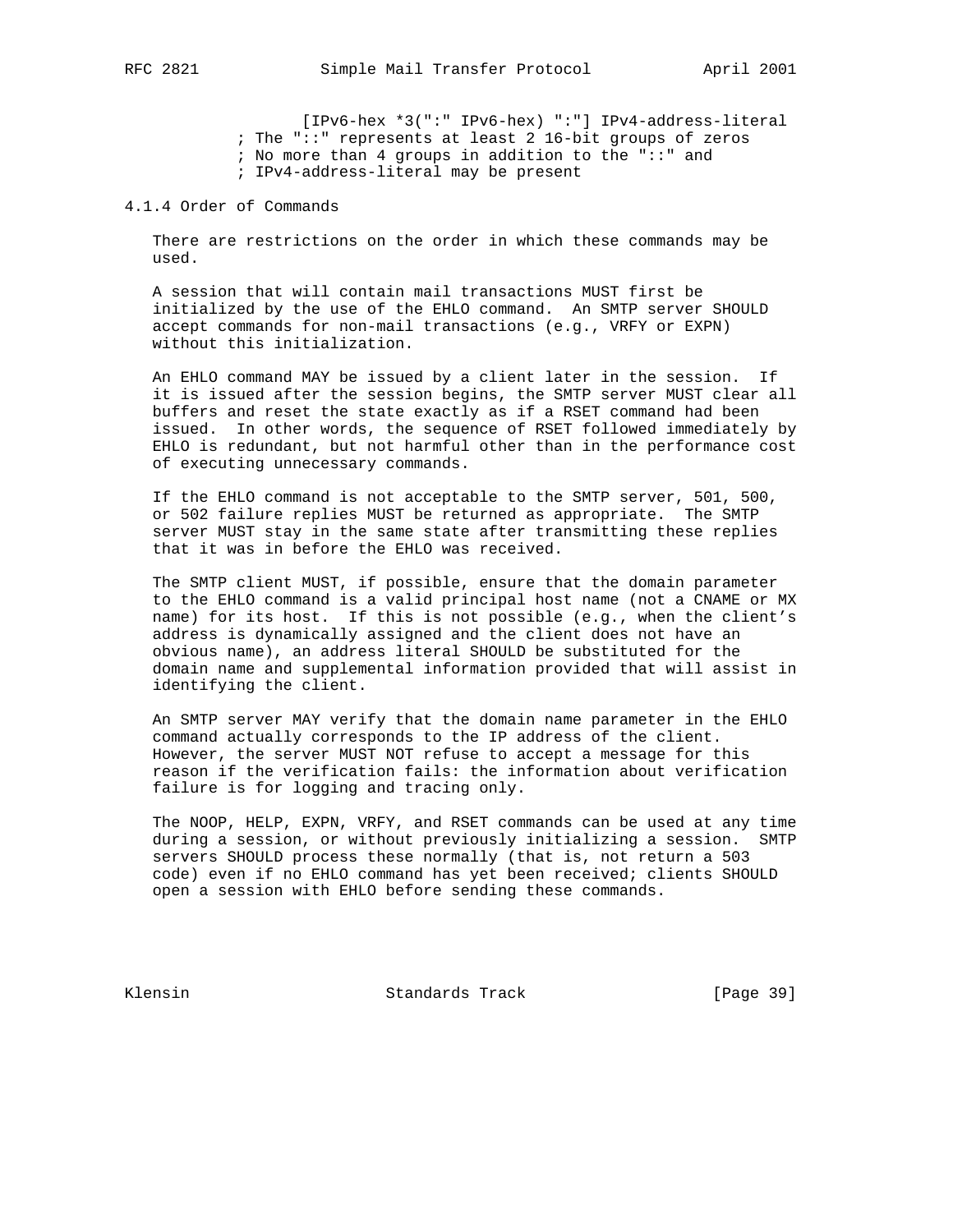[IPv6-hex \*3(":" IPv6-hex) ":"] IPv4-address-literal ; The "::" represents at least 2 16-bit groups of zeros ; No more than 4 groups in addition to the "::" and ; IPv4-address-literal may be present

### 4.1.4 Order of Commands

 There are restrictions on the order in which these commands may be used.

 A session that will contain mail transactions MUST first be initialized by the use of the EHLO command. An SMTP server SHOULD accept commands for non-mail transactions (e.g., VRFY or EXPN) without this initialization.

 An EHLO command MAY be issued by a client later in the session. If it is issued after the session begins, the SMTP server MUST clear all buffers and reset the state exactly as if a RSET command had been issued. In other words, the sequence of RSET followed immediately by EHLO is redundant, but not harmful other than in the performance cost of executing unnecessary commands.

 If the EHLO command is not acceptable to the SMTP server, 501, 500, or 502 failure replies MUST be returned as appropriate. The SMTP server MUST stay in the same state after transmitting these replies that it was in before the EHLO was received.

 The SMTP client MUST, if possible, ensure that the domain parameter to the EHLO command is a valid principal host name (not a CNAME or MX name) for its host. If this is not possible (e.g., when the client's address is dynamically assigned and the client does not have an obvious name), an address literal SHOULD be substituted for the domain name and supplemental information provided that will assist in identifying the client.

 An SMTP server MAY verify that the domain name parameter in the EHLO command actually corresponds to the IP address of the client. However, the server MUST NOT refuse to accept a message for this reason if the verification fails: the information about verification failure is for logging and tracing only.

 The NOOP, HELP, EXPN, VRFY, and RSET commands can be used at any time during a session, or without previously initializing a session. SMTP servers SHOULD process these normally (that is, not return a 503 code) even if no EHLO command has yet been received; clients SHOULD open a session with EHLO before sending these commands.

Klensin Standards Track [Page 39]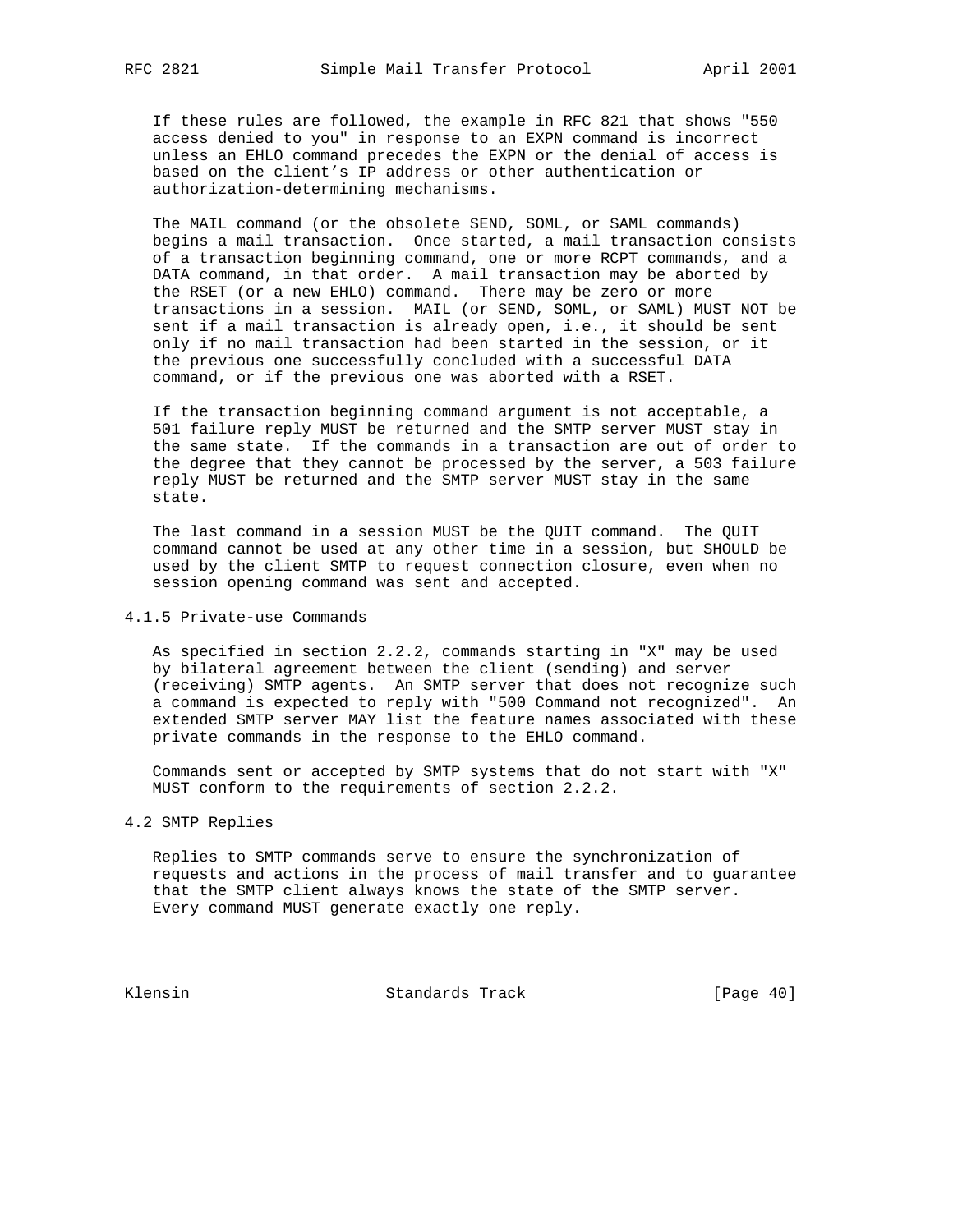If these rules are followed, the example in RFC 821 that shows "550 access denied to you" in response to an EXPN command is incorrect unless an EHLO command precedes the EXPN or the denial of access is based on the client's IP address or other authentication or authorization-determining mechanisms.

 The MAIL command (or the obsolete SEND, SOML, or SAML commands) begins a mail transaction. Once started, a mail transaction consists of a transaction beginning command, one or more RCPT commands, and a DATA command, in that order. A mail transaction may be aborted by the RSET (or a new EHLO) command. There may be zero or more transactions in a session. MAIL (or SEND, SOML, or SAML) MUST NOT be sent if a mail transaction is already open, i.e., it should be sent only if no mail transaction had been started in the session, or it the previous one successfully concluded with a successful DATA command, or if the previous one was aborted with a RSET.

 If the transaction beginning command argument is not acceptable, a 501 failure reply MUST be returned and the SMTP server MUST stay in the same state. If the commands in a transaction are out of order to the degree that they cannot be processed by the server, a 503 failure reply MUST be returned and the SMTP server MUST stay in the same state.

 The last command in a session MUST be the QUIT command. The QUIT command cannot be used at any other time in a session, but SHOULD be used by the client SMTP to request connection closure, even when no session opening command was sent and accepted.

### 4.1.5 Private-use Commands

 As specified in section 2.2.2, commands starting in "X" may be used by bilateral agreement between the client (sending) and server (receiving) SMTP agents. An SMTP server that does not recognize such a command is expected to reply with "500 Command not recognized". An extended SMTP server MAY list the feature names associated with these private commands in the response to the EHLO command.

 Commands sent or accepted by SMTP systems that do not start with "X" MUST conform to the requirements of section 2.2.2.

## 4.2 SMTP Replies

 Replies to SMTP commands serve to ensure the synchronization of requests and actions in the process of mail transfer and to guarantee that the SMTP client always knows the state of the SMTP server. Every command MUST generate exactly one reply.

Klensin Standards Track [Page 40]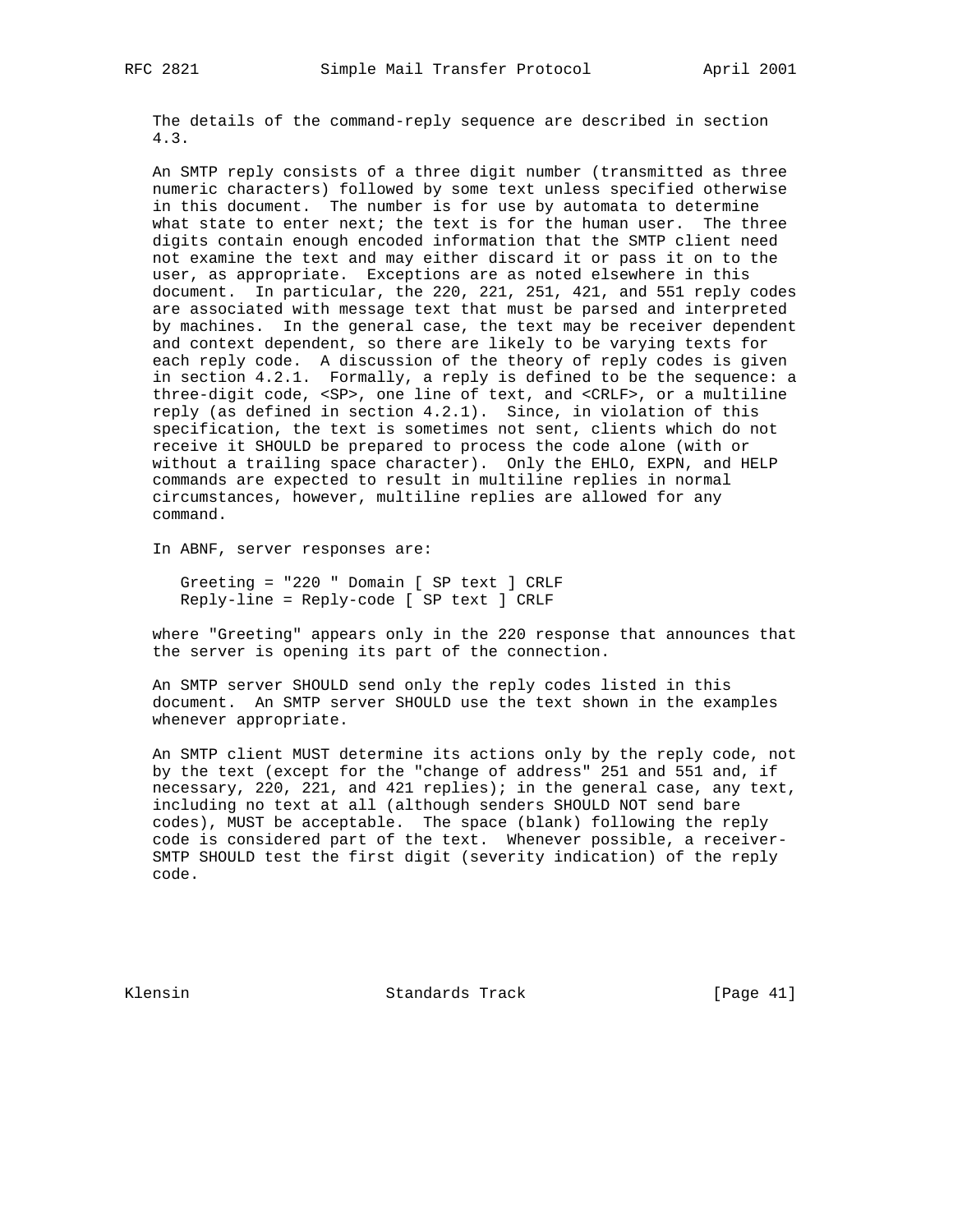The details of the command-reply sequence are described in section 4.3.

 An SMTP reply consists of a three digit number (transmitted as three numeric characters) followed by some text unless specified otherwise in this document. The number is for use by automata to determine what state to enter next; the text is for the human user. The three digits contain enough encoded information that the SMTP client need not examine the text and may either discard it or pass it on to the user, as appropriate. Exceptions are as noted elsewhere in this document. In particular, the 220, 221, 251, 421, and 551 reply codes are associated with message text that must be parsed and interpreted by machines. In the general case, the text may be receiver dependent and context dependent, so there are likely to be varying texts for each reply code. A discussion of the theory of reply codes is given in section 4.2.1. Formally, a reply is defined to be the sequence: a three-digit code, <SP>, one line of text, and <CRLF>, or a multiline reply (as defined in section 4.2.1). Since, in violation of this specification, the text is sometimes not sent, clients which do not receive it SHOULD be prepared to process the code alone (with or without a trailing space character). Only the EHLO, EXPN, and HELP commands are expected to result in multiline replies in normal circumstances, however, multiline replies are allowed for any command.

In ABNF, server responses are:

 Greeting = "220 " Domain [ SP text ] CRLF Reply-line = Reply-code [ SP text ] CRLF

 where "Greeting" appears only in the 220 response that announces that the server is opening its part of the connection.

 An SMTP server SHOULD send only the reply codes listed in this document. An SMTP server SHOULD use the text shown in the examples whenever appropriate.

 An SMTP client MUST determine its actions only by the reply code, not by the text (except for the "change of address" 251 and 551 and, if necessary, 220, 221, and 421 replies); in the general case, any text, including no text at all (although senders SHOULD NOT send bare codes), MUST be acceptable. The space (blank) following the reply code is considered part of the text. Whenever possible, a receiver- SMTP SHOULD test the first digit (severity indication) of the reply code.

Klensin Chamber Standards Track [Page 41]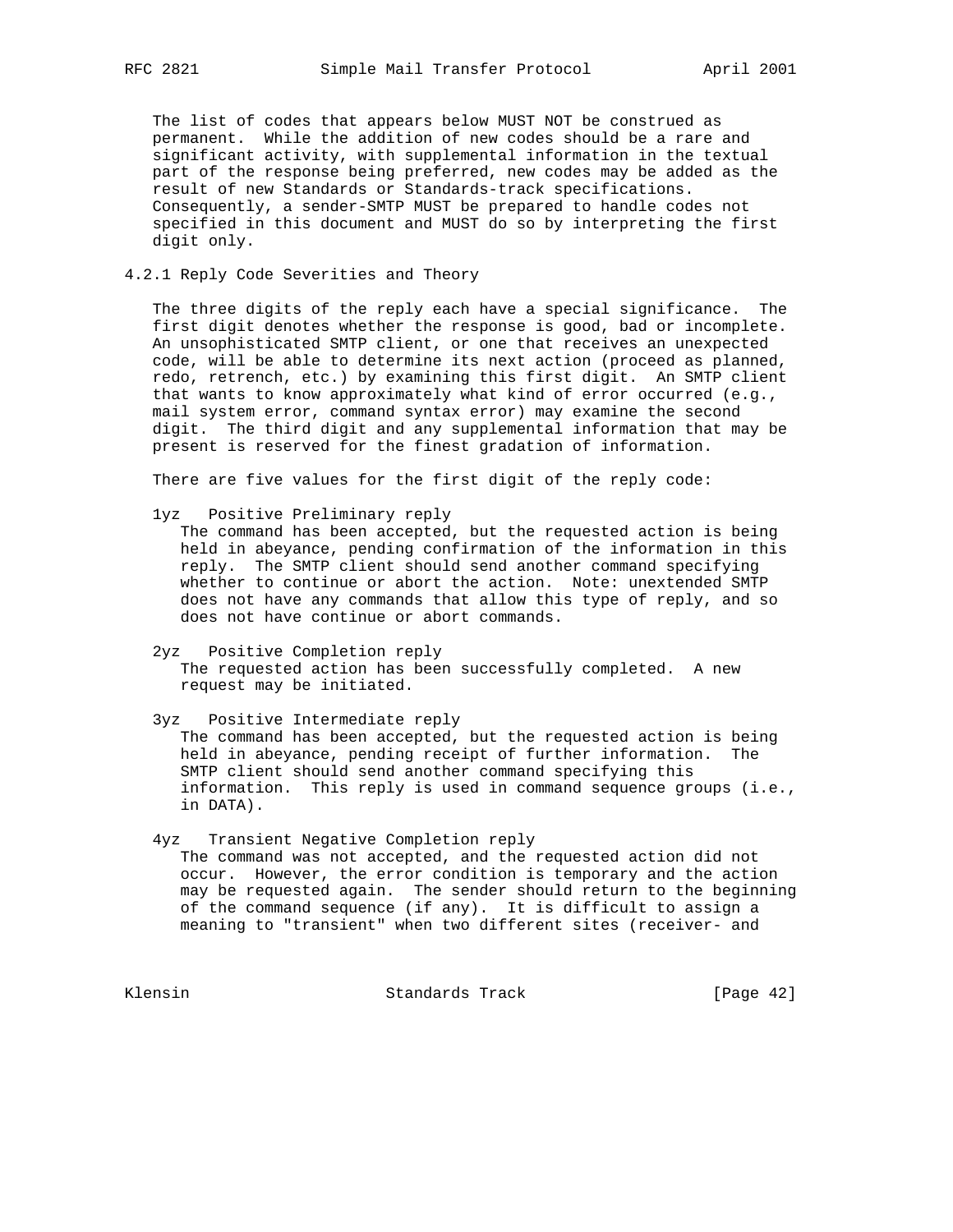The list of codes that appears below MUST NOT be construed as permanent. While the addition of new codes should be a rare and significant activity, with supplemental information in the textual part of the response being preferred, new codes may be added as the result of new Standards or Standards-track specifications. Consequently, a sender-SMTP MUST be prepared to handle codes not specified in this document and MUST do so by interpreting the first digit only.

# 4.2.1 Reply Code Severities and Theory

 The three digits of the reply each have a special significance. The first digit denotes whether the response is good, bad or incomplete. An unsophisticated SMTP client, or one that receives an unexpected code, will be able to determine its next action (proceed as planned, redo, retrench, etc.) by examining this first digit. An SMTP client that wants to know approximately what kind of error occurred (e.g., mail system error, command syntax error) may examine the second digit. The third digit and any supplemental information that may be present is reserved for the finest gradation of information.

There are five values for the first digit of the reply code:

- 1yz Positive Preliminary reply
	- The command has been accepted, but the requested action is being held in abeyance, pending confirmation of the information in this reply. The SMTP client should send another command specifying whether to continue or abort the action. Note: unextended SMTP does not have any commands that allow this type of reply, and so does not have continue or abort commands.
- 2yz Positive Completion reply The requested action has been successfully completed. A new request may be initiated.
- 3yz Positive Intermediate reply The command has been accepted, but the requested action is being held in abeyance, pending receipt of further information. The SMTP client should send another command specifying this information. This reply is used in command sequence groups (i.e., in DATA).
- 4yz Transient Negative Completion reply The command was not accepted, and the requested action did not occur. However, the error condition is temporary and the action may be requested again. The sender should return to the beginning of the command sequence (if any). It is difficult to assign a meaning to "transient" when two different sites (receiver- and

Klensin Chamber Standards Track [Page 42]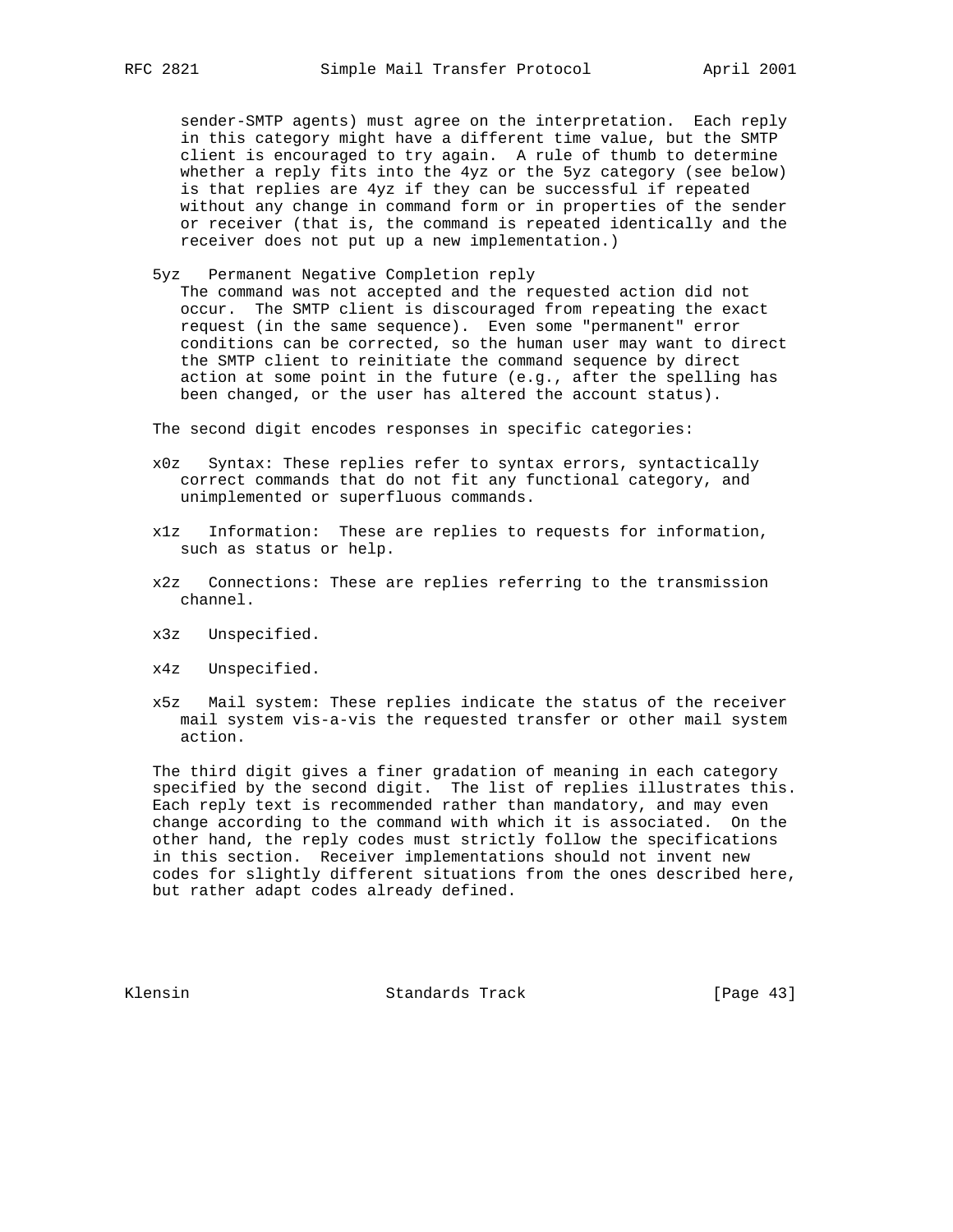sender-SMTP agents) must agree on the interpretation. Each reply in this category might have a different time value, but the SMTP client is encouraged to try again. A rule of thumb to determine whether a reply fits into the 4yz or the 5yz category (see below) is that replies are 4yz if they can be successful if repeated without any change in command form or in properties of the sender or receiver (that is, the command is repeated identically and the receiver does not put up a new implementation.)

 5yz Permanent Negative Completion reply The command was not accepted and the requested action did not occur. The SMTP client is discouraged from repeating the exact request (in the same sequence). Even some "permanent" error conditions can be corrected, so the human user may want to direct the SMTP client to reinitiate the command sequence by direct action at some point in the future (e.g., after the spelling has been changed, or the user has altered the account status).

The second digit encodes responses in specific categories:

- x0z Syntax: These replies refer to syntax errors, syntactically correct commands that do not fit any functional category, and unimplemented or superfluous commands.
- x1z Information: These are replies to requests for information, such as status or help.
- x2z Connections: These are replies referring to the transmission channel.
- x3z Unspecified.
- x4z Unspecified.
- x5z Mail system: These replies indicate the status of the receiver mail system vis-a-vis the requested transfer or other mail system action.

 The third digit gives a finer gradation of meaning in each category specified by the second digit. The list of replies illustrates this. Each reply text is recommended rather than mandatory, and may even change according to the command with which it is associated. On the other hand, the reply codes must strictly follow the specifications in this section. Receiver implementations should not invent new codes for slightly different situations from the ones described here, but rather adapt codes already defined.

Klensin Chamber Standards Track [Page 43]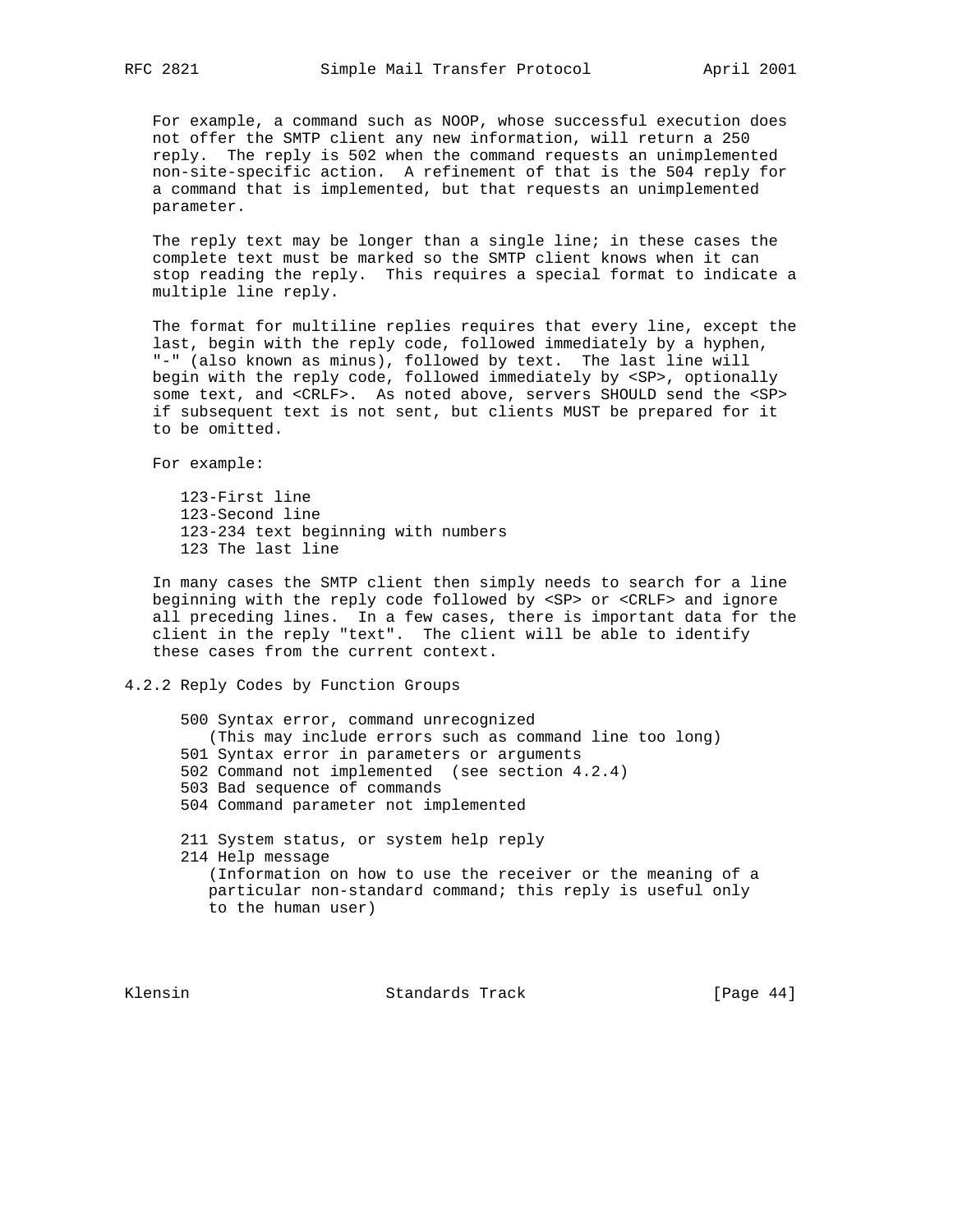For example, a command such as NOOP, whose successful execution does not offer the SMTP client any new information, will return a 250 reply. The reply is 502 when the command requests an unimplemented non-site-specific action. A refinement of that is the 504 reply for a command that is implemented, but that requests an unimplemented parameter.

The reply text may be longer than a single line; in these cases the complete text must be marked so the SMTP client knows when it can stop reading the reply. This requires a special format to indicate a multiple line reply.

 The format for multiline replies requires that every line, except the last, begin with the reply code, followed immediately by a hyphen, "-" (also known as minus), followed by text. The last line will begin with the reply code, followed immediately by <SP>, optionally some text, and <CRLF>. As noted above, servers SHOULD send the <SP> if subsequent text is not sent, but clients MUST be prepared for it to be omitted.

For example:

 123-First line 123-Second line 123-234 text beginning with numbers 123 The last line

 In many cases the SMTP client then simply needs to search for a line beginning with the reply code followed by <SP> or <CRLF> and ignore all preceding lines. In a few cases, there is important data for the client in the reply "text". The client will be able to identify these cases from the current context.

4.2.2 Reply Codes by Function Groups

 500 Syntax error, command unrecognized (This may include errors such as command line too long) 501 Syntax error in parameters or arguments 502 Command not implemented (see section 4.2.4) 503 Bad sequence of commands 504 Command parameter not implemented 211 System status, or system help reply 214 Help message (Information on how to use the receiver or the meaning of a particular non-standard command; this reply is useful only to the human user)

Klensin Standards Track [Page 44]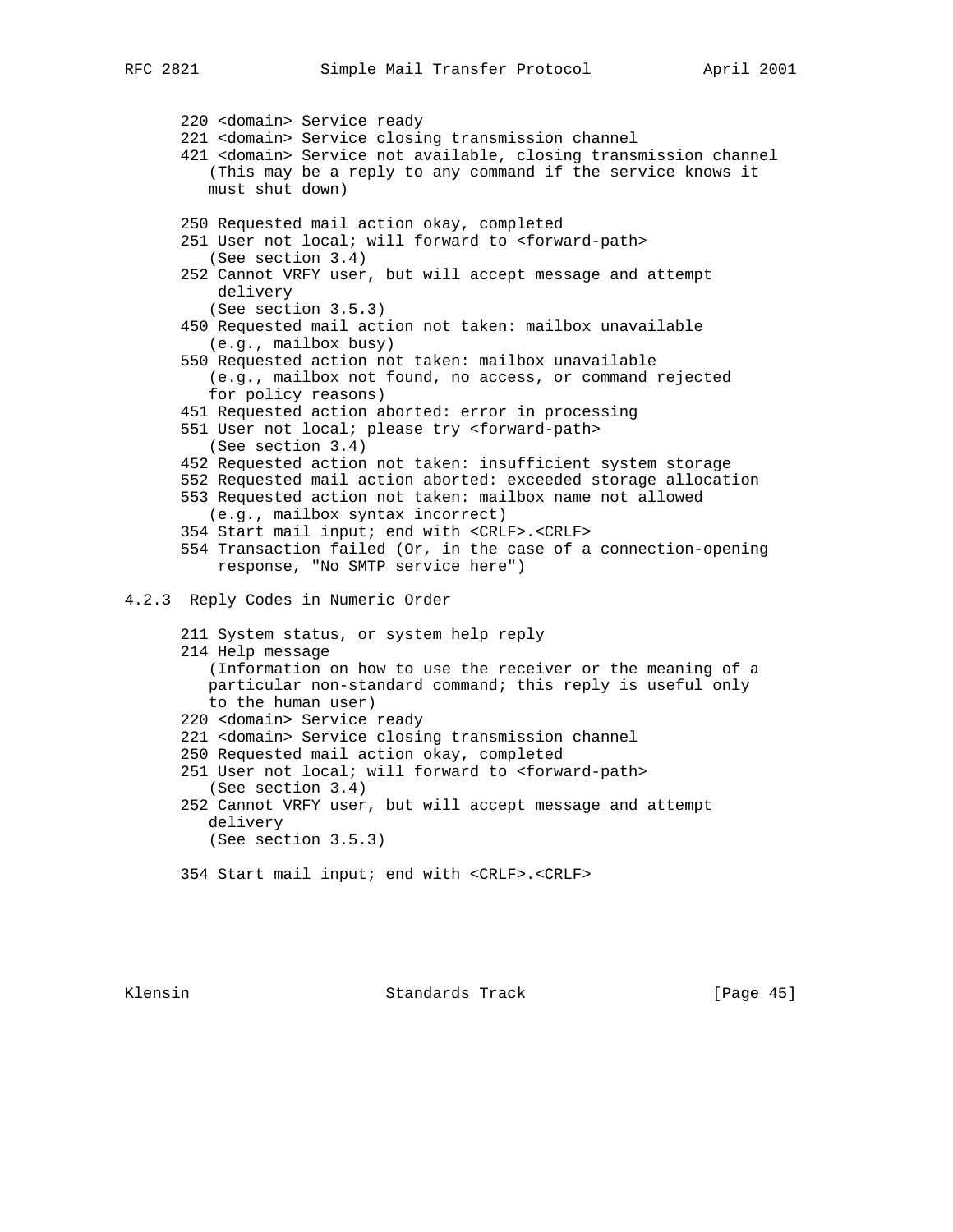```
 220 <domain> Service ready
       221 <domain> Service closing transmission channel
       421 <domain> Service not available, closing transmission channel
          (This may be a reply to any command if the service knows it
         must shut down)
       250 Requested mail action okay, completed
       251 User not local; will forward to <forward-path>
          (See section 3.4)
       252 Cannot VRFY user, but will accept message and attempt
          delivery
          (See section 3.5.3)
       450 Requested mail action not taken: mailbox unavailable
          (e.g., mailbox busy)
       550 Requested action not taken: mailbox unavailable
         (e.g., mailbox not found, no access, or command rejected
         for policy reasons)
       451 Requested action aborted: error in processing
       551 User not local; please try <forward-path>
         (See section 3.4)
       452 Requested action not taken: insufficient system storage
       552 Requested mail action aborted: exceeded storage allocation
       553 Requested action not taken: mailbox name not allowed
          (e.g., mailbox syntax incorrect)
       354 Start mail input; end with <CRLF>.<CRLF>
       554 Transaction failed (Or, in the case of a connection-opening
           response, "No SMTP service here")
4.2.3 Reply Codes in Numeric Order
       211 System status, or system help reply
       214 Help message
         (Information on how to use the receiver or the meaning of a
         particular non-standard command; this reply is useful only
         to the human user)
       220 <domain> Service ready
       221 <domain> Service closing transmission channel
       250 Requested mail action okay, completed
       251 User not local; will forward to <forward-path>
         (See section 3.4)
       252 Cannot VRFY user, but will accept message and attempt
         delivery
          (See section 3.5.3)
       354 Start mail input; end with <CRLF>.<CRLF>
```
Klensin Charles Standards Track [Page 45]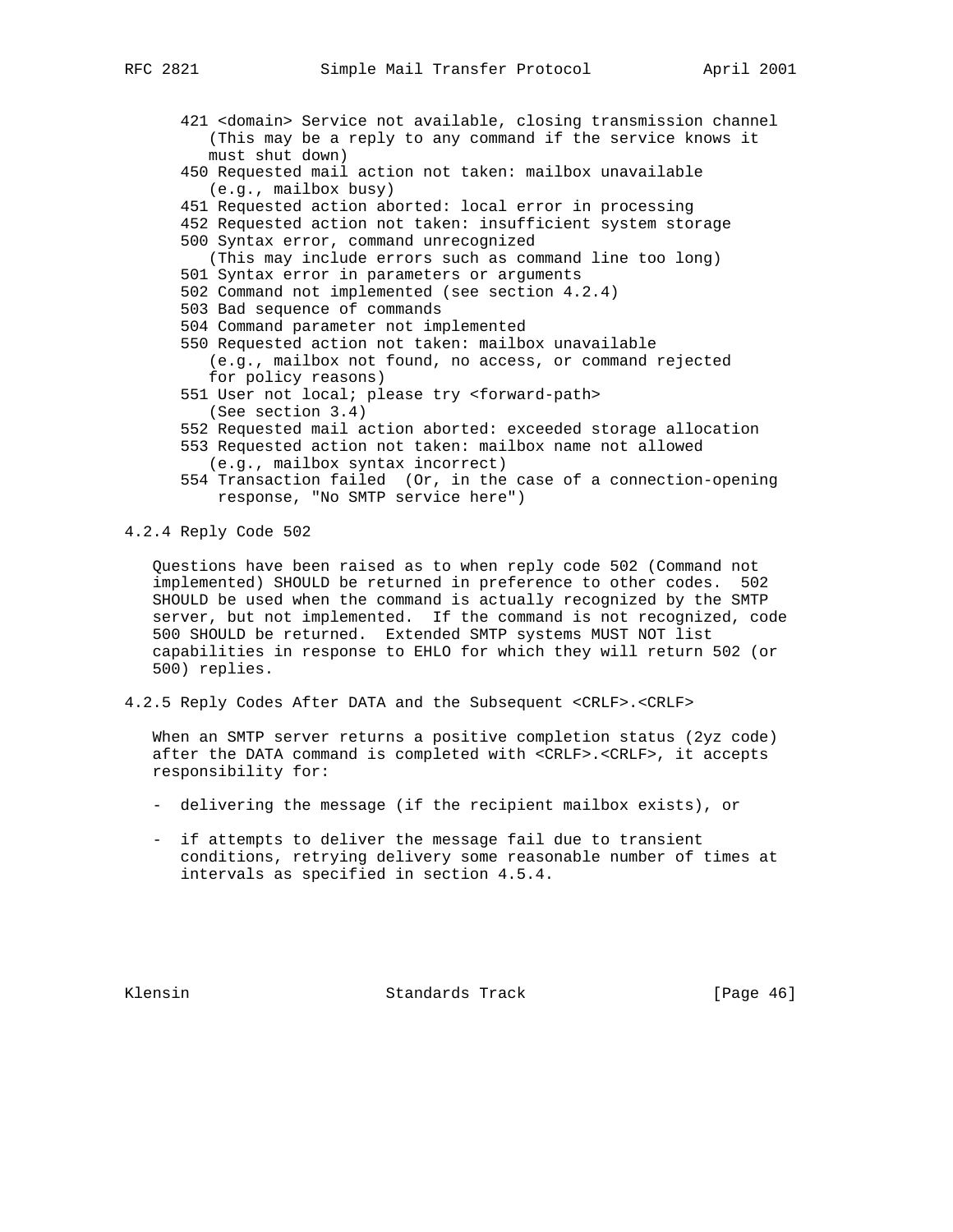- 421 <domain> Service not available, closing transmission channel (This may be a reply to any command if the service knows it must shut down)
- 450 Requested mail action not taken: mailbox unavailable (e.g., mailbox busy)
- 451 Requested action aborted: local error in processing
- 452 Requested action not taken: insufficient system storage 500 Syntax error, command unrecognized
- (This may include errors such as command line too long)
- 501 Syntax error in parameters or arguments
- 502 Command not implemented (see section 4.2.4)
- 503 Bad sequence of commands
- 504 Command parameter not implemented
- 550 Requested action not taken: mailbox unavailable (e.g., mailbox not found, no access, or command rejected for policy reasons)
- 551 User not local; please try <forward-path> (See section 3.4)
- 552 Requested mail action aborted: exceeded storage allocation
- 553 Requested action not taken: mailbox name not allowed (e.g., mailbox syntax incorrect)
- 554 Transaction failed (Or, in the case of a connection-opening response, "No SMTP service here")

4.2.4 Reply Code 502

 Questions have been raised as to when reply code 502 (Command not implemented) SHOULD be returned in preference to other codes. 502 SHOULD be used when the command is actually recognized by the SMTP server, but not implemented. If the command is not recognized, code 500 SHOULD be returned. Extended SMTP systems MUST NOT list capabilities in response to EHLO for which they will return 502 (or 500) replies.

4.2.5 Reply Codes After DATA and the Subsequent <CRLF>.<CRLF>

 When an SMTP server returns a positive completion status (2yz code) after the DATA command is completed with <CRLF>.<CRLF>, it accepts responsibility for:

- delivering the message (if the recipient mailbox exists), or
- if attempts to deliver the message fail due to transient conditions, retrying delivery some reasonable number of times at intervals as specified in section 4.5.4.

Klensin Charles Standards Track [Page 46]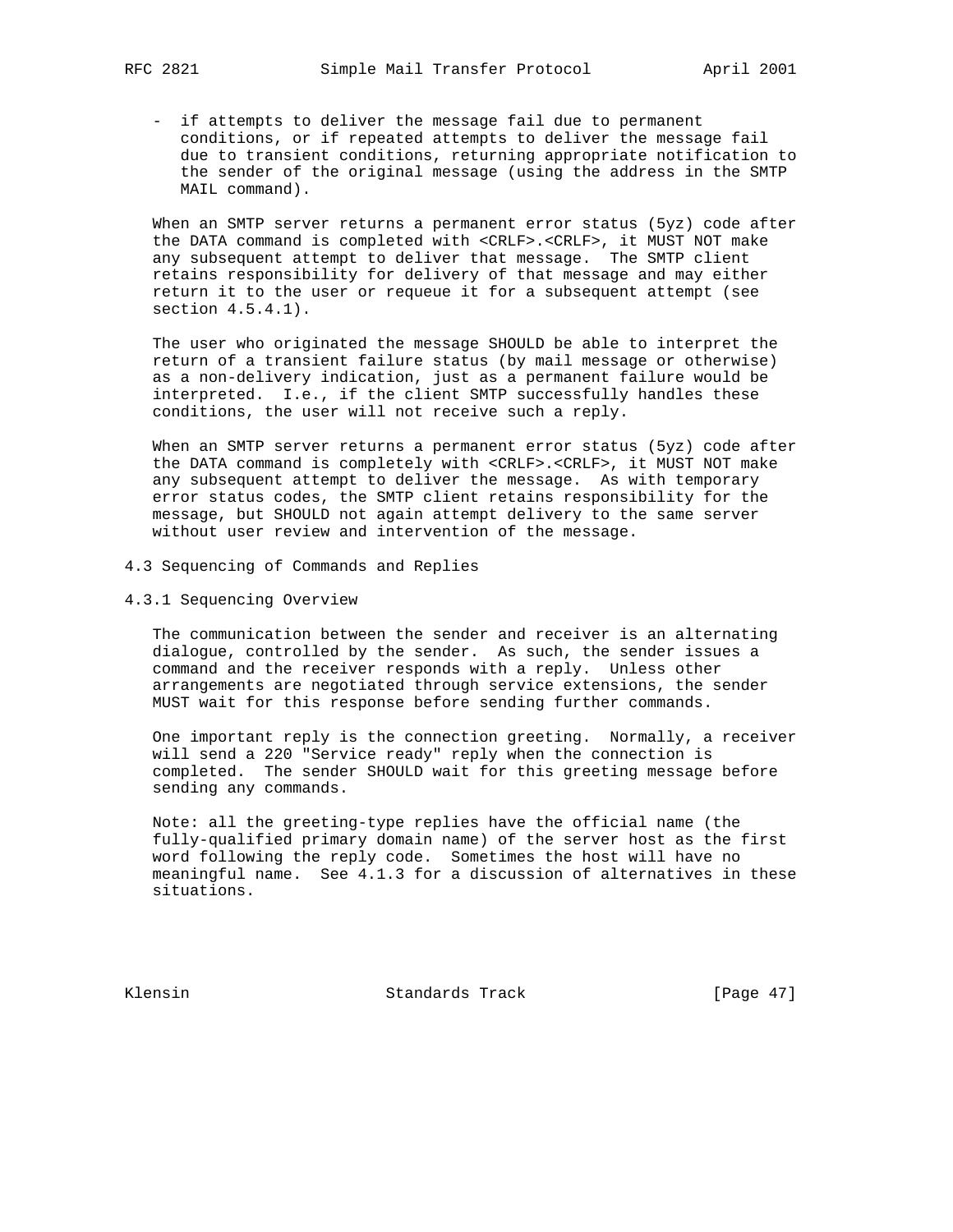- if attempts to deliver the message fail due to permanent conditions, or if repeated attempts to deliver the message fail due to transient conditions, returning appropriate notification to the sender of the original message (using the address in the SMTP MAIL command).

 When an SMTP server returns a permanent error status (5yz) code after the DATA command is completed with <CRLF>.<CRLF>, it MUST NOT make any subsequent attempt to deliver that message. The SMTP client retains responsibility for delivery of that message and may either return it to the user or requeue it for a subsequent attempt (see section  $4.5.4.1$ ).

 The user who originated the message SHOULD be able to interpret the return of a transient failure status (by mail message or otherwise) as a non-delivery indication, just as a permanent failure would be interpreted. I.e., if the client SMTP successfully handles these conditions, the user will not receive such a reply.

 When an SMTP server returns a permanent error status (5yz) code after the DATA command is completely with <CRLF>.<CRLF>, it MUST NOT make any subsequent attempt to deliver the message. As with temporary error status codes, the SMTP client retains responsibility for the message, but SHOULD not again attempt delivery to the same server without user review and intervention of the message.

- 4.3 Sequencing of Commands and Replies
- 4.3.1 Sequencing Overview

 The communication between the sender and receiver is an alternating dialogue, controlled by the sender. As such, the sender issues a command and the receiver responds with a reply. Unless other arrangements are negotiated through service extensions, the sender MUST wait for this response before sending further commands.

 One important reply is the connection greeting. Normally, a receiver will send a 220 "Service ready" reply when the connection is completed. The sender SHOULD wait for this greeting message before sending any commands.

 Note: all the greeting-type replies have the official name (the fully-qualified primary domain name) of the server host as the first word following the reply code. Sometimes the host will have no meaningful name. See 4.1.3 for a discussion of alternatives in these situations.

Klensin Standards Track [Page 47]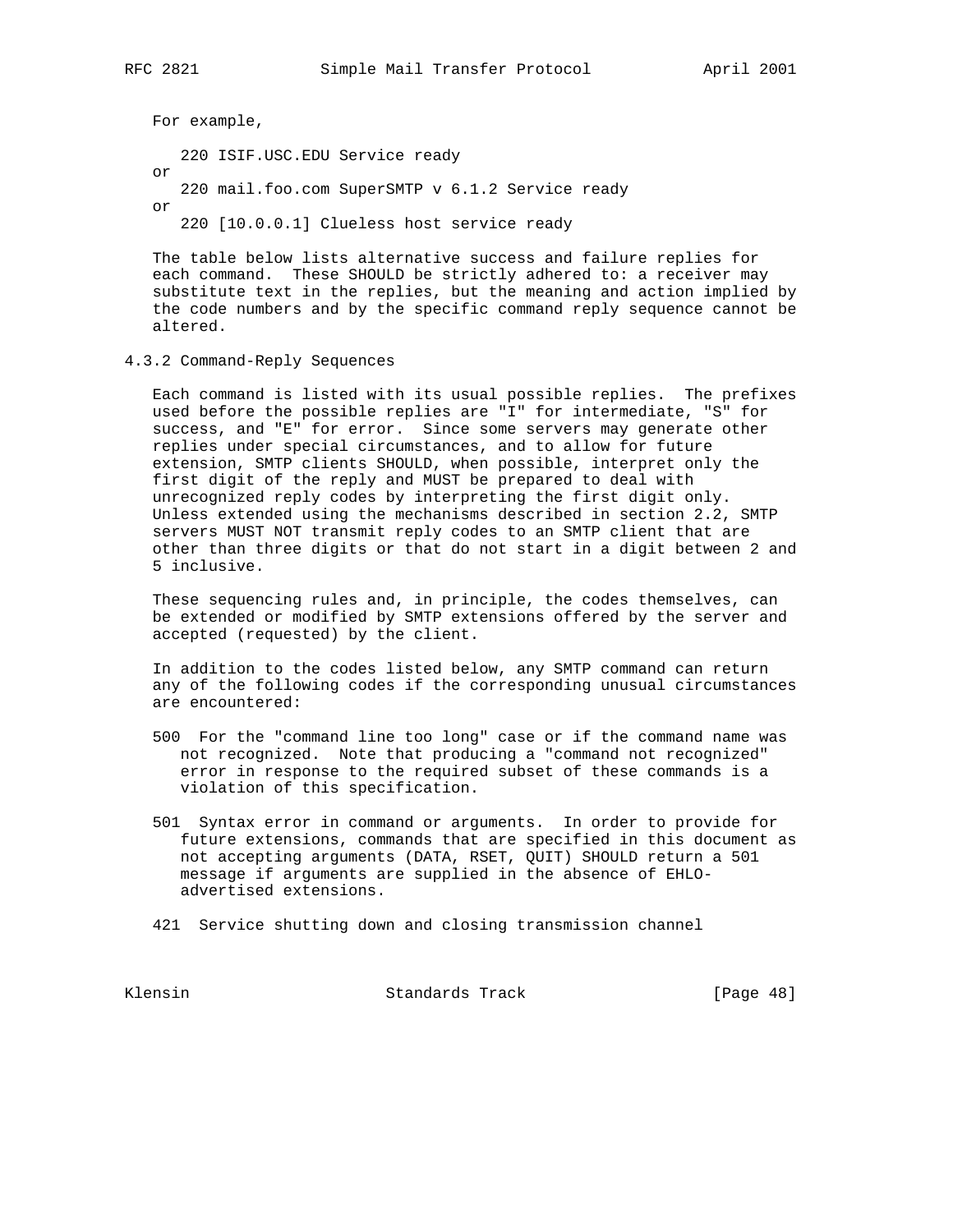For example,

220 ISIF.USC.EDU Service ready

220 mail.foo.com SuperSMTP v 6.1.2 Service ready

or

or

220 [10.0.0.1] Clueless host service ready

 The table below lists alternative success and failure replies for each command. These SHOULD be strictly adhered to: a receiver may substitute text in the replies, but the meaning and action implied by the code numbers and by the specific command reply sequence cannot be altered.

4.3.2 Command-Reply Sequences

 Each command is listed with its usual possible replies. The prefixes used before the possible replies are "I" for intermediate, "S" for success, and "E" for error. Since some servers may generate other replies under special circumstances, and to allow for future extension, SMTP clients SHOULD, when possible, interpret only the first digit of the reply and MUST be prepared to deal with unrecognized reply codes by interpreting the first digit only. Unless extended using the mechanisms described in section 2.2, SMTP servers MUST NOT transmit reply codes to an SMTP client that are other than three digits or that do not start in a digit between 2 and 5 inclusive.

 These sequencing rules and, in principle, the codes themselves, can be extended or modified by SMTP extensions offered by the server and accepted (requested) by the client.

 In addition to the codes listed below, any SMTP command can return any of the following codes if the corresponding unusual circumstances are encountered:

- 500 For the "command line too long" case or if the command name was not recognized. Note that producing a "command not recognized" error in response to the required subset of these commands is a violation of this specification.
- 501 Syntax error in command or arguments. In order to provide for future extensions, commands that are specified in this document as not accepting arguments (DATA, RSET, QUIT) SHOULD return a 501 message if arguments are supplied in the absence of EHLO advertised extensions.
- 421 Service shutting down and closing transmission channel

Klensin Chamber Standards Track [Page 48]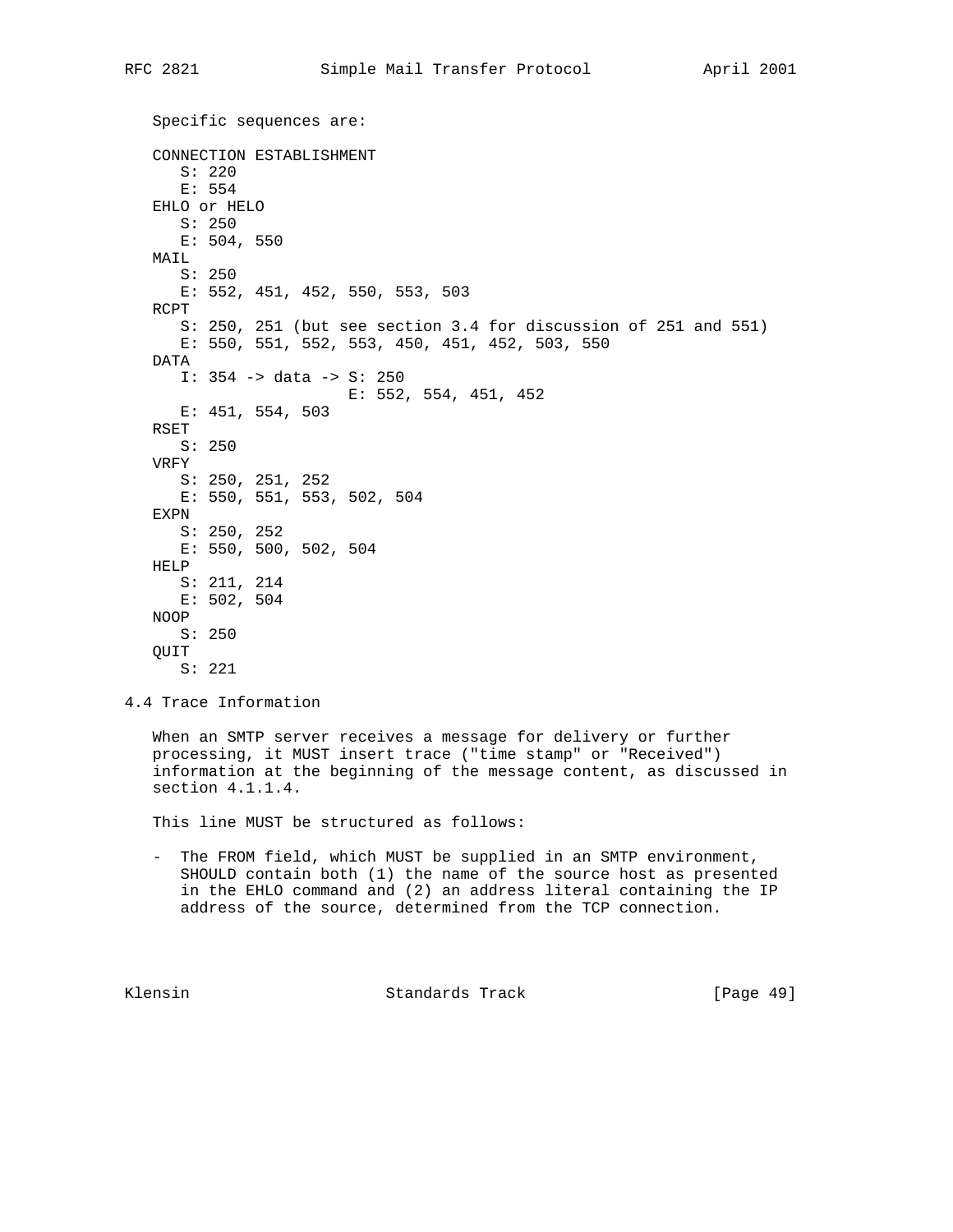Specific sequences are: CONNECTION ESTABLISHMENT S: 220 E: 554 EHLO or HELO S: 250 E: 504, 550 MAIL S: 250 E: 552, 451, 452, 550, 553, 503 RCPT S: 250, 251 (but see section 3.4 for discussion of 251 and 551) E: 550, 551, 552, 553, 450, 451, 452, 503, 550 DATA I: 354 -> data -> S: 250 E: 552, 554, 451, 452 E: 451, 554, 503 RSET S: 250 VRFY S: 250, 251, 252 E: 550, 551, 553, 502, 504 EXPN S: 250, 252 E: 550, 500, 502, 504 HELP S: 211, 214 E: 502, 504 NOOP S: 250 QUIT S: 221

4.4 Trace Information

 When an SMTP server receives a message for delivery or further processing, it MUST insert trace ("time stamp" or "Received") information at the beginning of the message content, as discussed in section 4.1.1.4.

This line MUST be structured as follows:

 - The FROM field, which MUST be supplied in an SMTP environment, SHOULD contain both (1) the name of the source host as presented in the EHLO command and (2) an address literal containing the IP address of the source, determined from the TCP connection.

Klensin Chamber Standards Track (Page 49)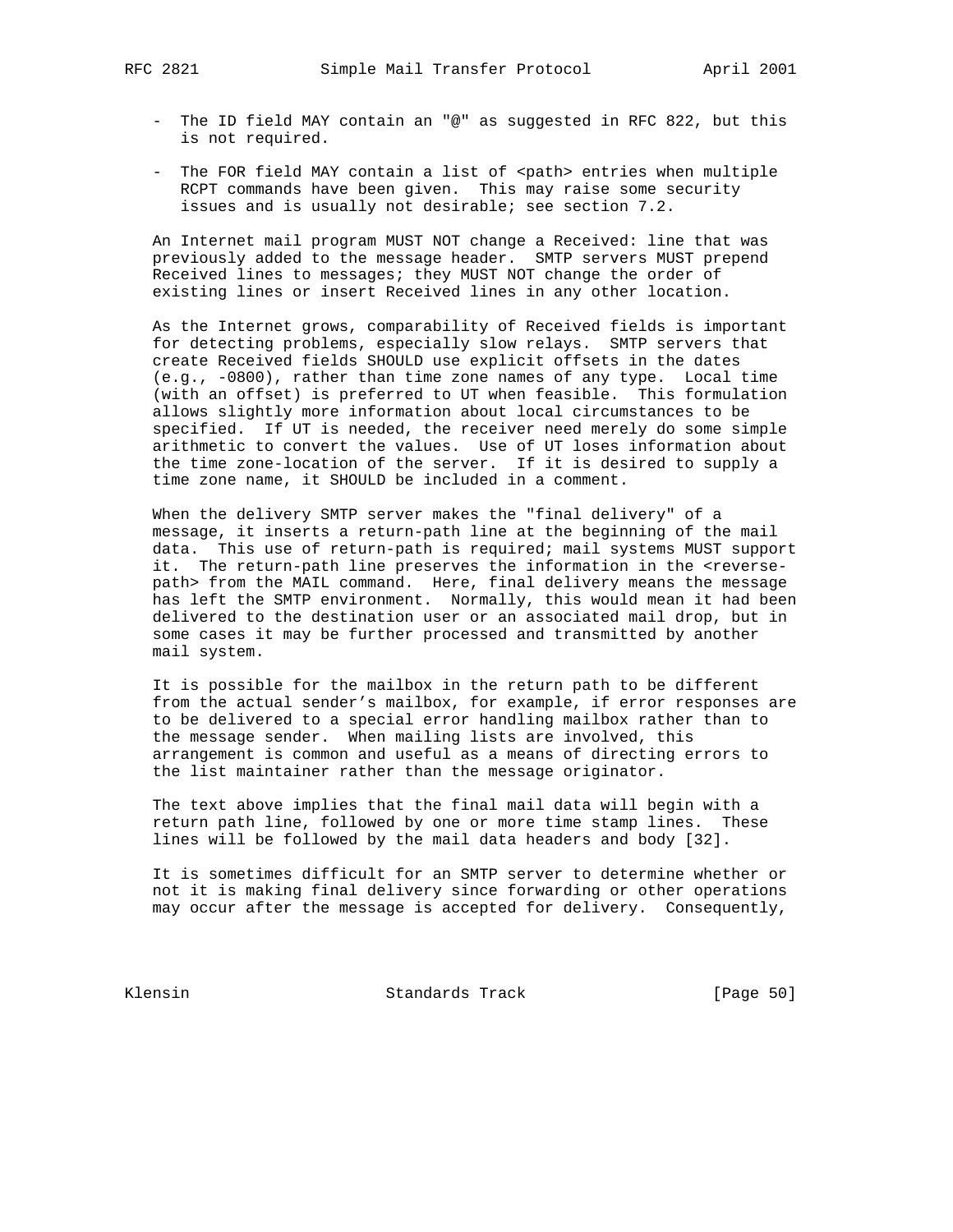- 
- The ID field MAY contain an "@" as suggested in RFC 822, but this is not required.
- The FOR field MAY contain a list of <path> entries when multiple RCPT commands have been given. This may raise some security issues and is usually not desirable; see section 7.2.

 An Internet mail program MUST NOT change a Received: line that was previously added to the message header. SMTP servers MUST prepend Received lines to messages; they MUST NOT change the order of existing lines or insert Received lines in any other location.

 As the Internet grows, comparability of Received fields is important for detecting problems, especially slow relays. SMTP servers that create Received fields SHOULD use explicit offsets in the dates (e.g., -0800), rather than time zone names of any type. Local time (with an offset) is preferred to UT when feasible. This formulation allows slightly more information about local circumstances to be specified. If UT is needed, the receiver need merely do some simple arithmetic to convert the values. Use of UT loses information about the time zone-location of the server. If it is desired to supply a time zone name, it SHOULD be included in a comment.

 When the delivery SMTP server makes the "final delivery" of a message, it inserts a return-path line at the beginning of the mail data. This use of return-path is required; mail systems MUST support it. The return-path line preserves the information in the <reverse path> from the MAIL command. Here, final delivery means the message has left the SMTP environment. Normally, this would mean it had been delivered to the destination user or an associated mail drop, but in some cases it may be further processed and transmitted by another mail system.

 It is possible for the mailbox in the return path to be different from the actual sender's mailbox, for example, if error responses are to be delivered to a special error handling mailbox rather than to the message sender. When mailing lists are involved, this arrangement is common and useful as a means of directing errors to the list maintainer rather than the message originator.

 The text above implies that the final mail data will begin with a return path line, followed by one or more time stamp lines. These lines will be followed by the mail data headers and body [32].

 It is sometimes difficult for an SMTP server to determine whether or not it is making final delivery since forwarding or other operations may occur after the message is accepted for delivery. Consequently,

Klensin Chamber Standards Track [Page 50]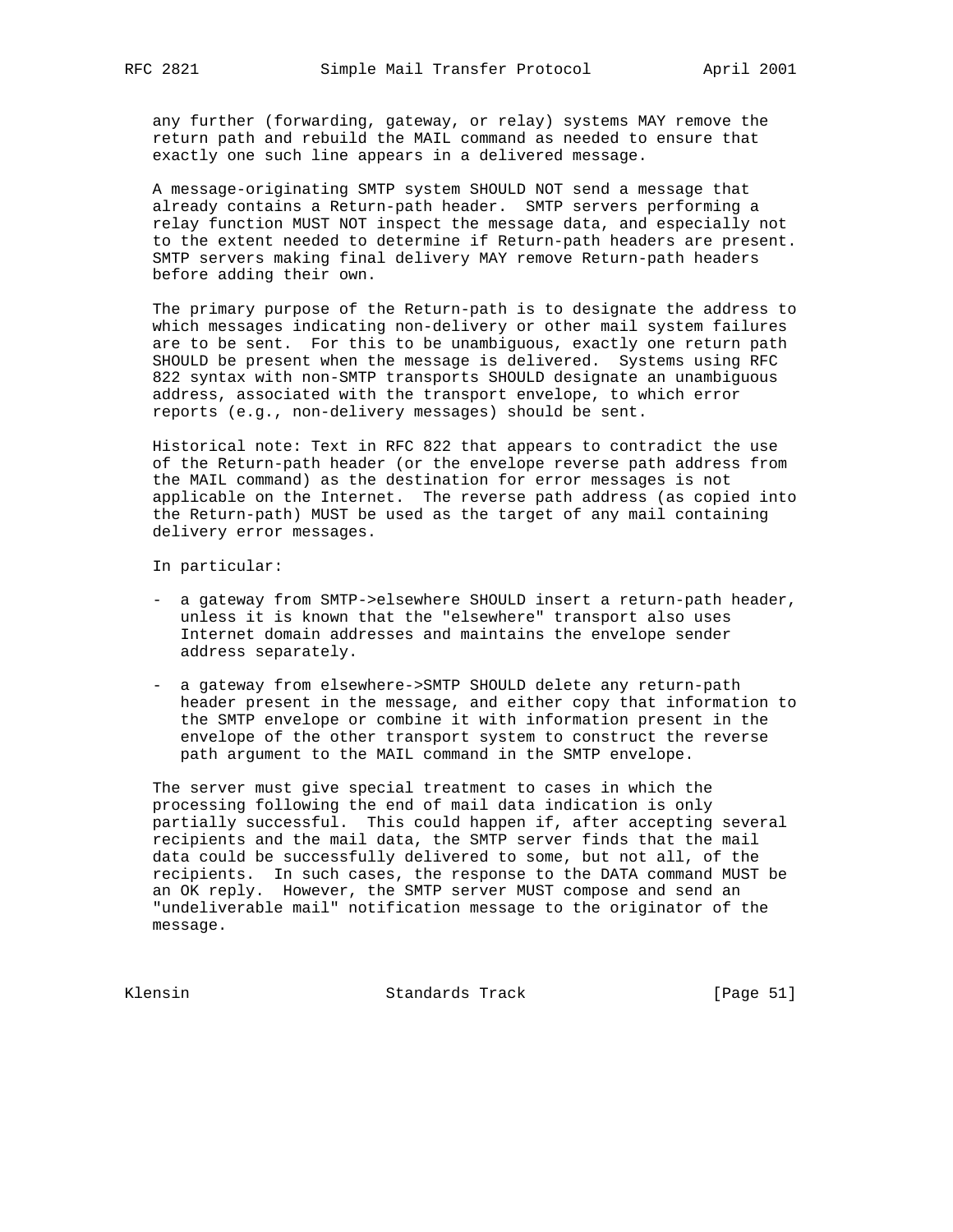any further (forwarding, gateway, or relay) systems MAY remove the return path and rebuild the MAIL command as needed to ensure that exactly one such line appears in a delivered message.

 A message-originating SMTP system SHOULD NOT send a message that already contains a Return-path header. SMTP servers performing a relay function MUST NOT inspect the message data, and especially not to the extent needed to determine if Return-path headers are present. SMTP servers making final delivery MAY remove Return-path headers before adding their own.

 The primary purpose of the Return-path is to designate the address to which messages indicating non-delivery or other mail system failures are to be sent. For this to be unambiguous, exactly one return path SHOULD be present when the message is delivered. Systems using RFC 822 syntax with non-SMTP transports SHOULD designate an unambiguous address, associated with the transport envelope, to which error reports (e.g., non-delivery messages) should be sent.

 Historical note: Text in RFC 822 that appears to contradict the use of the Return-path header (or the envelope reverse path address from the MAIL command) as the destination for error messages is not applicable on the Internet. The reverse path address (as copied into the Return-path) MUST be used as the target of any mail containing delivery error messages.

In particular:

- a gateway from SMTP->elsewhere SHOULD insert a return-path header, unless it is known that the "elsewhere" transport also uses Internet domain addresses and maintains the envelope sender address separately.
- a gateway from elsewhere->SMTP SHOULD delete any return-path header present in the message, and either copy that information to the SMTP envelope or combine it with information present in the envelope of the other transport system to construct the reverse path argument to the MAIL command in the SMTP envelope.

 The server must give special treatment to cases in which the processing following the end of mail data indication is only partially successful. This could happen if, after accepting several recipients and the mail data, the SMTP server finds that the mail data could be successfully delivered to some, but not all, of the recipients. In such cases, the response to the DATA command MUST be an OK reply. However, the SMTP server MUST compose and send an "undeliverable mail" notification message to the originator of the message.

Klensin Chamber Standards Track [Page 51]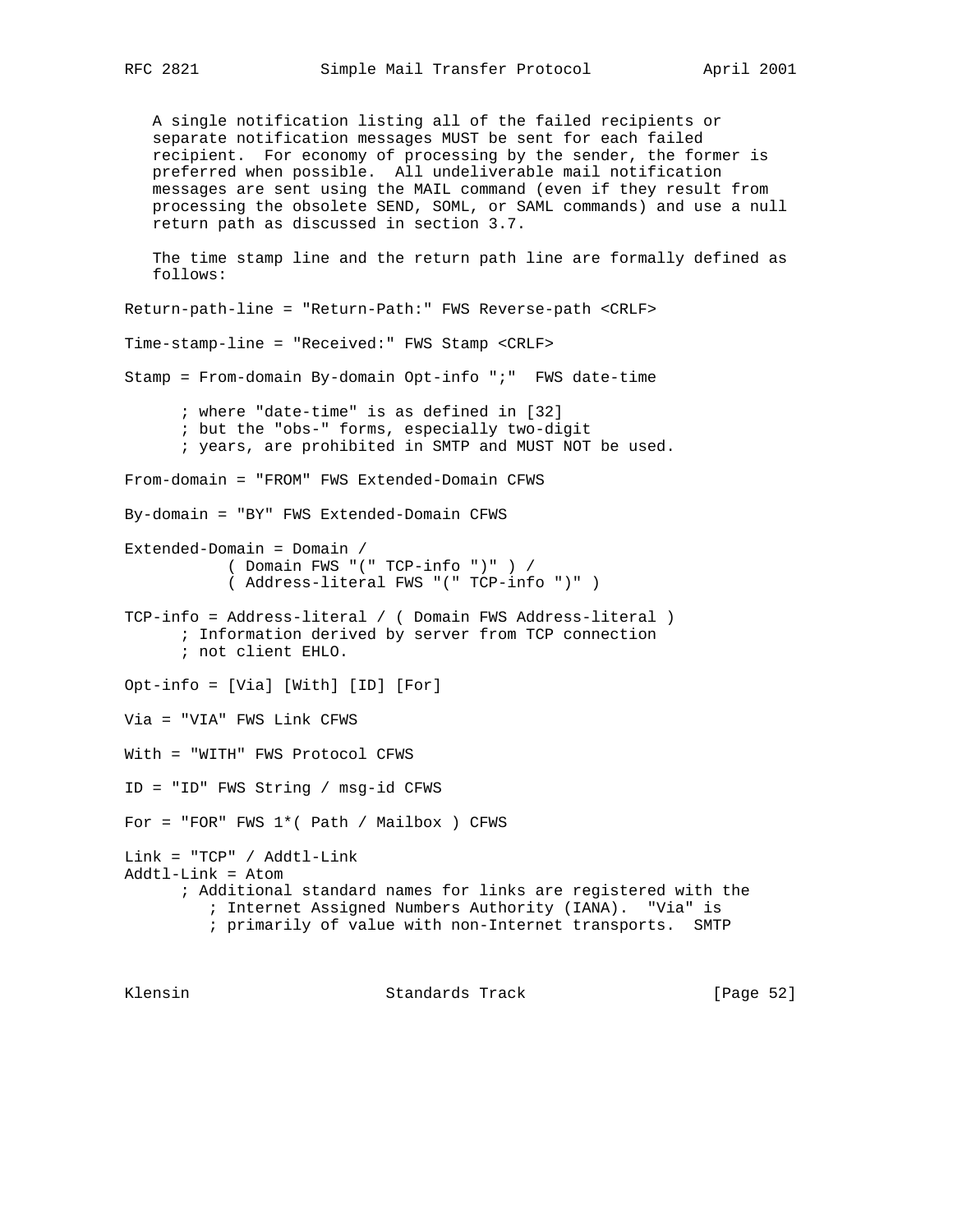A single notification listing all of the failed recipients or separate notification messages MUST be sent for each failed recipient. For economy of processing by the sender, the former is preferred when possible. All undeliverable mail notification messages are sent using the MAIL command (even if they result from processing the obsolete SEND, SOML, or SAML commands) and use a null return path as discussed in section 3.7. The time stamp line and the return path line are formally defined as follows: Return-path-line = "Return-Path:" FWS Reverse-path <CRLF> Time-stamp-line = "Received:" FWS Stamp <CRLF> Stamp = From-domain By-domain Opt-info ";" FWS date-time ; where "date-time" is as defined in [32] ; but the "obs-" forms, especially two-digit ; years, are prohibited in SMTP and MUST NOT be used. From-domain = "FROM" FWS Extended-Domain CFWS By-domain = "BY" FWS Extended-Domain CFWS Extended-Domain = Domain / ( Domain FWS "(" TCP-info ")" ) / ( Address-literal FWS "(" TCP-info ")" ) TCP-info = Address-literal / ( Domain FWS Address-literal ) ; Information derived by server from TCP connection ; not client EHLO. Opt-info = [Via] [With] [ID] [For] Via = "VIA" FWS Link CFWS With = "WITH" FWS Protocol CFWS ID = "ID" FWS String / msg-id CFWS For = "FOR" FWS  $1*($  Path / Mailbox ) CFWS Link = "TCP" / Addtl-Link Addtl-Link = Atom ; Additional standard names for links are registered with the ; Internet Assigned Numbers Authority (IANA). "Via" is ; primarily of value with non-Internet transports. SMTP

Klensin Changel Standards Track [Page 52]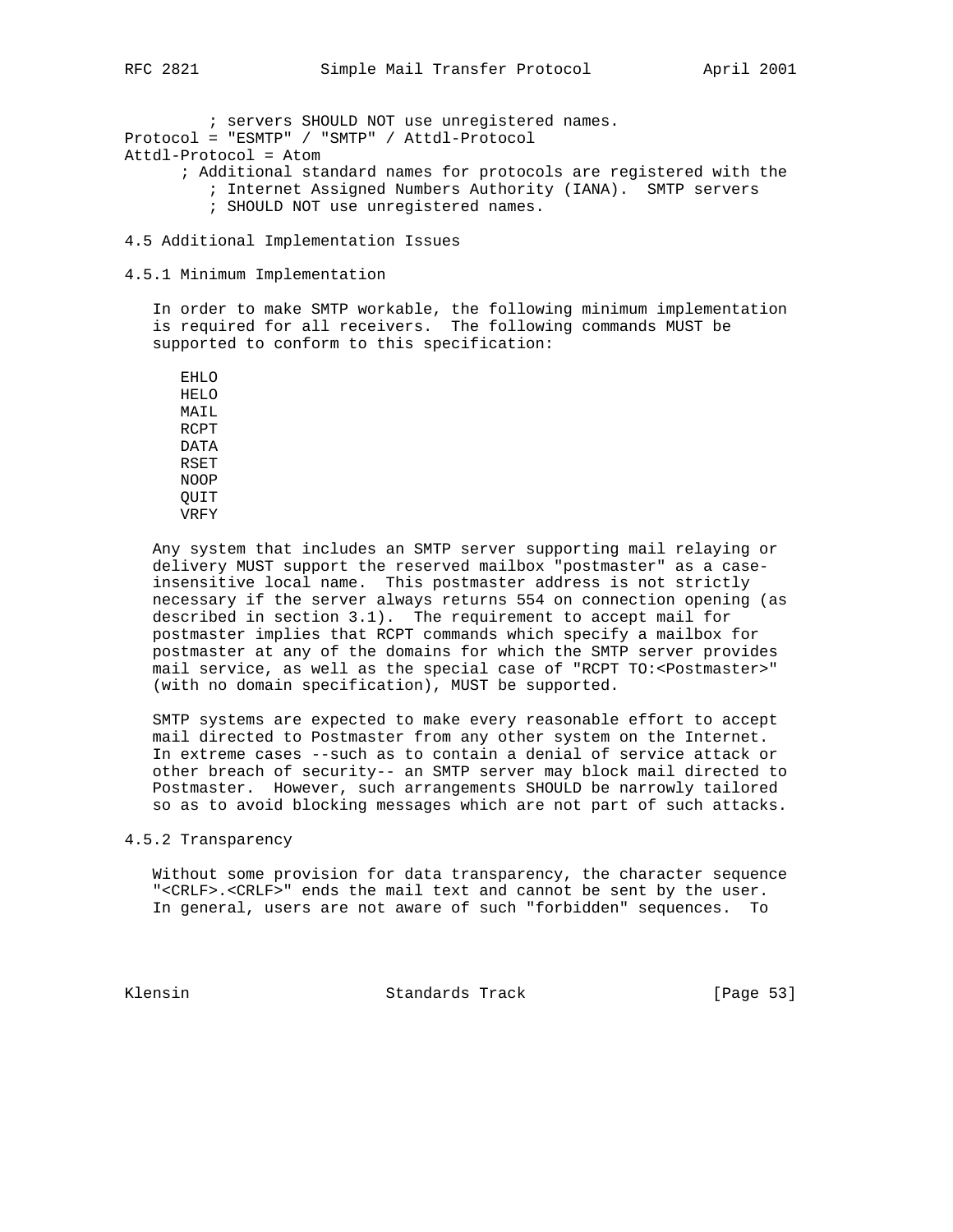|                       | ; servers SHOULD NOT use unregistered names.                      |  |
|-----------------------|-------------------------------------------------------------------|--|
|                       | $Protocol = "ESMTP" / "SMTP" / Attdl-Protocol$                    |  |
| Attdl-Protocol = Atom |                                                                   |  |
|                       | ; Additional standard names for protocols are registered with the |  |
|                       | ; Internet Assigned Numbers Authority (IANA). SMTP servers        |  |

- ; SHOULD NOT use unregistered names.
- 4.5 Additional Implementation Issues
- 4.5.1 Minimum Implementation

 In order to make SMTP workable, the following minimum implementation is required for all receivers. The following commands MUST be supported to conform to this specification:

 EHLO HELO MAIL RCPT DATA RSET NOOP QUIT VRFY

 Any system that includes an SMTP server supporting mail relaying or delivery MUST support the reserved mailbox "postmaster" as a case insensitive local name. This postmaster address is not strictly necessary if the server always returns 554 on connection opening (as described in section 3.1). The requirement to accept mail for postmaster implies that RCPT commands which specify a mailbox for postmaster at any of the domains for which the SMTP server provides mail service, as well as the special case of "RCPT TO:<Postmaster>" (with no domain specification), MUST be supported.

 SMTP systems are expected to make every reasonable effort to accept mail directed to Postmaster from any other system on the Internet. In extreme cases --such as to contain a denial of service attack or other breach of security-- an SMTP server may block mail directed to Postmaster. However, such arrangements SHOULD be narrowly tailored so as to avoid blocking messages which are not part of such attacks.

### 4.5.2 Transparency

 Without some provision for data transparency, the character sequence "<CRLF>.<CRLF>" ends the mail text and cannot be sent by the user. In general, users are not aware of such "forbidden" sequences. To

Klensin Charles Standards Track [Page 53]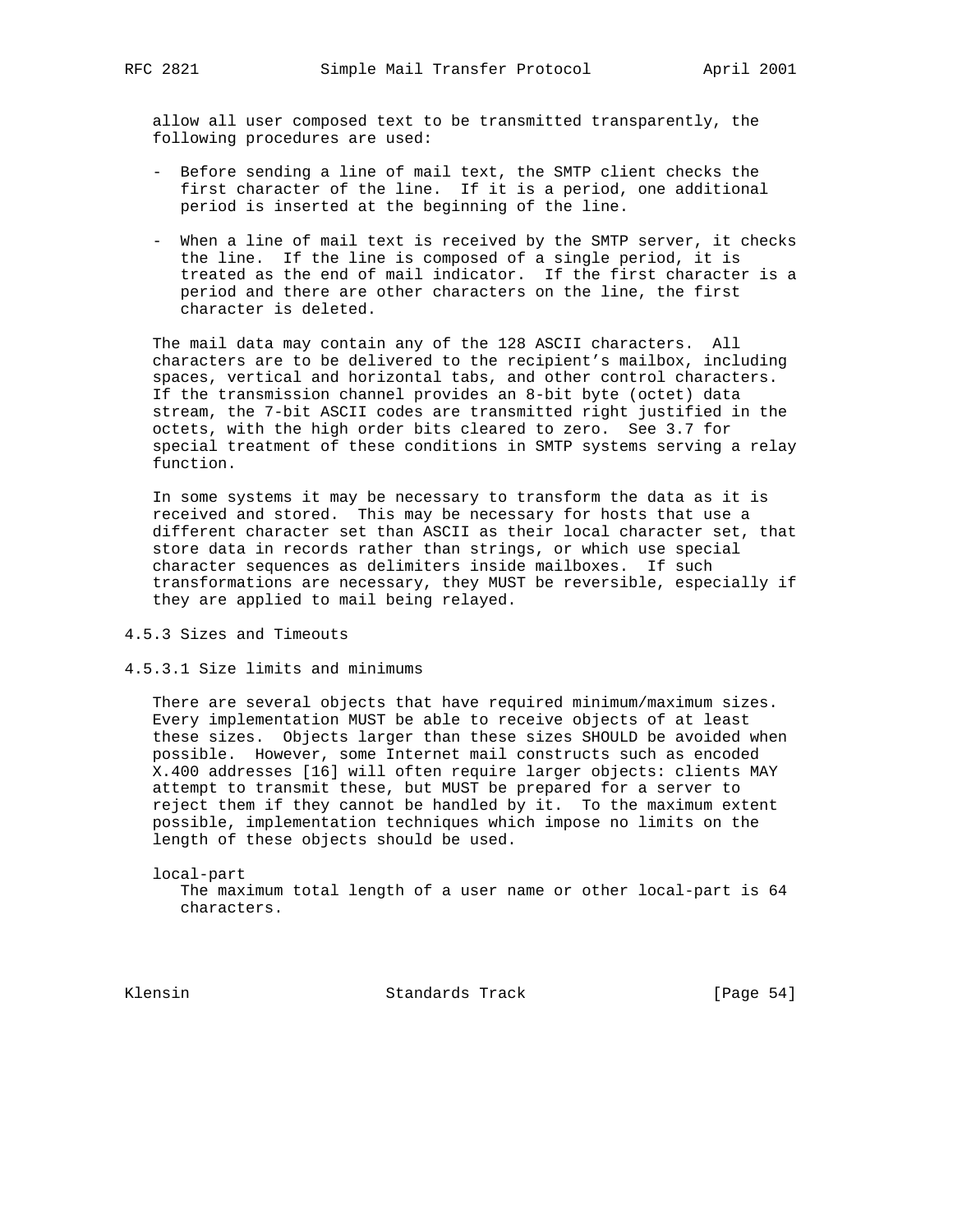allow all user composed text to be transmitted transparently, the following procedures are used:

- Before sending a line of mail text, the SMTP client checks the first character of the line. If it is a period, one additional period is inserted at the beginning of the line.
- When a line of mail text is received by the SMTP server, it checks the line. If the line is composed of a single period, it is treated as the end of mail indicator. If the first character is a period and there are other characters on the line, the first character is deleted.

 The mail data may contain any of the 128 ASCII characters. All characters are to be delivered to the recipient's mailbox, including spaces, vertical and horizontal tabs, and other control characters. If the transmission channel provides an 8-bit byte (octet) data stream, the 7-bit ASCII codes are transmitted right justified in the octets, with the high order bits cleared to zero. See 3.7 for special treatment of these conditions in SMTP systems serving a relay function.

 In some systems it may be necessary to transform the data as it is received and stored. This may be necessary for hosts that use a different character set than ASCII as their local character set, that store data in records rather than strings, or which use special character sequences as delimiters inside mailboxes. If such transformations are necessary, they MUST be reversible, especially if they are applied to mail being relayed.

- 4.5.3 Sizes and Timeouts
- 4.5.3.1 Size limits and minimums

 There are several objects that have required minimum/maximum sizes. Every implementation MUST be able to receive objects of at least these sizes. Objects larger than these sizes SHOULD be avoided when possible. However, some Internet mail constructs such as encoded X.400 addresses [16] will often require larger objects: clients MAY attempt to transmit these, but MUST be prepared for a server to reject them if they cannot be handled by it. To the maximum extent possible, implementation techniques which impose no limits on the length of these objects should be used.

# local-part The maximum total length of a user name or other local-part is 64 characters.

Klensin Chamber Standards Track [Page 54]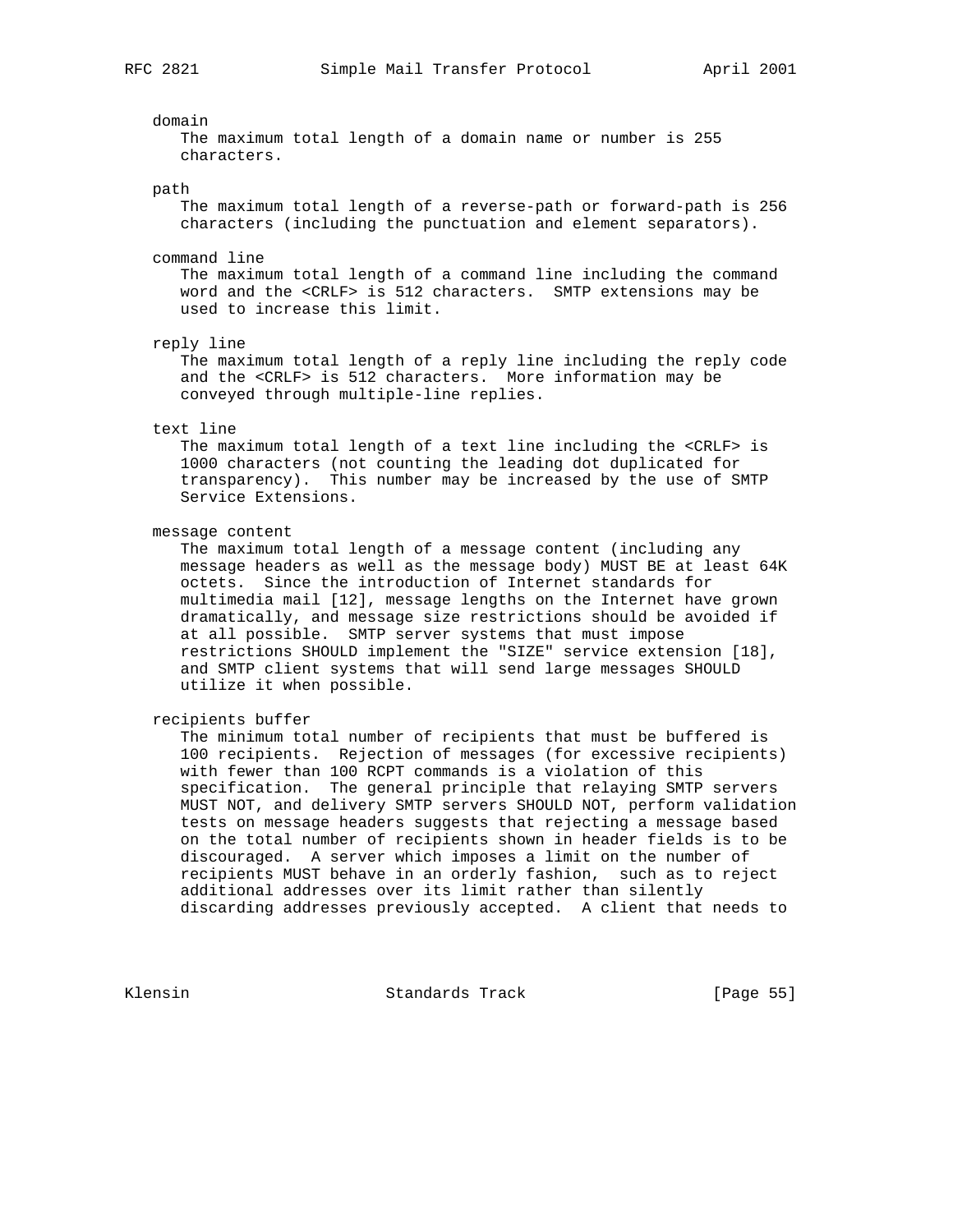### domain

 The maximum total length of a domain name or number is 255 characters.

## path

 The maximum total length of a reverse-path or forward-path is 256 characters (including the punctuation and element separators).

#### command line

 The maximum total length of a command line including the command word and the <CRLF> is 512 characters. SMTP extensions may be used to increase this limit.

#### reply line

 The maximum total length of a reply line including the reply code and the <CRLF> is 512 characters. More information may be conveyed through multiple-line replies.

#### text line

 The maximum total length of a text line including the <CRLF> is 1000 characters (not counting the leading dot duplicated for transparency). This number may be increased by the use of SMTP Service Extensions.

#### message content

 The maximum total length of a message content (including any message headers as well as the message body) MUST BE at least 64K octets. Since the introduction of Internet standards for multimedia mail [12], message lengths on the Internet have grown dramatically, and message size restrictions should be avoided if at all possible. SMTP server systems that must impose restrictions SHOULD implement the "SIZE" service extension [18], and SMTP client systems that will send large messages SHOULD utilize it when possible.

# recipients buffer

 The minimum total number of recipients that must be buffered is 100 recipients. Rejection of messages (for excessive recipients) with fewer than 100 RCPT commands is a violation of this specification. The general principle that relaying SMTP servers MUST NOT, and delivery SMTP servers SHOULD NOT, perform validation tests on message headers suggests that rejecting a message based on the total number of recipients shown in header fields is to be discouraged. A server which imposes a limit on the number of recipients MUST behave in an orderly fashion, such as to reject additional addresses over its limit rather than silently discarding addresses previously accepted. A client that needs to

Klensin Charles Standards Track [Page 55]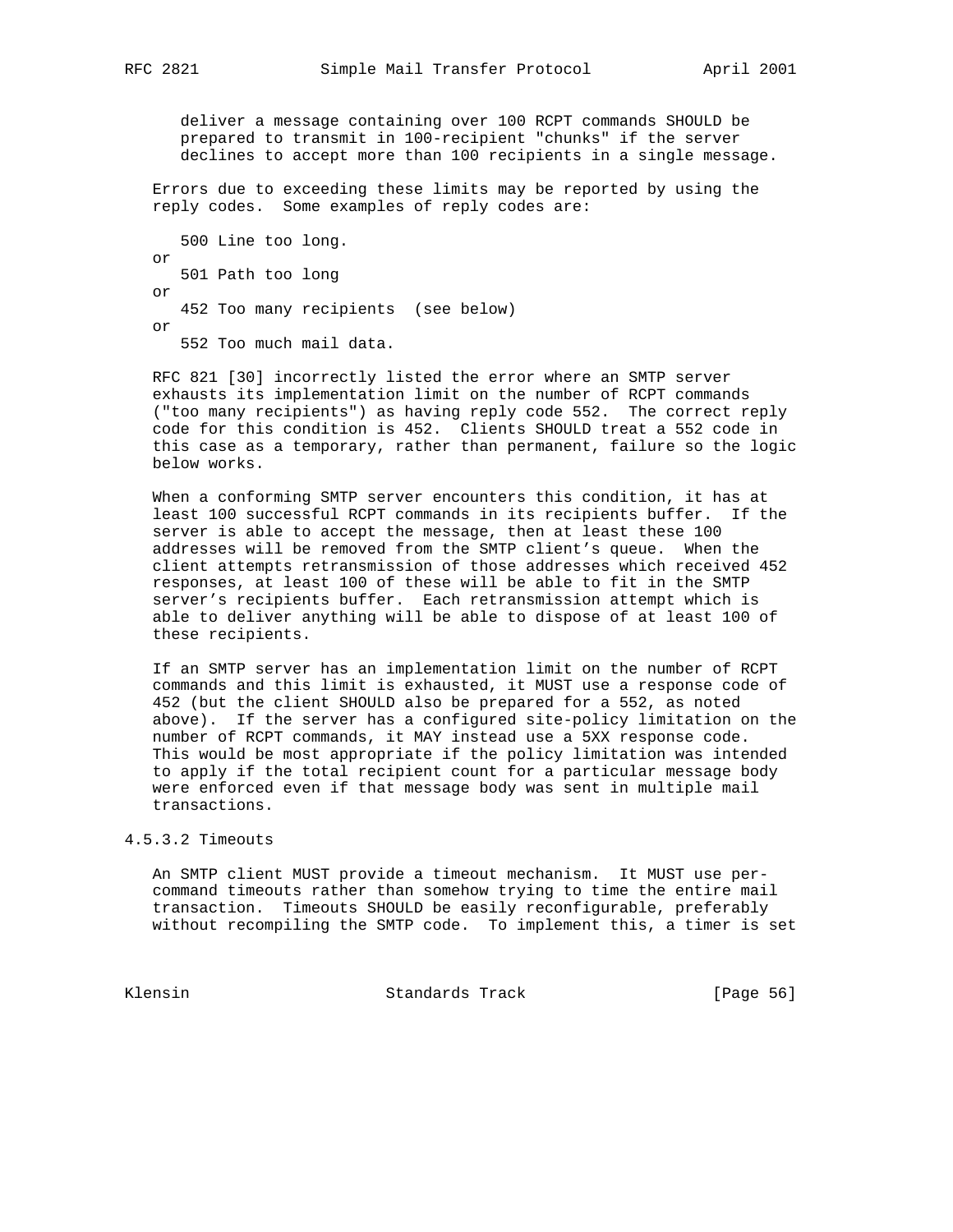deliver a message containing over 100 RCPT commands SHOULD be prepared to transmit in 100-recipient "chunks" if the server declines to accept more than 100 recipients in a single message.

 Errors due to exceeding these limits may be reported by using the reply codes. Some examples of reply codes are:

 500 Line too long. or 501 Path too long or 452 Too many recipients (see below) or 552 Too much mail data.

 RFC 821 [30] incorrectly listed the error where an SMTP server exhausts its implementation limit on the number of RCPT commands ("too many recipients") as having reply code 552. The correct reply code for this condition is 452. Clients SHOULD treat a 552 code in this case as a temporary, rather than permanent, failure so the logic below works.

 When a conforming SMTP server encounters this condition, it has at least 100 successful RCPT commands in its recipients buffer. If the server is able to accept the message, then at least these 100 addresses will be removed from the SMTP client's queue. When the client attempts retransmission of those addresses which received 452 responses, at least 100 of these will be able to fit in the SMTP server's recipients buffer. Each retransmission attempt which is able to deliver anything will be able to dispose of at least 100 of these recipients.

 If an SMTP server has an implementation limit on the number of RCPT commands and this limit is exhausted, it MUST use a response code of 452 (but the client SHOULD also be prepared for a 552, as noted above). If the server has a configured site-policy limitation on the number of RCPT commands, it MAY instead use a 5XX response code. This would be most appropriate if the policy limitation was intended to apply if the total recipient count for a particular message body were enforced even if that message body was sent in multiple mail transactions.

# 4.5.3.2 Timeouts

 An SMTP client MUST provide a timeout mechanism. It MUST use per command timeouts rather than somehow trying to time the entire mail transaction. Timeouts SHOULD be easily reconfigurable, preferably without recompiling the SMTP code. To implement this, a timer is set

Klensin Chandards Track [Page 56]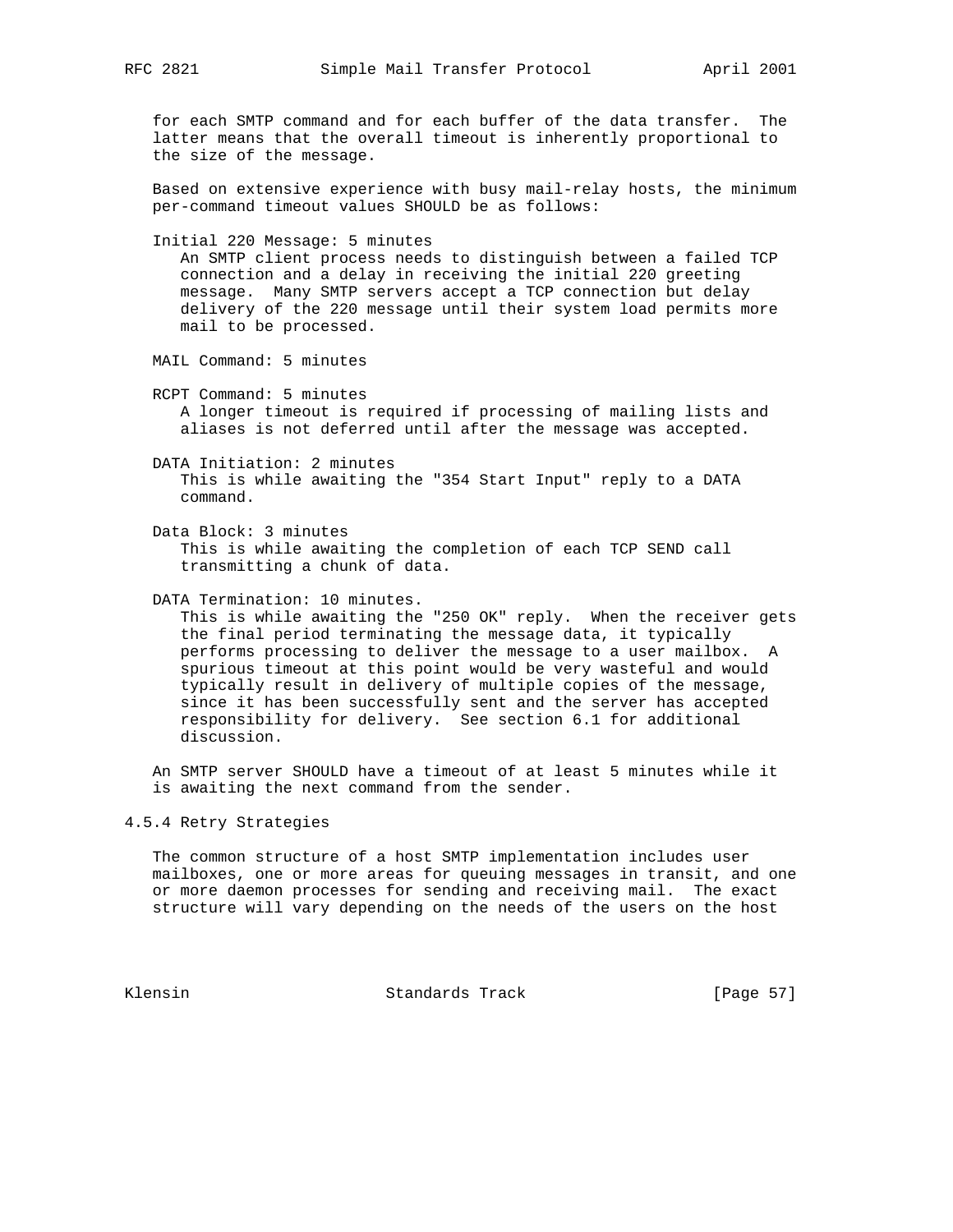for each SMTP command and for each buffer of the data transfer. The latter means that the overall timeout is inherently proportional to the size of the message.

 Based on extensive experience with busy mail-relay hosts, the minimum per-command timeout values SHOULD be as follows:

Initial 220 Message: 5 minutes

 An SMTP client process needs to distinguish between a failed TCP connection and a delay in receiving the initial 220 greeting message. Many SMTP servers accept a TCP connection but delay delivery of the 220 message until their system load permits more mail to be processed.

MAIL Command: 5 minutes

 RCPT Command: 5 minutes A longer timeout is required if processing of mailing lists and aliases is not deferred until after the message was accepted.

 DATA Initiation: 2 minutes This is while awaiting the "354 Start Input" reply to a DATA command.

 Data Block: 3 minutes This is while awaiting the completion of each TCP SEND call transmitting a chunk of data.

DATA Termination: 10 minutes.

 This is while awaiting the "250 OK" reply. When the receiver gets the final period terminating the message data, it typically performs processing to deliver the message to a user mailbox. A spurious timeout at this point would be very wasteful and would typically result in delivery of multiple copies of the message, since it has been successfully sent and the server has accepted responsibility for delivery. See section 6.1 for additional discussion.

 An SMTP server SHOULD have a timeout of at least 5 minutes while it is awaiting the next command from the sender.

# 4.5.4 Retry Strategies

 The common structure of a host SMTP implementation includes user mailboxes, one or more areas for queuing messages in transit, and one or more daemon processes for sending and receiving mail. The exact structure will vary depending on the needs of the users on the host

Klensin Chamber Standards Track [Page 57]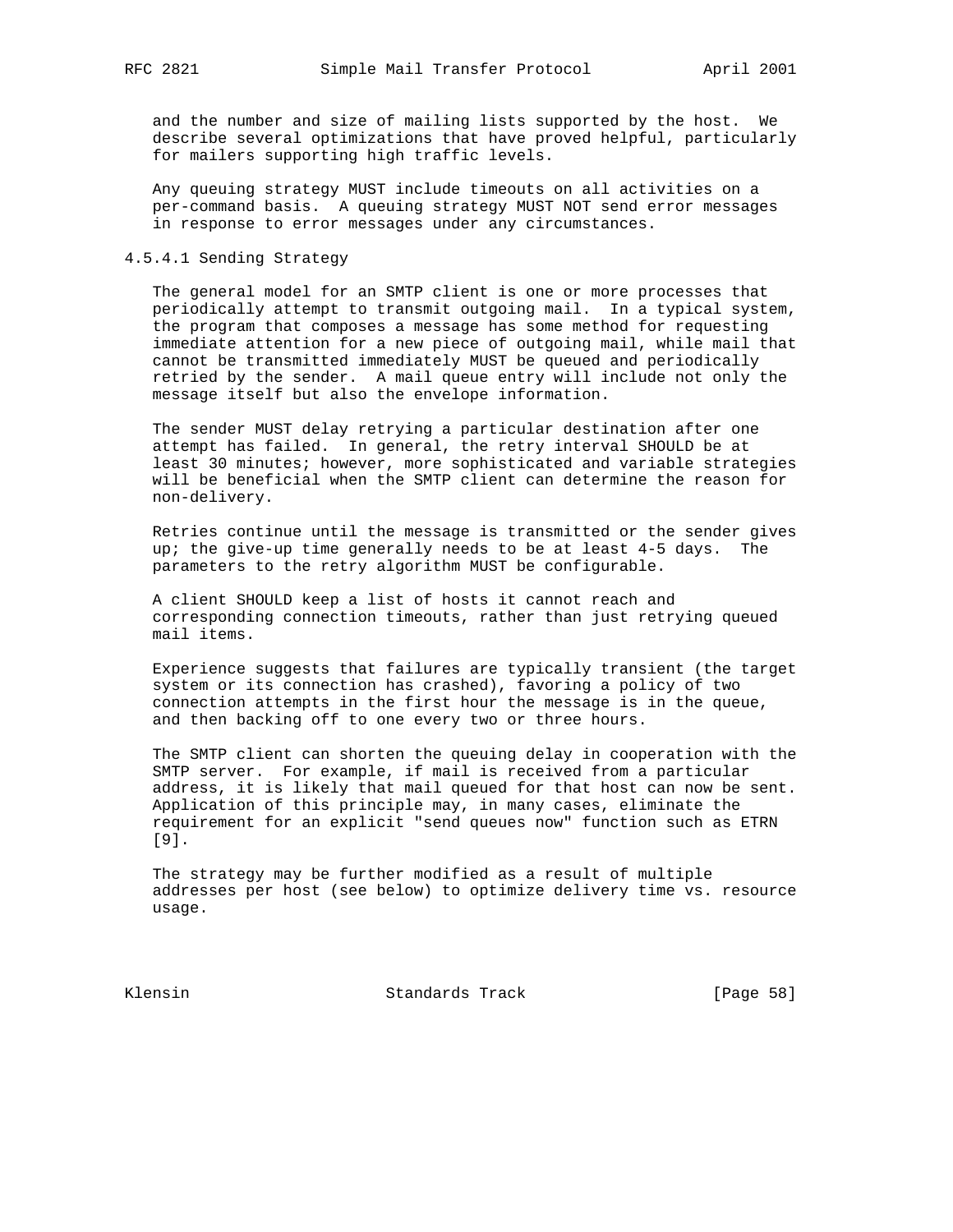and the number and size of mailing lists supported by the host. We describe several optimizations that have proved helpful, particularly for mailers supporting high traffic levels.

 Any queuing strategy MUST include timeouts on all activities on a per-command basis. A queuing strategy MUST NOT send error messages in response to error messages under any circumstances.

# 4.5.4.1 Sending Strategy

 The general model for an SMTP client is one or more processes that periodically attempt to transmit outgoing mail. In a typical system, the program that composes a message has some method for requesting immediate attention for a new piece of outgoing mail, while mail that cannot be transmitted immediately MUST be queued and periodically retried by the sender. A mail queue entry will include not only the message itself but also the envelope information.

 The sender MUST delay retrying a particular destination after one attempt has failed. In general, the retry interval SHOULD be at least 30 minutes; however, more sophisticated and variable strategies will be beneficial when the SMTP client can determine the reason for non-delivery.

 Retries continue until the message is transmitted or the sender gives up; the give-up time generally needs to be at least 4-5 days. The parameters to the retry algorithm MUST be configurable.

 A client SHOULD keep a list of hosts it cannot reach and corresponding connection timeouts, rather than just retrying queued mail items.

 Experience suggests that failures are typically transient (the target system or its connection has crashed), favoring a policy of two connection attempts in the first hour the message is in the queue, and then backing off to one every two or three hours.

 The SMTP client can shorten the queuing delay in cooperation with the SMTP server. For example, if mail is received from a particular address, it is likely that mail queued for that host can now be sent. Application of this principle may, in many cases, eliminate the requirement for an explicit "send queues now" function such as ETRN [9].

 The strategy may be further modified as a result of multiple addresses per host (see below) to optimize delivery time vs. resource usage.

Klensin Chamber Standards Track [Page 58]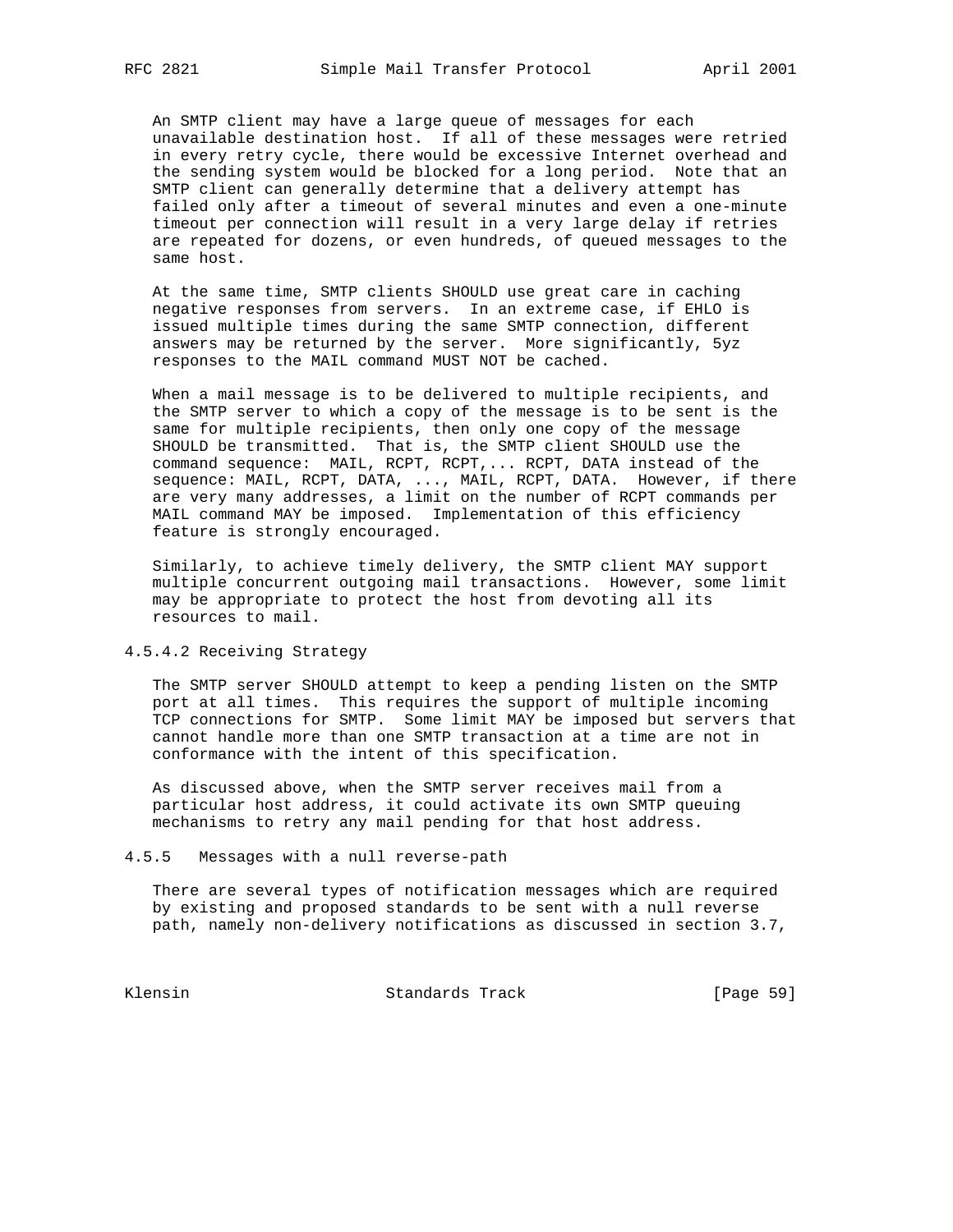An SMTP client may have a large queue of messages for each unavailable destination host. If all of these messages were retried in every retry cycle, there would be excessive Internet overhead and the sending system would be blocked for a long period. Note that an SMTP client can generally determine that a delivery attempt has failed only after a timeout of several minutes and even a one-minute timeout per connection will result in a very large delay if retries are repeated for dozens, or even hundreds, of queued messages to the same host.

 At the same time, SMTP clients SHOULD use great care in caching negative responses from servers. In an extreme case, if EHLO is issued multiple times during the same SMTP connection, different answers may be returned by the server. More significantly, 5yz responses to the MAIL command MUST NOT be cached.

 When a mail message is to be delivered to multiple recipients, and the SMTP server to which a copy of the message is to be sent is the same for multiple recipients, then only one copy of the message SHOULD be transmitted. That is, the SMTP client SHOULD use the command sequence: MAIL, RCPT, RCPT,... RCPT, DATA instead of the sequence: MAIL, RCPT, DATA, ..., MAIL, RCPT, DATA. However, if there are very many addresses, a limit on the number of RCPT commands per MAIL command MAY be imposed. Implementation of this efficiency feature is strongly encouraged.

 Similarly, to achieve timely delivery, the SMTP client MAY support multiple concurrent outgoing mail transactions. However, some limit may be appropriate to protect the host from devoting all its resources to mail.

4.5.4.2 Receiving Strategy

 The SMTP server SHOULD attempt to keep a pending listen on the SMTP port at all times. This requires the support of multiple incoming TCP connections for SMTP. Some limit MAY be imposed but servers that cannot handle more than one SMTP transaction at a time are not in conformance with the intent of this specification.

 As discussed above, when the SMTP server receives mail from a particular host address, it could activate its own SMTP queuing mechanisms to retry any mail pending for that host address.

### 4.5.5 Messages with a null reverse-path

 There are several types of notification messages which are required by existing and proposed standards to be sent with a null reverse path, namely non-delivery notifications as discussed in section 3.7,

Klensin Chandards Track [Page 59]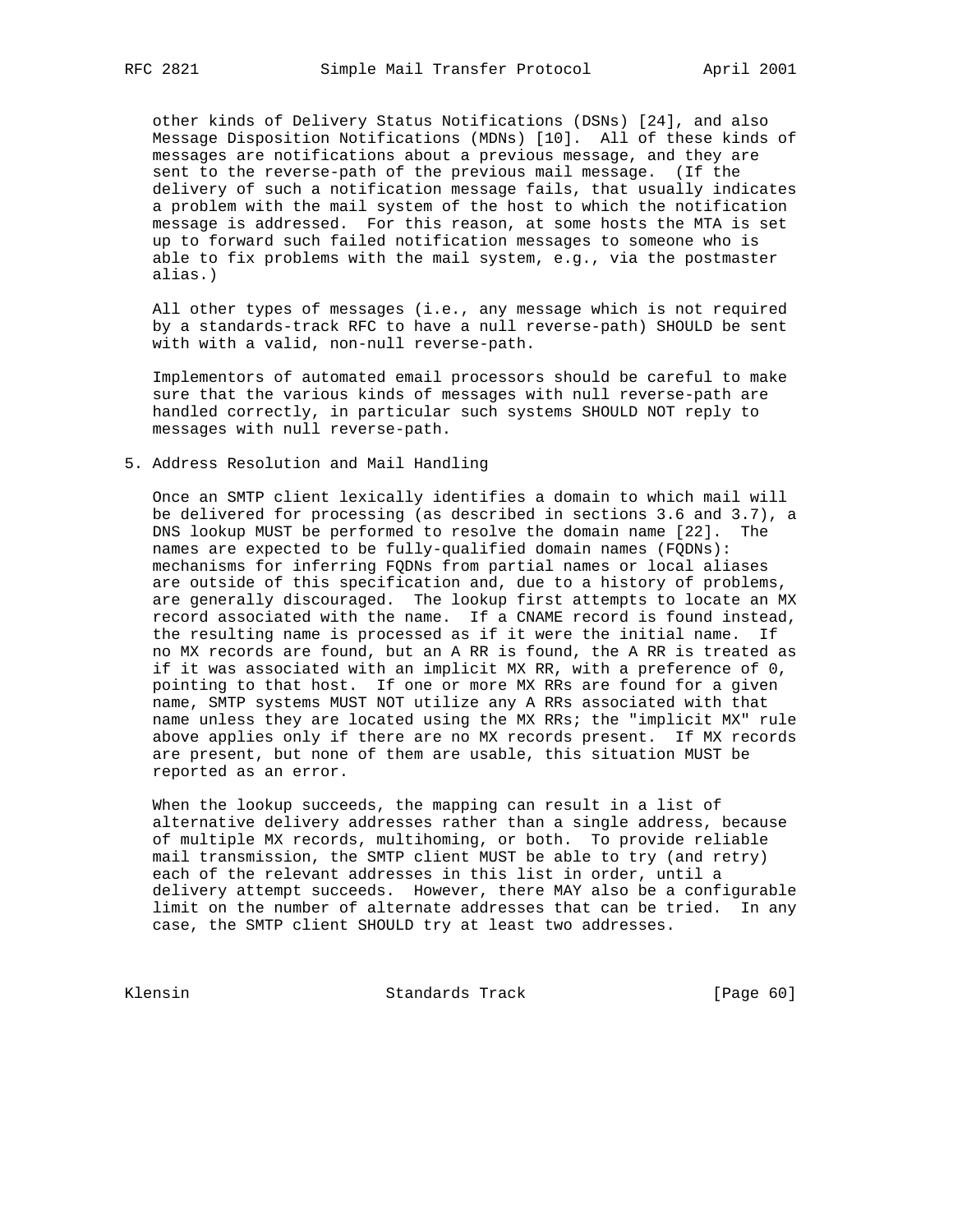other kinds of Delivery Status Notifications (DSNs) [24], and also Message Disposition Notifications (MDNs) [10]. All of these kinds of messages are notifications about a previous message, and they are sent to the reverse-path of the previous mail message. (If the delivery of such a notification message fails, that usually indicates a problem with the mail system of the host to which the notification message is addressed. For this reason, at some hosts the MTA is set up to forward such failed notification messages to someone who is able to fix problems with the mail system, e.g., via the postmaster alias.)

 All other types of messages (i.e., any message which is not required by a standards-track RFC to have a null reverse-path) SHOULD be sent with with a valid, non-null reverse-path.

 Implementors of automated email processors should be careful to make sure that the various kinds of messages with null reverse-path are handled correctly, in particular such systems SHOULD NOT reply to messages with null reverse-path.

#### 5. Address Resolution and Mail Handling

 Once an SMTP client lexically identifies a domain to which mail will be delivered for processing (as described in sections 3.6 and 3.7), a DNS lookup MUST be performed to resolve the domain name [22]. The names are expected to be fully-qualified domain names (FQDNs): mechanisms for inferring FQDNs from partial names or local aliases are outside of this specification and, due to a history of problems, are generally discouraged. The lookup first attempts to locate an MX record associated with the name. If a CNAME record is found instead, the resulting name is processed as if it were the initial name. If no MX records are found, but an A RR is found, the A RR is treated as if it was associated with an implicit MX RR, with a preference of 0, pointing to that host. If one or more MX RRs are found for a given name, SMTP systems MUST NOT utilize any A RRs associated with that name unless they are located using the MX RRs; the "implicit MX" rule above applies only if there are no MX records present. If MX records are present, but none of them are usable, this situation MUST be reported as an error.

 When the lookup succeeds, the mapping can result in a list of alternative delivery addresses rather than a single address, because of multiple MX records, multihoming, or both. To provide reliable mail transmission, the SMTP client MUST be able to try (and retry) each of the relevant addresses in this list in order, until a delivery attempt succeeds. However, there MAY also be a configurable limit on the number of alternate addresses that can be tried. In any case, the SMTP client SHOULD try at least two addresses.

Klensin Chamber Standards Track [Page 60]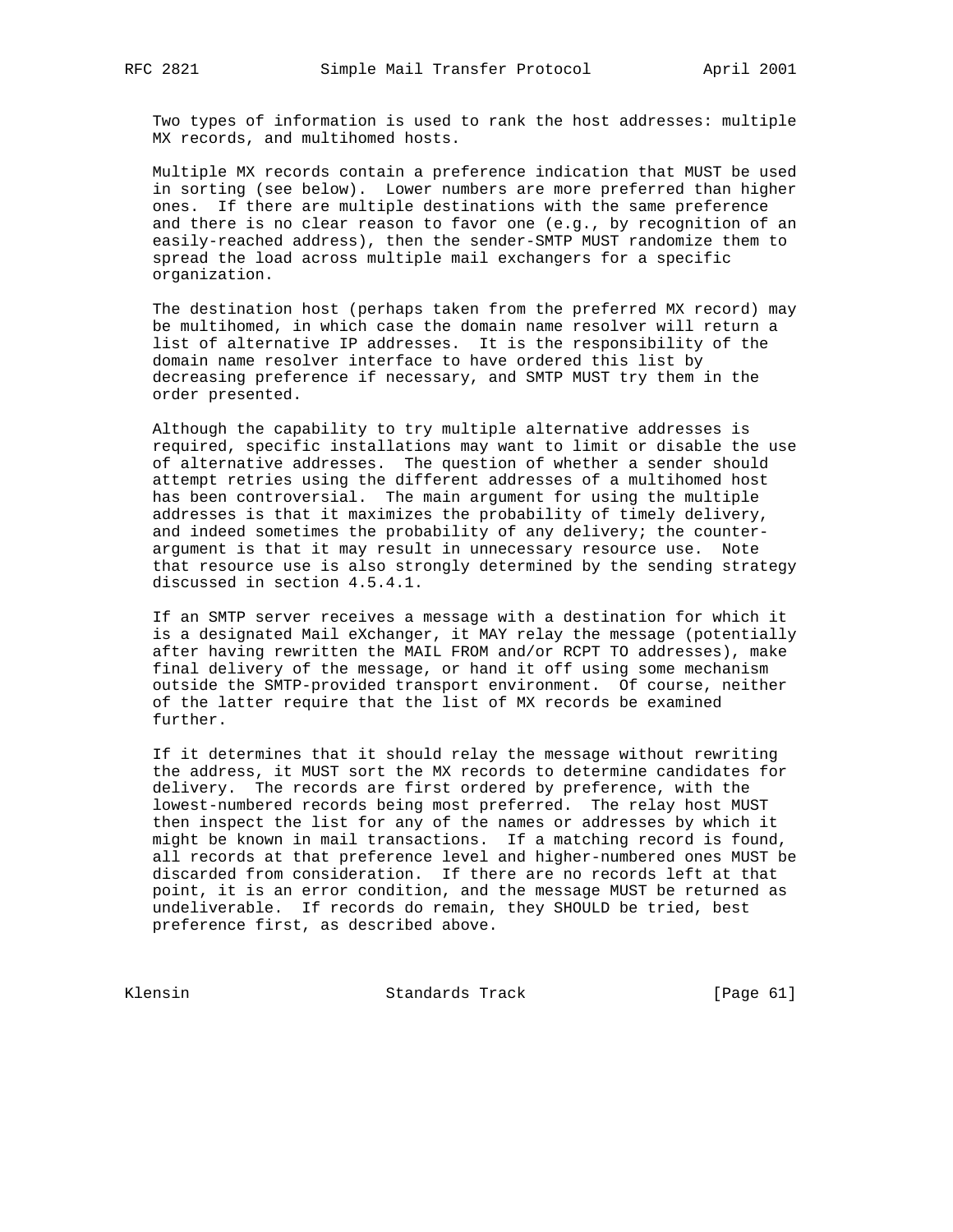Two types of information is used to rank the host addresses: multiple MX records, and multihomed hosts.

 Multiple MX records contain a preference indication that MUST be used in sorting (see below). Lower numbers are more preferred than higher ones. If there are multiple destinations with the same preference and there is no clear reason to favor one (e.g., by recognition of an easily-reached address), then the sender-SMTP MUST randomize them to spread the load across multiple mail exchangers for a specific organization.

 The destination host (perhaps taken from the preferred MX record) may be multihomed, in which case the domain name resolver will return a list of alternative IP addresses. It is the responsibility of the domain name resolver interface to have ordered this list by decreasing preference if necessary, and SMTP MUST try them in the order presented.

 Although the capability to try multiple alternative addresses is required, specific installations may want to limit or disable the use of alternative addresses. The question of whether a sender should attempt retries using the different addresses of a multihomed host has been controversial. The main argument for using the multiple addresses is that it maximizes the probability of timely delivery, and indeed sometimes the probability of any delivery; the counter argument is that it may result in unnecessary resource use. Note that resource use is also strongly determined by the sending strategy discussed in section 4.5.4.1.

 If an SMTP server receives a message with a destination for which it is a designated Mail eXchanger, it MAY relay the message (potentially after having rewritten the MAIL FROM and/or RCPT TO addresses), make final delivery of the message, or hand it off using some mechanism outside the SMTP-provided transport environment. Of course, neither of the latter require that the list of MX records be examined further.

 If it determines that it should relay the message without rewriting the address, it MUST sort the MX records to determine candidates for delivery. The records are first ordered by preference, with the lowest-numbered records being most preferred. The relay host MUST then inspect the list for any of the names or addresses by which it might be known in mail transactions. If a matching record is found, all records at that preference level and higher-numbered ones MUST be discarded from consideration. If there are no records left at that point, it is an error condition, and the message MUST be returned as undeliverable. If records do remain, they SHOULD be tried, best preference first, as described above.

Klensin Chamber Standards Track [Page 61]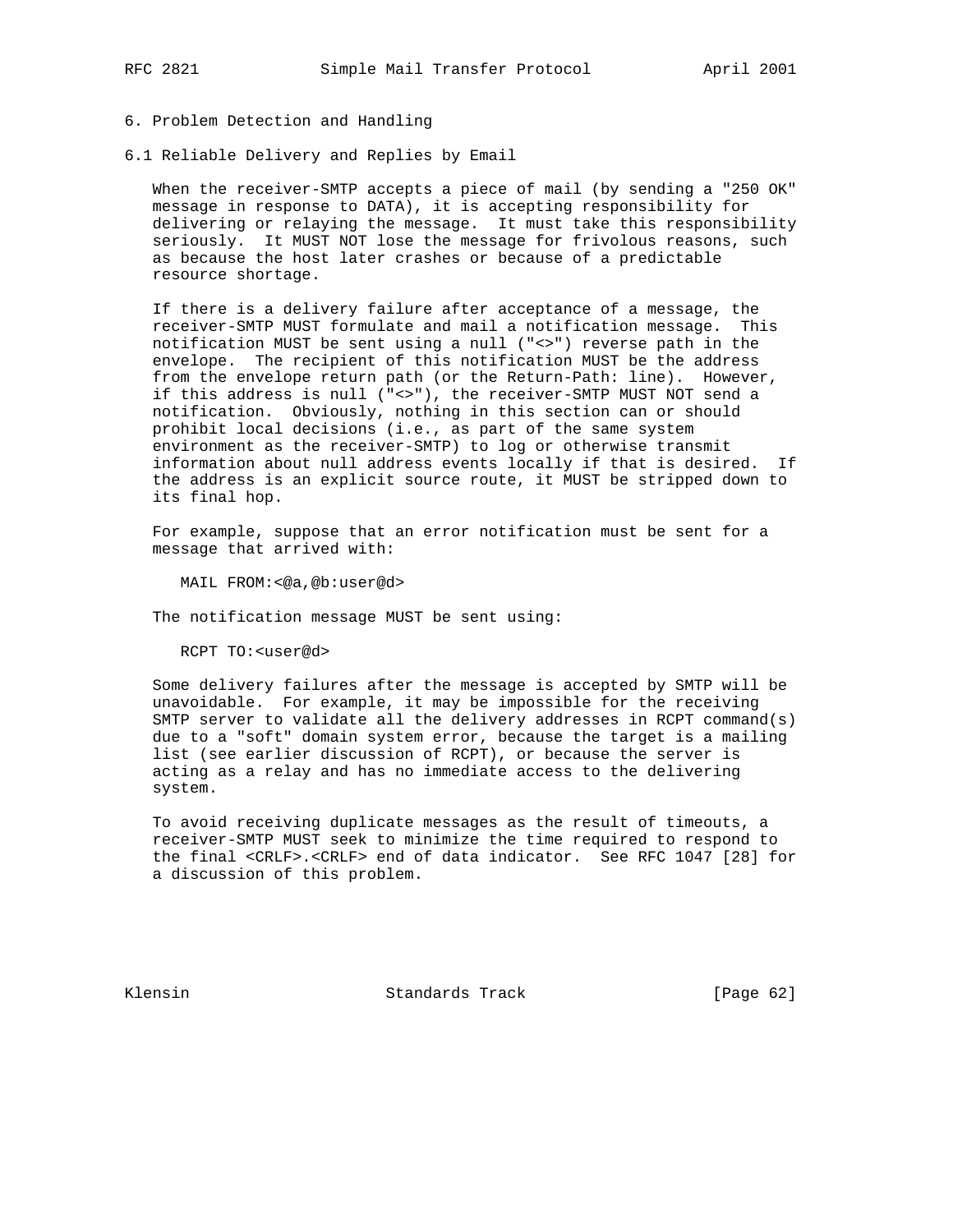## 6. Problem Detection and Handling

6.1 Reliable Delivery and Replies by Email

 When the receiver-SMTP accepts a piece of mail (by sending a "250 OK" message in response to DATA), it is accepting responsibility for delivering or relaying the message. It must take this responsibility seriously. It MUST NOT lose the message for frivolous reasons, such as because the host later crashes or because of a predictable resource shortage.

 If there is a delivery failure after acceptance of a message, the receiver-SMTP MUST formulate and mail a notification message. This notification MUST be sent using a null ("<>") reverse path in the envelope. The recipient of this notification MUST be the address from the envelope return path (or the Return-Path: line). However, if this address is null ("<>"), the receiver-SMTP MUST NOT send a notification. Obviously, nothing in this section can or should prohibit local decisions (i.e., as part of the same system environment as the receiver-SMTP) to log or otherwise transmit information about null address events locally if that is desired. If the address is an explicit source route, it MUST be stripped down to its final hop.

 For example, suppose that an error notification must be sent for a message that arrived with:

MAIL FROM:<@a,@b:user@d>

The notification message MUST be sent using:

RCPT TO:<user@d>

 Some delivery failures after the message is accepted by SMTP will be unavoidable. For example, it may be impossible for the receiving SMTP server to validate all the delivery addresses in RCPT command(s) due to a "soft" domain system error, because the target is a mailing list (see earlier discussion of RCPT), or because the server is acting as a relay and has no immediate access to the delivering system.

 To avoid receiving duplicate messages as the result of timeouts, a receiver-SMTP MUST seek to minimize the time required to respond to the final <CRLF>.<CRLF> end of data indicator. See RFC 1047 [28] for a discussion of this problem.

Klensin Standards Track [Page 62]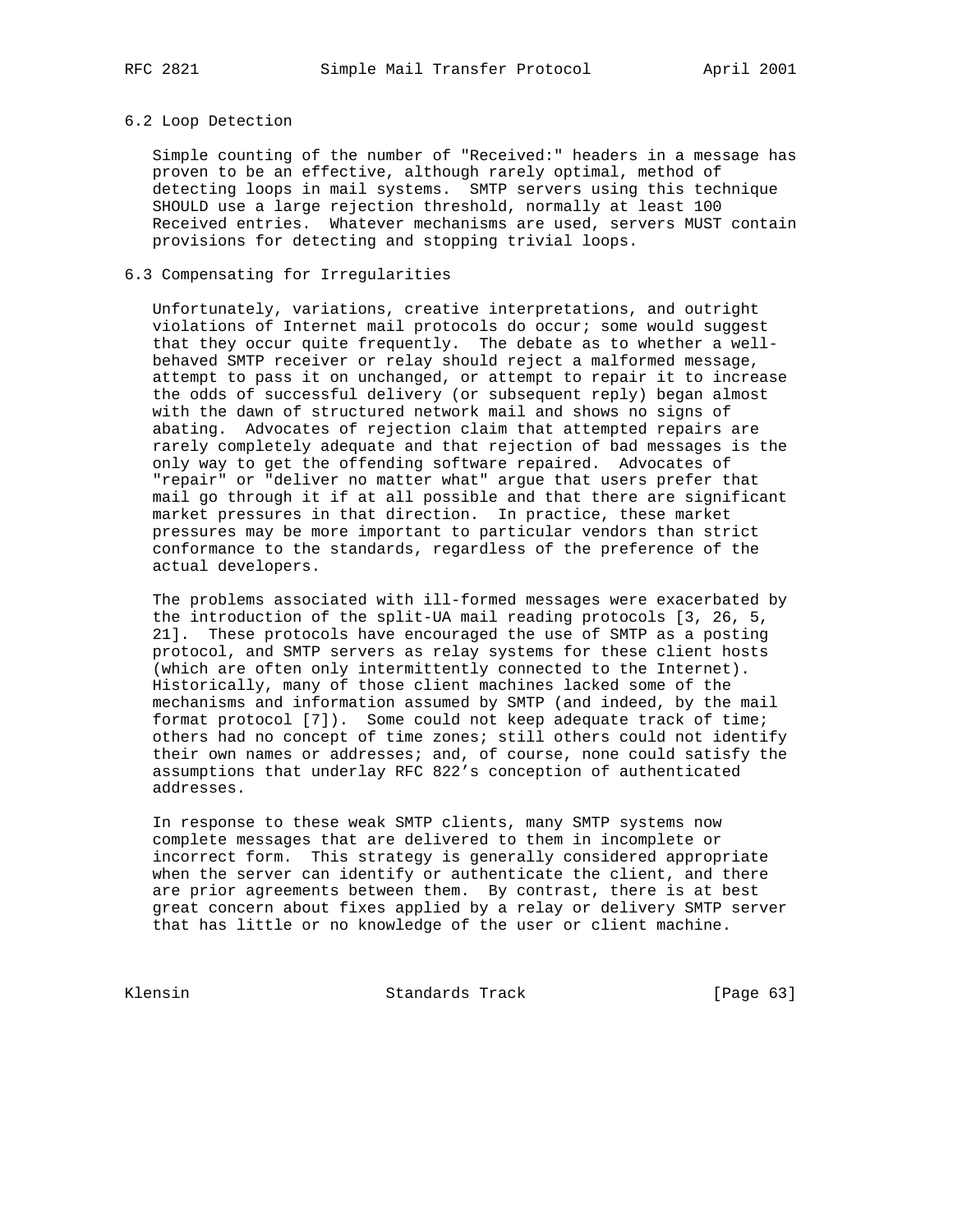### 6.2 Loop Detection

 Simple counting of the number of "Received:" headers in a message has proven to be an effective, although rarely optimal, method of detecting loops in mail systems. SMTP servers using this technique SHOULD use a large rejection threshold, normally at least 100 Received entries. Whatever mechanisms are used, servers MUST contain provisions for detecting and stopping trivial loops.

## 6.3 Compensating for Irregularities

 Unfortunately, variations, creative interpretations, and outright violations of Internet mail protocols do occur; some would suggest that they occur quite frequently. The debate as to whether a well behaved SMTP receiver or relay should reject a malformed message, attempt to pass it on unchanged, or attempt to repair it to increase the odds of successful delivery (or subsequent reply) began almost with the dawn of structured network mail and shows no signs of abating. Advocates of rejection claim that attempted repairs are rarely completely adequate and that rejection of bad messages is the only way to get the offending software repaired. Advocates of "repair" or "deliver no matter what" argue that users prefer that mail go through it if at all possible and that there are significant market pressures in that direction. In practice, these market pressures may be more important to particular vendors than strict conformance to the standards, regardless of the preference of the actual developers.

 The problems associated with ill-formed messages were exacerbated by the introduction of the split-UA mail reading protocols [3, 26, 5, 21]. These protocols have encouraged the use of SMTP as a posting protocol, and SMTP servers as relay systems for these client hosts (which are often only intermittently connected to the Internet). Historically, many of those client machines lacked some of the mechanisms and information assumed by SMTP (and indeed, by the mail format protocol [7]). Some could not keep adequate track of time; others had no concept of time zones; still others could not identify their own names or addresses; and, of course, none could satisfy the assumptions that underlay RFC 822's conception of authenticated addresses.

 In response to these weak SMTP clients, many SMTP systems now complete messages that are delivered to them in incomplete or incorrect form. This strategy is generally considered appropriate when the server can identify or authenticate the client, and there are prior agreements between them. By contrast, there is at best great concern about fixes applied by a relay or delivery SMTP server that has little or no knowledge of the user or client machine.

Klensin Chamber Standards Track [Page 63]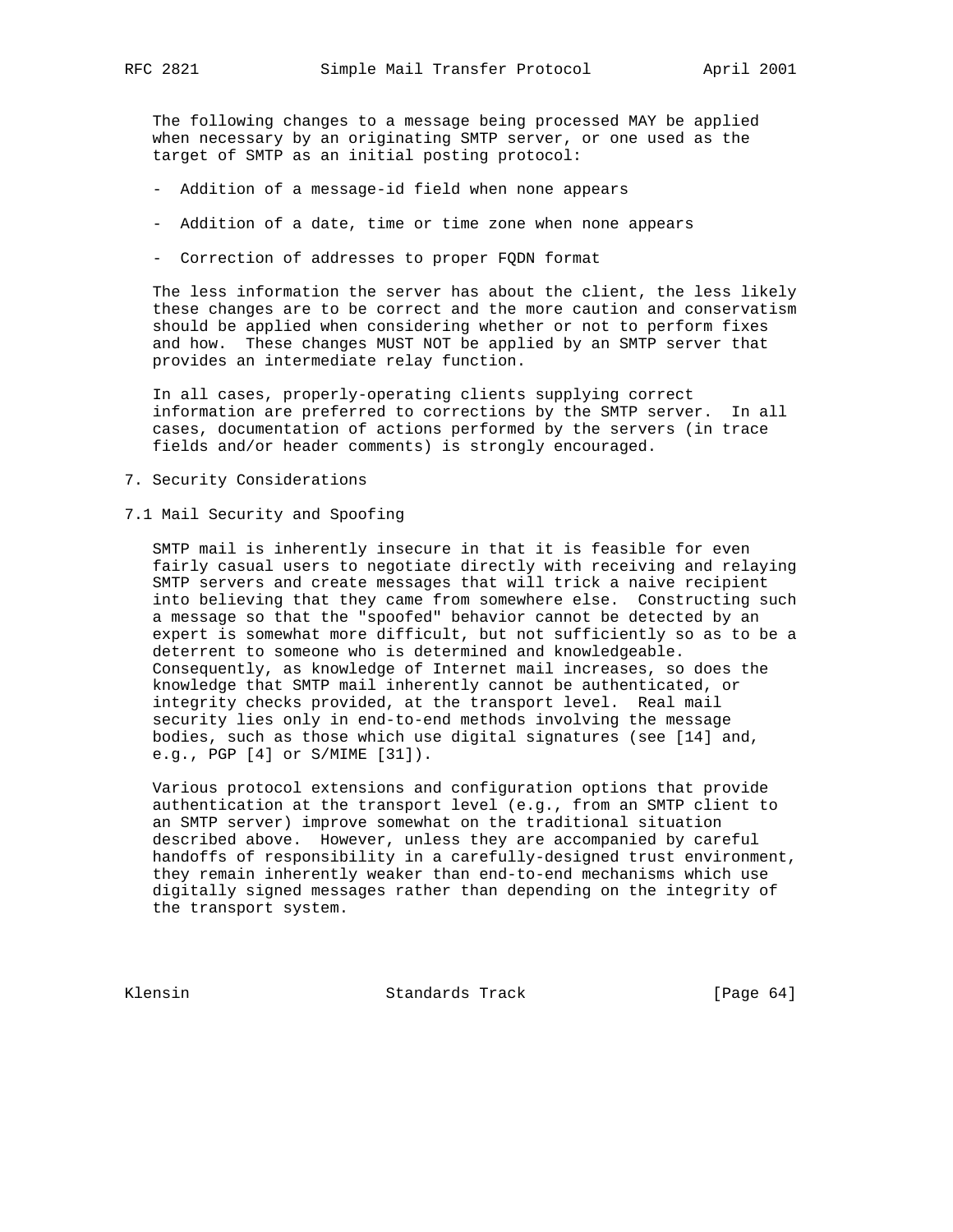The following changes to a message being processed MAY be applied when necessary by an originating SMTP server, or one used as the target of SMTP as an initial posting protocol:

- Addition of a message-id field when none appears
- Addition of a date, time or time zone when none appears
- Correction of addresses to proper FQDN format

 The less information the server has about the client, the less likely these changes are to be correct and the more caution and conservatism should be applied when considering whether or not to perform fixes and how. These changes MUST NOT be applied by an SMTP server that provides an intermediate relay function.

 In all cases, properly-operating clients supplying correct information are preferred to corrections by the SMTP server. In all cases, documentation of actions performed by the servers (in trace fields and/or header comments) is strongly encouraged.

- 7. Security Considerations
- 7.1 Mail Security and Spoofing

 SMTP mail is inherently insecure in that it is feasible for even fairly casual users to negotiate directly with receiving and relaying SMTP servers and create messages that will trick a naive recipient into believing that they came from somewhere else. Constructing such a message so that the "spoofed" behavior cannot be detected by an expert is somewhat more difficult, but not sufficiently so as to be a deterrent to someone who is determined and knowledgeable. Consequently, as knowledge of Internet mail increases, so does the knowledge that SMTP mail inherently cannot be authenticated, or integrity checks provided, at the transport level. Real mail security lies only in end-to-end methods involving the message bodies, such as those which use digital signatures (see [14] and, e.g., PGP [4] or S/MIME [31]).

 Various protocol extensions and configuration options that provide authentication at the transport level (e.g., from an SMTP client to an SMTP server) improve somewhat on the traditional situation described above. However, unless they are accompanied by careful handoffs of responsibility in a carefully-designed trust environment, they remain inherently weaker than end-to-end mechanisms which use digitally signed messages rather than depending on the integrity of the transport system.

Klensin Standards Track [Page 64]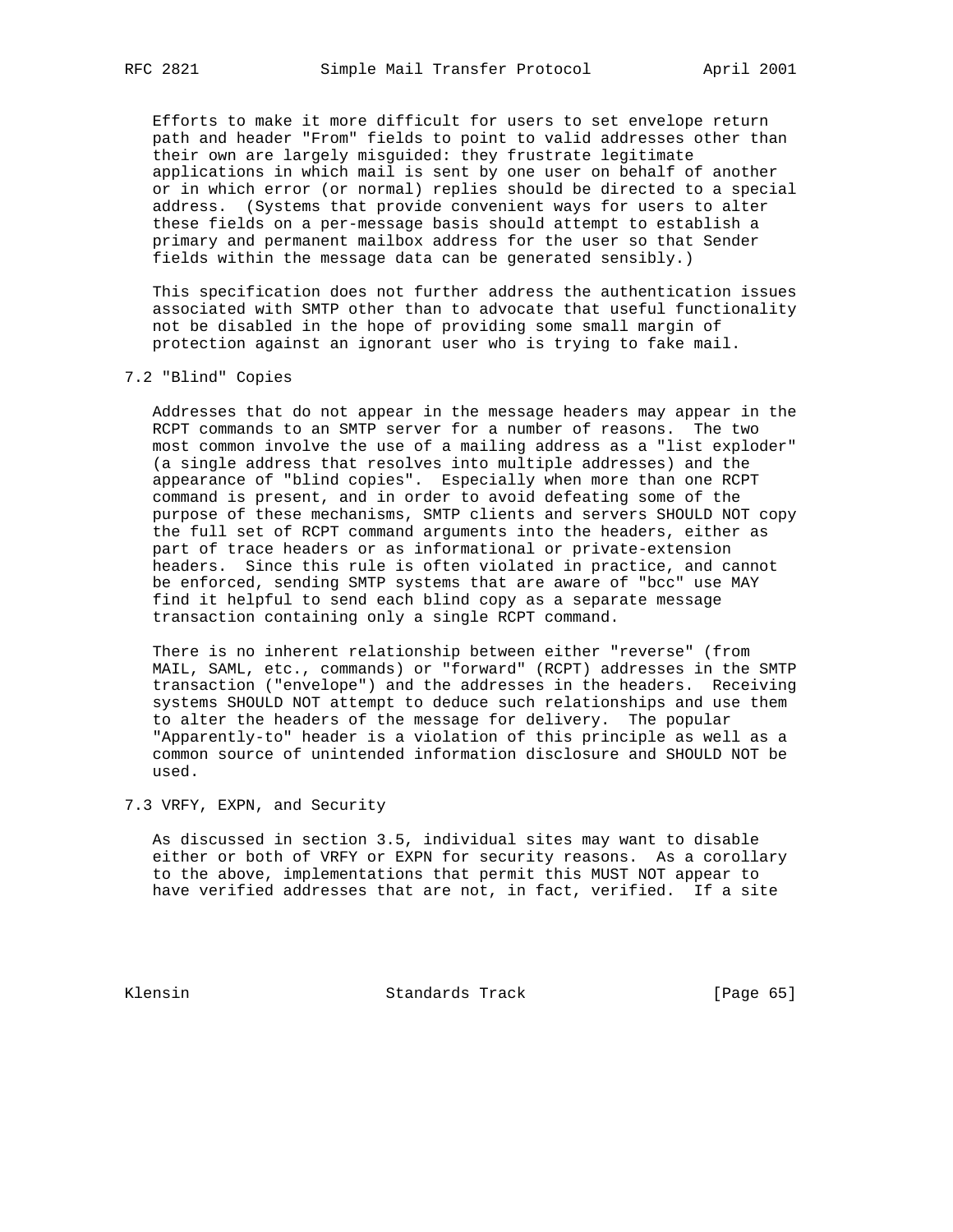Efforts to make it more difficult for users to set envelope return path and header "From" fields to point to valid addresses other than their own are largely misguided: they frustrate legitimate applications in which mail is sent by one user on behalf of another or in which error (or normal) replies should be directed to a special address. (Systems that provide convenient ways for users to alter these fields on a per-message basis should attempt to establish a primary and permanent mailbox address for the user so that Sender fields within the message data can be generated sensibly.)

 This specification does not further address the authentication issues associated with SMTP other than to advocate that useful functionality not be disabled in the hope of providing some small margin of protection against an ignorant user who is trying to fake mail.

### 7.2 "Blind" Copies

 Addresses that do not appear in the message headers may appear in the RCPT commands to an SMTP server for a number of reasons. The two most common involve the use of a mailing address as a "list exploder" (a single address that resolves into multiple addresses) and the appearance of "blind copies". Especially when more than one RCPT command is present, and in order to avoid defeating some of the purpose of these mechanisms, SMTP clients and servers SHOULD NOT copy the full set of RCPT command arguments into the headers, either as part of trace headers or as informational or private-extension headers. Since this rule is often violated in practice, and cannot be enforced, sending SMTP systems that are aware of "bcc" use MAY find it helpful to send each blind copy as a separate message transaction containing only a single RCPT command.

 There is no inherent relationship between either "reverse" (from MAIL, SAML, etc., commands) or "forward" (RCPT) addresses in the SMTP transaction ("envelope") and the addresses in the headers. Receiving systems SHOULD NOT attempt to deduce such relationships and use them to alter the headers of the message for delivery. The popular "Apparently-to" header is a violation of this principle as well as a common source of unintended information disclosure and SHOULD NOT be used.

7.3 VRFY, EXPN, and Security

 As discussed in section 3.5, individual sites may want to disable either or both of VRFY or EXPN for security reasons. As a corollary to the above, implementations that permit this MUST NOT appear to have verified addresses that are not, in fact, verified. If a site

Klensin Chamber Standards Track (Page 65)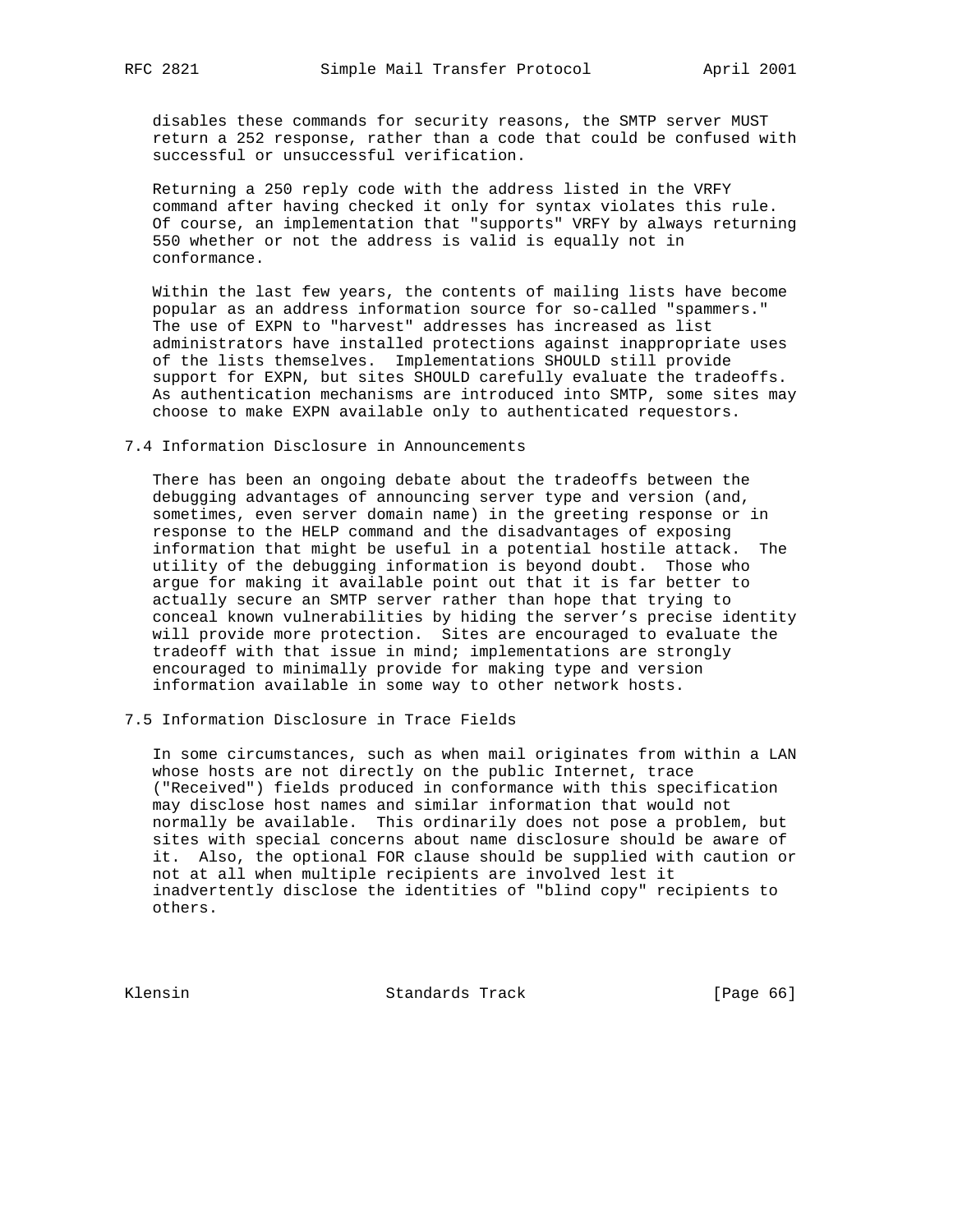disables these commands for security reasons, the SMTP server MUST return a 252 response, rather than a code that could be confused with successful or unsuccessful verification.

 Returning a 250 reply code with the address listed in the VRFY command after having checked it only for syntax violates this rule. Of course, an implementation that "supports" VRFY by always returning 550 whether or not the address is valid is equally not in conformance.

 Within the last few years, the contents of mailing lists have become popular as an address information source for so-called "spammers." The use of EXPN to "harvest" addresses has increased as list administrators have installed protections against inappropriate uses of the lists themselves. Implementations SHOULD still provide support for EXPN, but sites SHOULD carefully evaluate the tradeoffs. As authentication mechanisms are introduced into SMTP, some sites may choose to make EXPN available only to authenticated requestors.

7.4 Information Disclosure in Announcements

 There has been an ongoing debate about the tradeoffs between the debugging advantages of announcing server type and version (and, sometimes, even server domain name) in the greeting response or in response to the HELP command and the disadvantages of exposing information that might be useful in a potential hostile attack. The utility of the debugging information is beyond doubt. Those who argue for making it available point out that it is far better to actually secure an SMTP server rather than hope that trying to conceal known vulnerabilities by hiding the server's precise identity will provide more protection. Sites are encouraged to evaluate the tradeoff with that issue in mind; implementations are strongly encouraged to minimally provide for making type and version information available in some way to other network hosts.

7.5 Information Disclosure in Trace Fields

 In some circumstances, such as when mail originates from within a LAN whose hosts are not directly on the public Internet, trace ("Received") fields produced in conformance with this specification may disclose host names and similar information that would not normally be available. This ordinarily does not pose a problem, but sites with special concerns about name disclosure should be aware of it. Also, the optional FOR clause should be supplied with caution or not at all when multiple recipients are involved lest it inadvertently disclose the identities of "blind copy" recipients to others.

Klensin Chamber Standards Track [Page 66]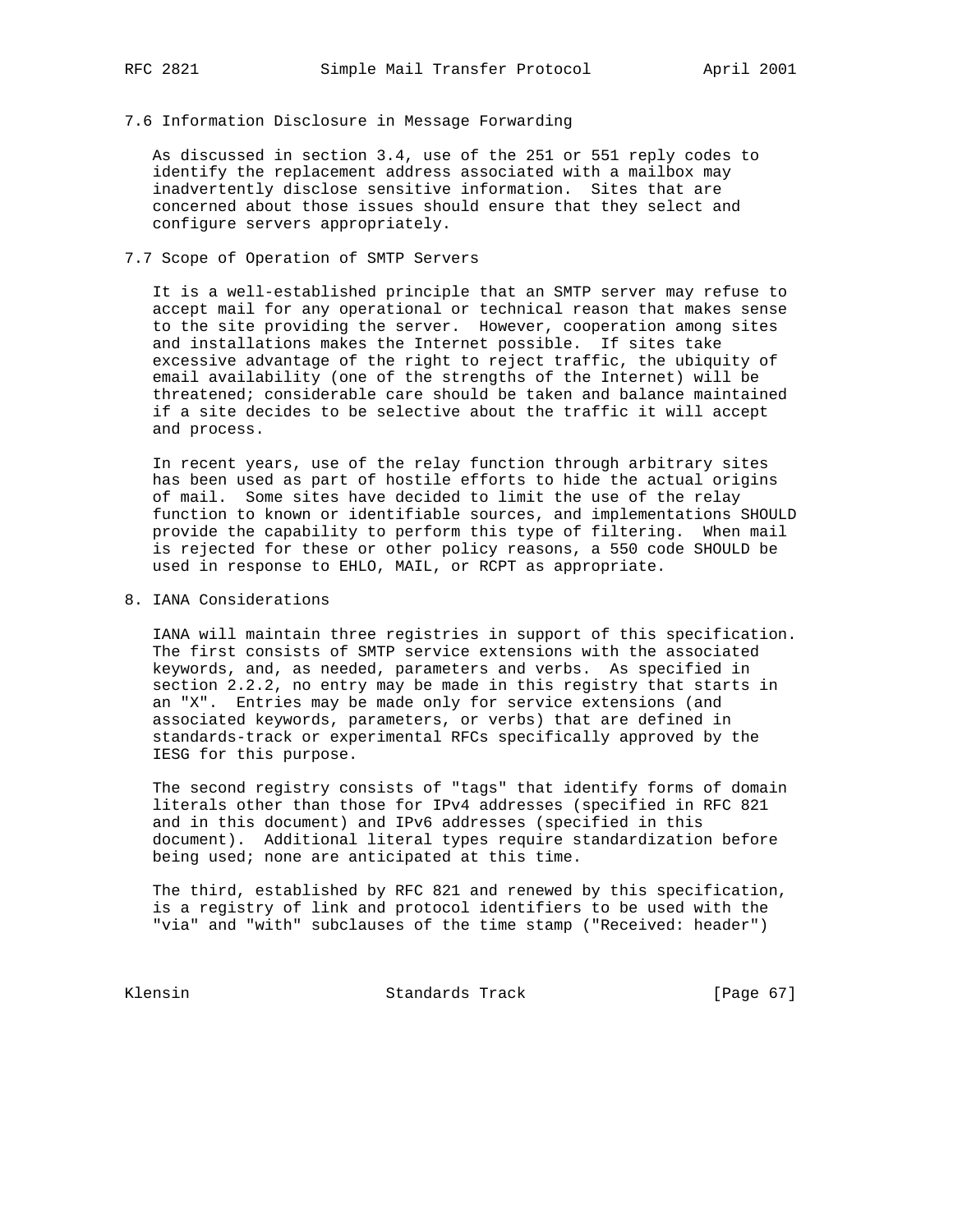# 7.6 Information Disclosure in Message Forwarding

 As discussed in section 3.4, use of the 251 or 551 reply codes to identify the replacement address associated with a mailbox may inadvertently disclose sensitive information. Sites that are concerned about those issues should ensure that they select and configure servers appropriately.

### 7.7 Scope of Operation of SMTP Servers

 It is a well-established principle that an SMTP server may refuse to accept mail for any operational or technical reason that makes sense to the site providing the server. However, cooperation among sites and installations makes the Internet possible. If sites take excessive advantage of the right to reject traffic, the ubiquity of email availability (one of the strengths of the Internet) will be threatened; considerable care should be taken and balance maintained if a site decides to be selective about the traffic it will accept and process.

 In recent years, use of the relay function through arbitrary sites has been used as part of hostile efforts to hide the actual origins of mail. Some sites have decided to limit the use of the relay function to known or identifiable sources, and implementations SHOULD provide the capability to perform this type of filtering. When mail is rejected for these or other policy reasons, a 550 code SHOULD be used in response to EHLO, MAIL, or RCPT as appropriate.

8. IANA Considerations

 IANA will maintain three registries in support of this specification. The first consists of SMTP service extensions with the associated keywords, and, as needed, parameters and verbs. As specified in section 2.2.2, no entry may be made in this registry that starts in an "X". Entries may be made only for service extensions (and associated keywords, parameters, or verbs) that are defined in standards-track or experimental RFCs specifically approved by the IESG for this purpose.

 The second registry consists of "tags" that identify forms of domain literals other than those for IPv4 addresses (specified in RFC 821 and in this document) and IPv6 addresses (specified in this document). Additional literal types require standardization before being used; none are anticipated at this time.

 The third, established by RFC 821 and renewed by this specification, is a registry of link and protocol identifiers to be used with the "via" and "with" subclauses of the time stamp ("Received: header")

Klensin Chandards Track [Page 67]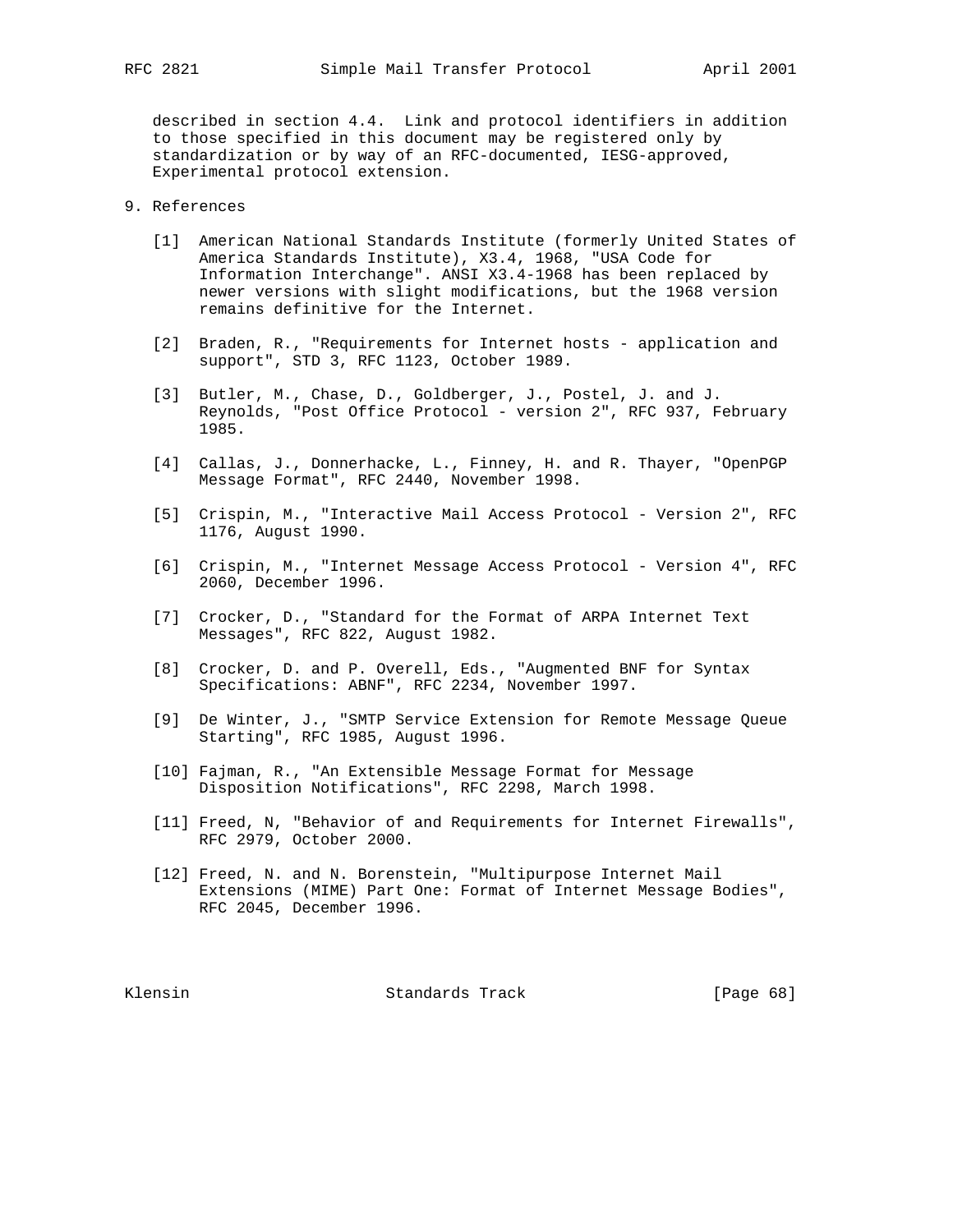described in section 4.4. Link and protocol identifiers in addition to those specified in this document may be registered only by standardization or by way of an RFC-documented, IESG-approved, Experimental protocol extension.

- 9. References
	- [1] American National Standards Institute (formerly United States of America Standards Institute), X3.4, 1968, "USA Code for Information Interchange". ANSI X3.4-1968 has been replaced by newer versions with slight modifications, but the 1968 version remains definitive for the Internet.
	- [2] Braden, R., "Requirements for Internet hosts application and support", STD 3, RFC 1123, October 1989.
	- [3] Butler, M., Chase, D., Goldberger, J., Postel, J. and J. Reynolds, "Post Office Protocol - version 2", RFC 937, February 1985.
	- [4] Callas, J., Donnerhacke, L., Finney, H. and R. Thayer, "OpenPGP Message Format", RFC 2440, November 1998.
	- [5] Crispin, M., "Interactive Mail Access Protocol Version 2", RFC 1176, August 1990.
	- [6] Crispin, M., "Internet Message Access Protocol Version 4", RFC 2060, December 1996.
	- [7] Crocker, D., "Standard for the Format of ARPA Internet Text Messages", RFC 822, August 1982.
	- [8] Crocker, D. and P. Overell, Eds., "Augmented BNF for Syntax Specifications: ABNF", RFC 2234, November 1997.
	- [9] De Winter, J., "SMTP Service Extension for Remote Message Queue Starting", RFC 1985, August 1996.
	- [10] Fajman, R., "An Extensible Message Format for Message Disposition Notifications", RFC 2298, March 1998.
	- [11] Freed, N, "Behavior of and Requirements for Internet Firewalls", RFC 2979, October 2000.
	- [12] Freed, N. and N. Borenstein, "Multipurpose Internet Mail Extensions (MIME) Part One: Format of Internet Message Bodies", RFC 2045, December 1996.

Klensin Changel Standards Track [Page 68]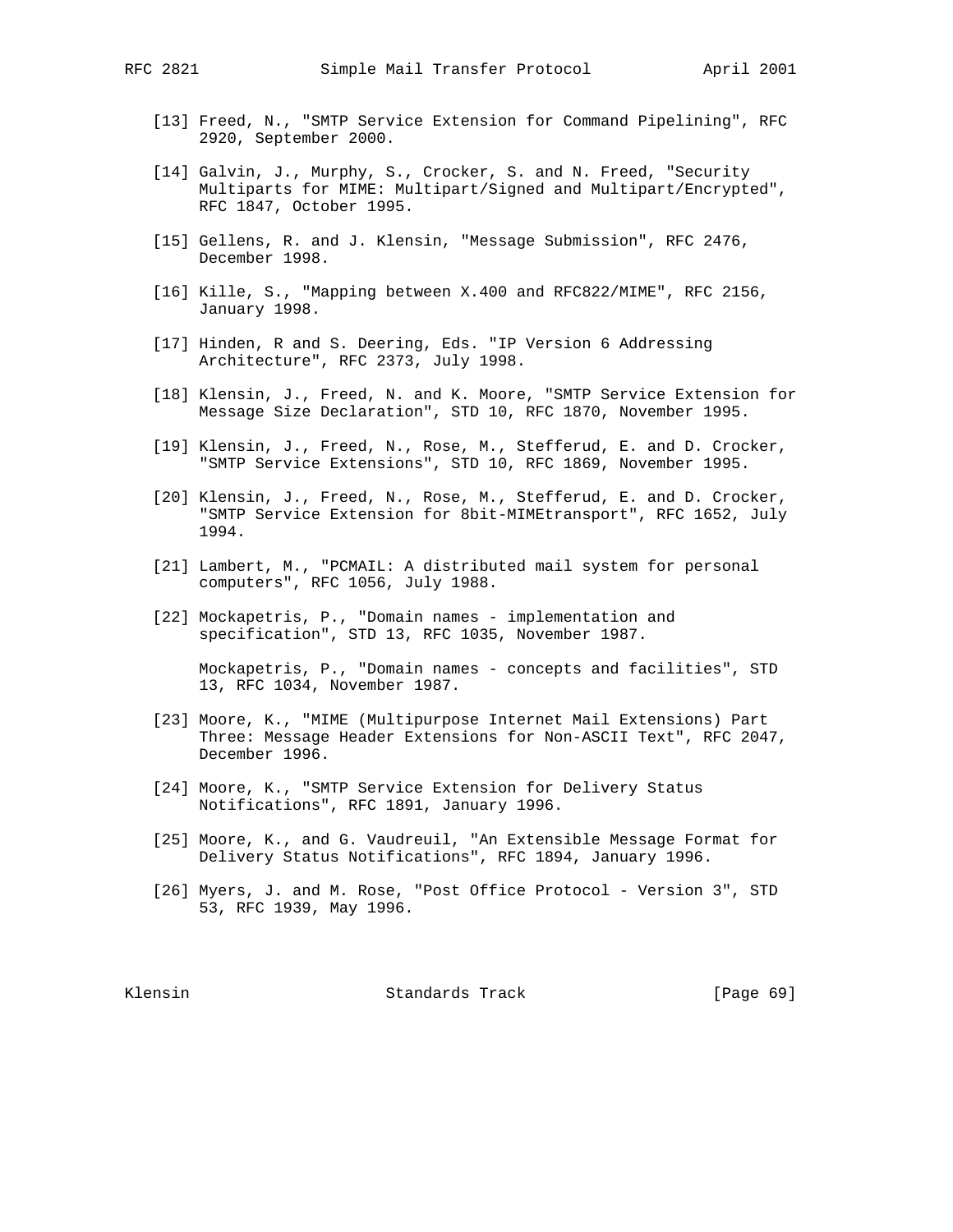- [13] Freed, N., "SMTP Service Extension for Command Pipelining", RFC 2920, September 2000.
- [14] Galvin, J., Murphy, S., Crocker, S. and N. Freed, "Security Multiparts for MIME: Multipart/Signed and Multipart/Encrypted", RFC 1847, October 1995.
- [15] Gellens, R. and J. Klensin, "Message Submission", RFC 2476, December 1998.
- [16] Kille, S., "Mapping between X.400 and RFC822/MIME", RFC 2156, January 1998.
- [17] Hinden, R and S. Deering, Eds. "IP Version 6 Addressing Architecture", RFC 2373, July 1998.
- [18] Klensin, J., Freed, N. and K. Moore, "SMTP Service Extension for Message Size Declaration", STD 10, RFC 1870, November 1995.
- [19] Klensin, J., Freed, N., Rose, M., Stefferud, E. and D. Crocker, "SMTP Service Extensions", STD 10, RFC 1869, November 1995.
- [20] Klensin, J., Freed, N., Rose, M., Stefferud, E. and D. Crocker, "SMTP Service Extension for 8bit-MIMEtransport", RFC 1652, July 1994.
- [21] Lambert, M., "PCMAIL: A distributed mail system for personal computers", RFC 1056, July 1988.
- [22] Mockapetris, P., "Domain names implementation and specification", STD 13, RFC 1035, November 1987.

 Mockapetris, P., "Domain names - concepts and facilities", STD 13, RFC 1034, November 1987.

- [23] Moore, K., "MIME (Multipurpose Internet Mail Extensions) Part Three: Message Header Extensions for Non-ASCII Text", RFC 2047, December 1996.
- [24] Moore, K., "SMTP Service Extension for Delivery Status Notifications", RFC 1891, January 1996.
- [25] Moore, K., and G. Vaudreuil, "An Extensible Message Format for Delivery Status Notifications", RFC 1894, January 1996.
- [26] Myers, J. and M. Rose, "Post Office Protocol Version 3", STD 53, RFC 1939, May 1996.

Klensin Charles Standards Track [Page 69]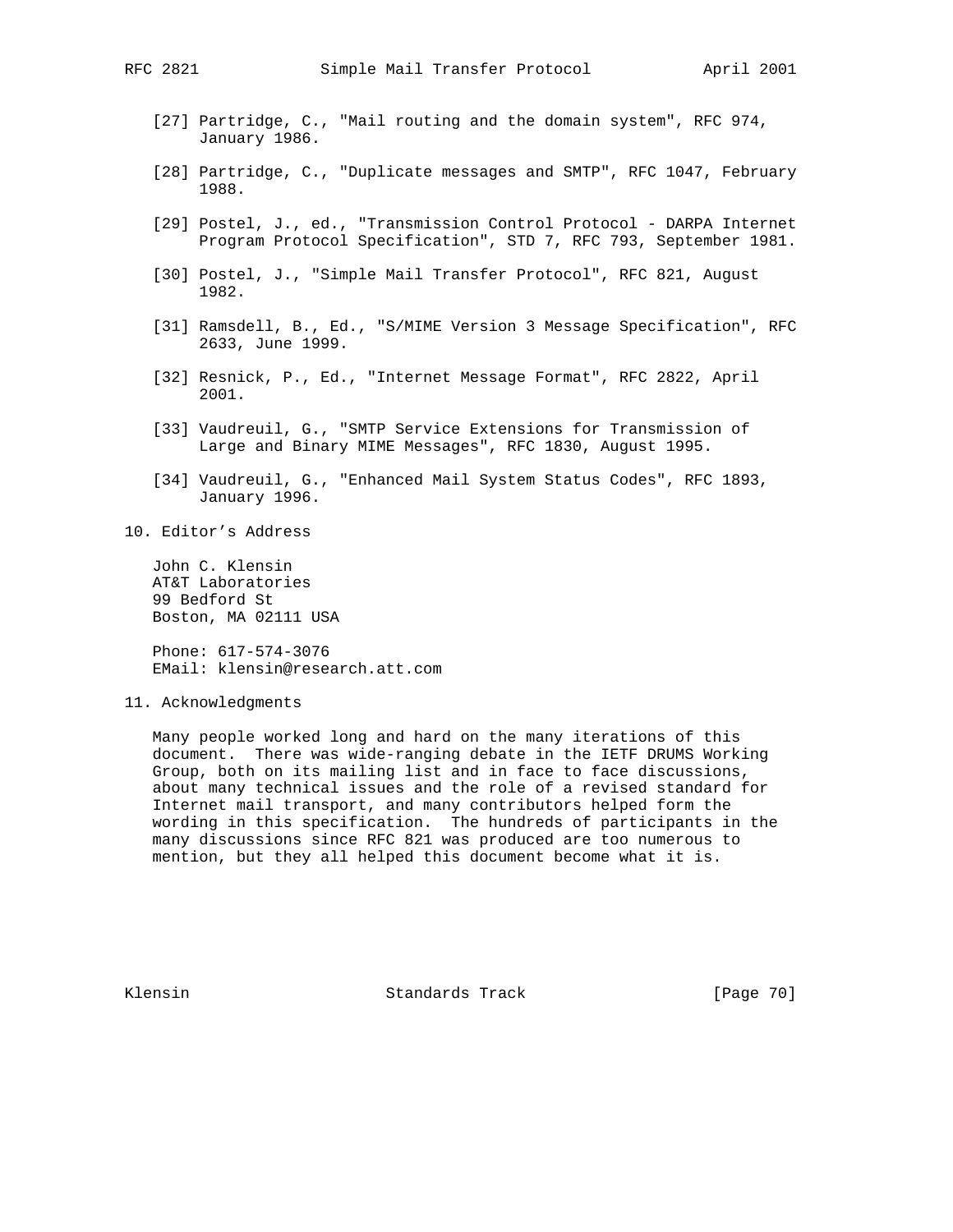- [27] Partridge, C., "Mail routing and the domain system", RFC 974, January 1986.
- [28] Partridge, C., "Duplicate messages and SMTP", RFC 1047, February 1988.
- [29] Postel, J., ed., "Transmission Control Protocol DARPA Internet Program Protocol Specification", STD 7, RFC 793, September 1981.
- [30] Postel, J., "Simple Mail Transfer Protocol", RFC 821, August 1982.
- [31] Ramsdell, B., Ed., "S/MIME Version 3 Message Specification", RFC 2633, June 1999.
- [32] Resnick, P., Ed., "Internet Message Format", RFC 2822, April 2001.
- [33] Vaudreuil, G., "SMTP Service Extensions for Transmission of Large and Binary MIME Messages", RFC 1830, August 1995.
- [34] Vaudreuil, G., "Enhanced Mail System Status Codes", RFC 1893, January 1996.

10. Editor's Address

 John C. Klensin AT&T Laboratories 99 Bedford St Boston, MA 02111 USA

 Phone: 617-574-3076 EMail: klensin@research.att.com

11. Acknowledgments

 Many people worked long and hard on the many iterations of this document. There was wide-ranging debate in the IETF DRUMS Working Group, both on its mailing list and in face to face discussions, about many technical issues and the role of a revised standard for Internet mail transport, and many contributors helped form the wording in this specification. The hundreds of participants in the many discussions since RFC 821 was produced are too numerous to mention, but they all helped this document become what it is.

Klensin Chamber Standards Track [Page 70]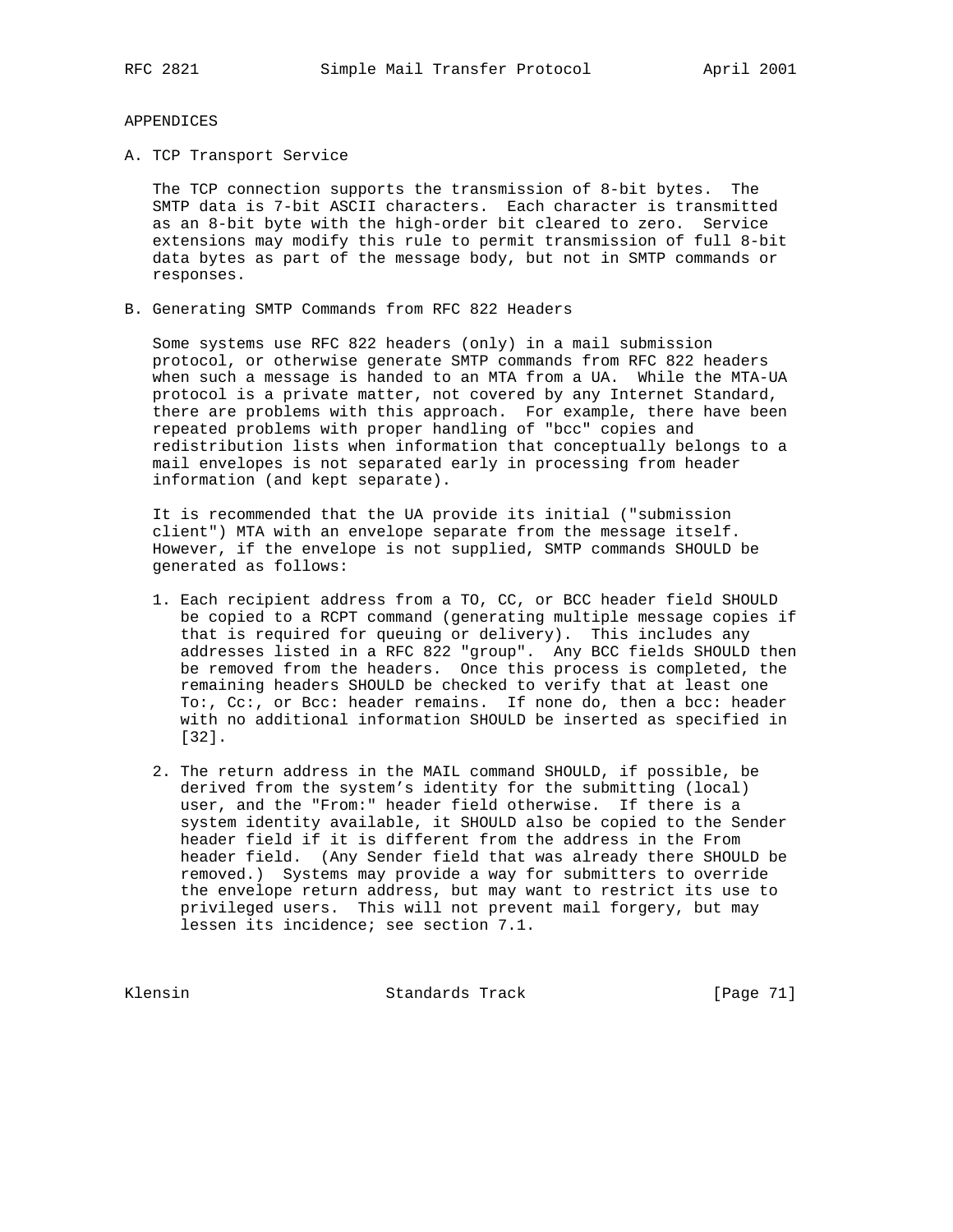#### APPENDICES

A. TCP Transport Service

 The TCP connection supports the transmission of 8-bit bytes. The SMTP data is 7-bit ASCII characters. Each character is transmitted as an 8-bit byte with the high-order bit cleared to zero. Service extensions may modify this rule to permit transmission of full 8-bit data bytes as part of the message body, but not in SMTP commands or responses.

B. Generating SMTP Commands from RFC 822 Headers

 Some systems use RFC 822 headers (only) in a mail submission protocol, or otherwise generate SMTP commands from RFC 822 headers when such a message is handed to an MTA from a UA. While the MTA-UA protocol is a private matter, not covered by any Internet Standard, there are problems with this approach. For example, there have been repeated problems with proper handling of "bcc" copies and redistribution lists when information that conceptually belongs to a mail envelopes is not separated early in processing from header information (and kept separate).

 It is recommended that the UA provide its initial ("submission client") MTA with an envelope separate from the message itself. However, if the envelope is not supplied, SMTP commands SHOULD be generated as follows:

- 1. Each recipient address from a TO, CC, or BCC header field SHOULD be copied to a RCPT command (generating multiple message copies if that is required for queuing or delivery). This includes any addresses listed in a RFC 822 "group". Any BCC fields SHOULD then be removed from the headers. Once this process is completed, the remaining headers SHOULD be checked to verify that at least one To:, Cc:, or Bcc: header remains. If none do, then a bcc: header with no additional information SHOULD be inserted as specified in [32].
- 2. The return address in the MAIL command SHOULD, if possible, be derived from the system's identity for the submitting (local) user, and the "From:" header field otherwise. If there is a system identity available, it SHOULD also be copied to the Sender header field if it is different from the address in the From header field. (Any Sender field that was already there SHOULD be removed.) Systems may provide a way for submitters to override the envelope return address, but may want to restrict its use to privileged users. This will not prevent mail forgery, but may lessen its incidence; see section 7.1.

Klensin Chamber Standards Track [Page 71]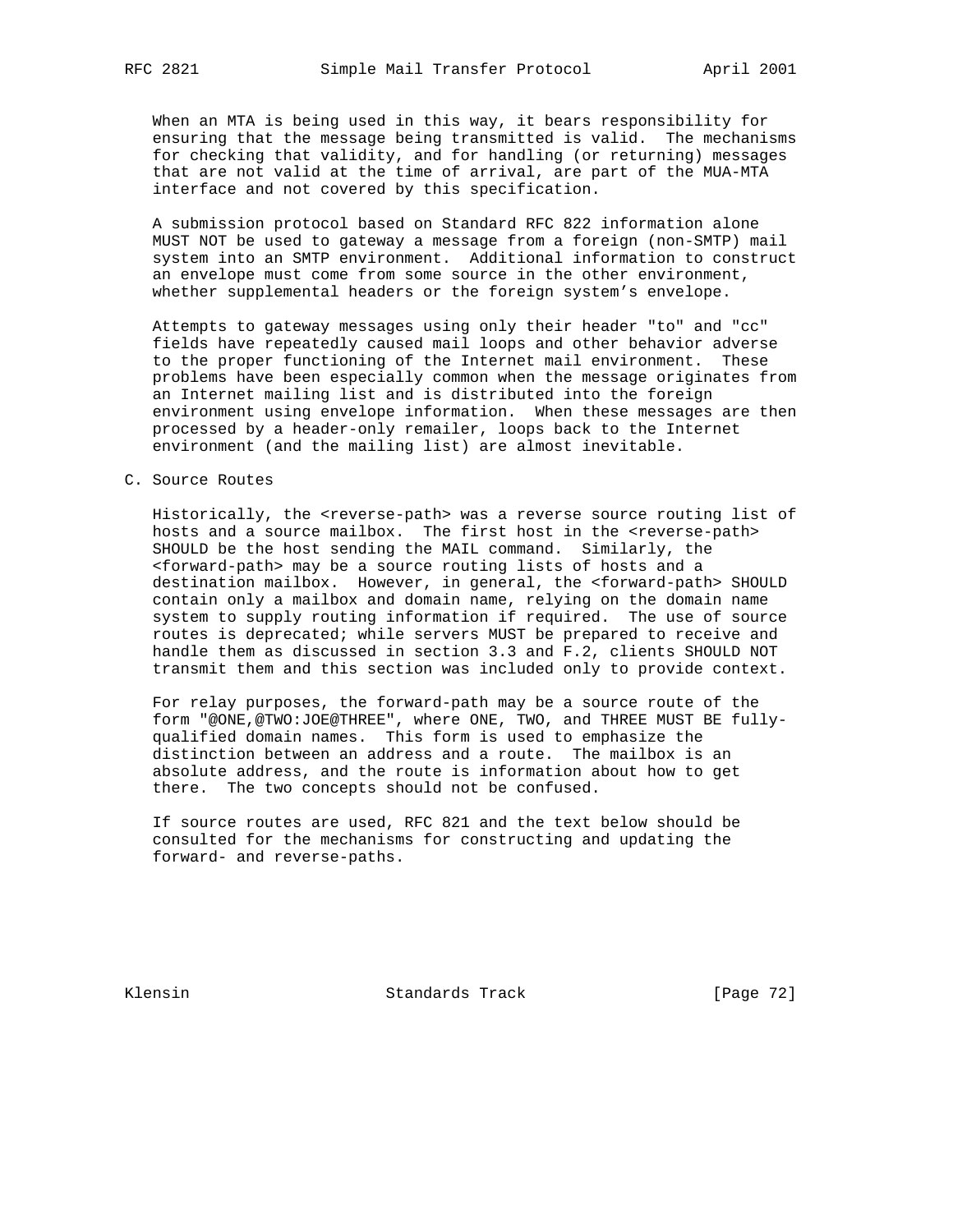When an MTA is being used in this way, it bears responsibility for ensuring that the message being transmitted is valid. The mechanisms for checking that validity, and for handling (or returning) messages that are not valid at the time of arrival, are part of the MUA-MTA interface and not covered by this specification.

 A submission protocol based on Standard RFC 822 information alone MUST NOT be used to gateway a message from a foreign (non-SMTP) mail system into an SMTP environment. Additional information to construct an envelope must come from some source in the other environment, whether supplemental headers or the foreign system's envelope.

 Attempts to gateway messages using only their header "to" and "cc" fields have repeatedly caused mail loops and other behavior adverse to the proper functioning of the Internet mail environment. These problems have been especially common when the message originates from an Internet mailing list and is distributed into the foreign environment using envelope information. When these messages are then processed by a header-only remailer, loops back to the Internet environment (and the mailing list) are almost inevitable.

### C. Source Routes

 Historically, the <reverse-path> was a reverse source routing list of hosts and a source mailbox. The first host in the <reverse-path> SHOULD be the host sending the MAIL command. Similarly, the <forward-path> may be a source routing lists of hosts and a destination mailbox. However, in general, the <forward-path> SHOULD contain only a mailbox and domain name, relying on the domain name system to supply routing information if required. The use of source routes is deprecated; while servers MUST be prepared to receive and handle them as discussed in section 3.3 and F.2, clients SHOULD NOT transmit them and this section was included only to provide context.

 For relay purposes, the forward-path may be a source route of the form "@ONE,@TWO:JOE@THREE", where ONE, TWO, and THREE MUST BE fully qualified domain names. This form is used to emphasize the distinction between an address and a route. The mailbox is an absolute address, and the route is information about how to get there. The two concepts should not be confused.

 If source routes are used, RFC 821 and the text below should be consulted for the mechanisms for constructing and updating the forward- and reverse-paths.

Klensin Chamber Standards Track [Page 72]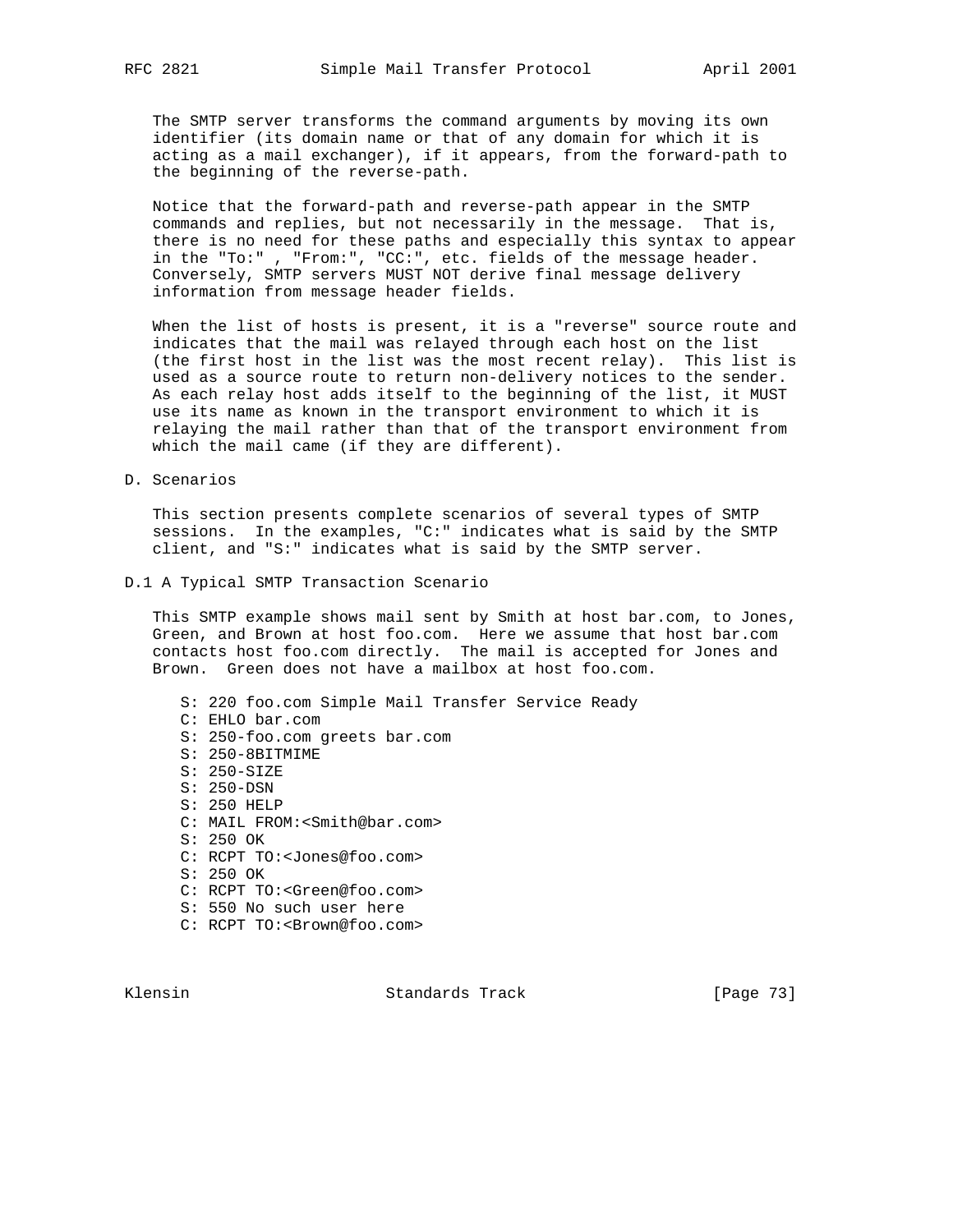The SMTP server transforms the command arguments by moving its own identifier (its domain name or that of any domain for which it is acting as a mail exchanger), if it appears, from the forward-path to the beginning of the reverse-path.

 Notice that the forward-path and reverse-path appear in the SMTP commands and replies, but not necessarily in the message. That is, there is no need for these paths and especially this syntax to appear in the "To:" , "From:", "CC:", etc. fields of the message header. Conversely, SMTP servers MUST NOT derive final message delivery information from message header fields.

 When the list of hosts is present, it is a "reverse" source route and indicates that the mail was relayed through each host on the list (the first host in the list was the most recent relay). This list is used as a source route to return non-delivery notices to the sender. As each relay host adds itself to the beginning of the list, it MUST use its name as known in the transport environment to which it is relaying the mail rather than that of the transport environment from which the mail came (if they are different).

D. Scenarios

 This section presents complete scenarios of several types of SMTP sessions. In the examples, "C:" indicates what is said by the SMTP client, and "S:" indicates what is said by the SMTP server.

D.1 A Typical SMTP Transaction Scenario

 This SMTP example shows mail sent by Smith at host bar.com, to Jones, Green, and Brown at host foo.com. Here we assume that host bar.com contacts host foo.com directly. The mail is accepted for Jones and Brown. Green does not have a mailbox at host foo.com.

- S: 220 foo.com Simple Mail Transfer Service Ready
- C: EHLO bar.com
- S: 250-foo.com greets bar.com
- S: 250-8BITMIME
- S: 250-SIZE
- S: 250-DSN
- S: 250 HELP
- C: MAIL FROM:<Smith@bar.com>
- S: 250 OK
- C: RCPT TO:<Jones@foo.com>
- S: 250 OK
- C: RCPT TO:<Green@foo.com>
- S: 550 No such user here
- C: RCPT TO:<Brown@foo.com>

Klensin Chamber Standards Track [Page 73]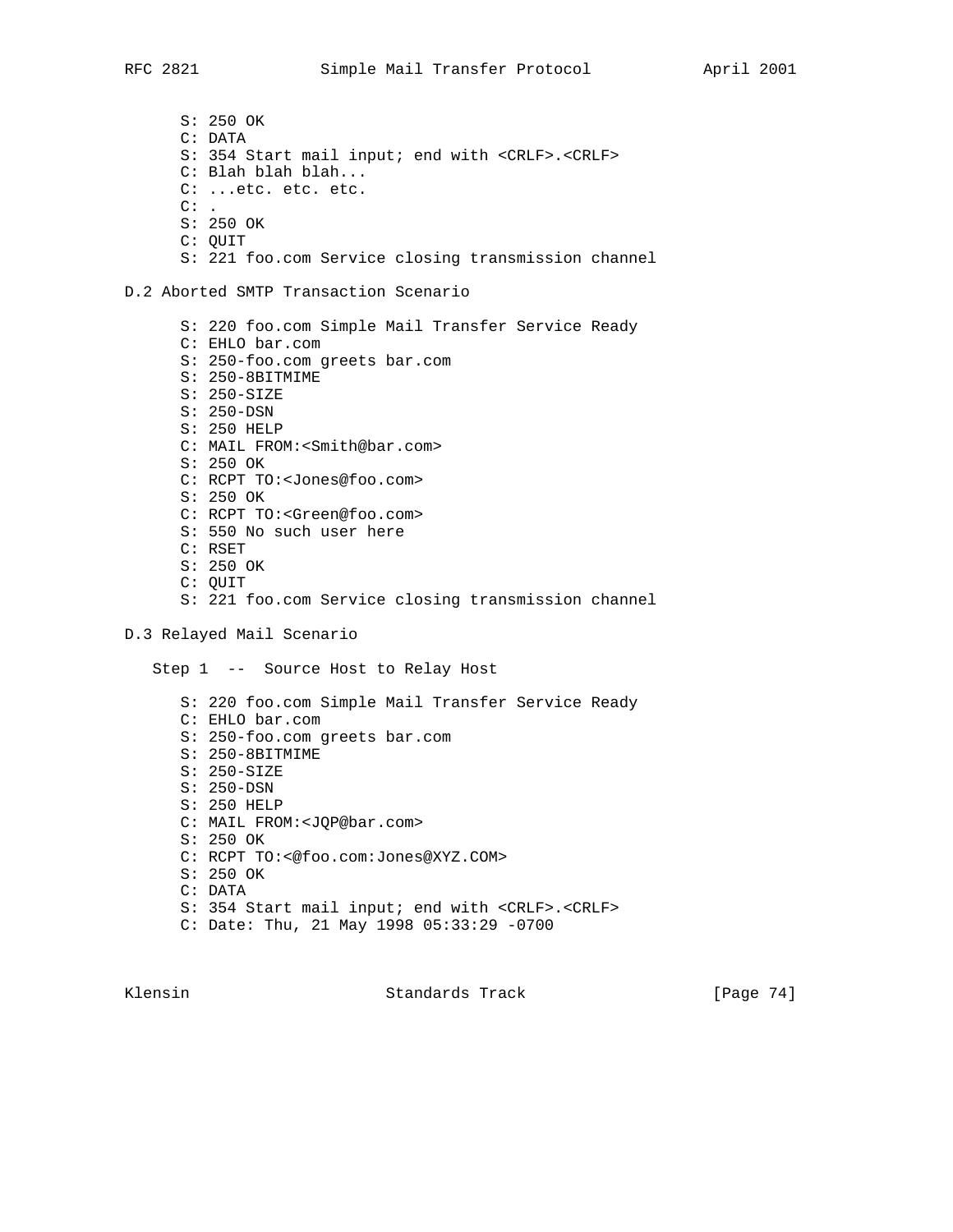S: 250 OK C: DATA S: 354 Start mail input; end with <CRLF>.<CRLF> C: Blah blah blah... C: ...etc. etc. etc.  $C:$  . S: 250 OK C: QUIT S: 221 foo.com Service closing transmission channel D.2 Aborted SMTP Transaction Scenario S: 220 foo.com Simple Mail Transfer Service Ready C: EHLO bar.com S: 250-foo.com greets bar.com S: 250-8BITMIME S: 250-SIZE S: 250-DSN S: 250 HELP C: MAIL FROM:<Smith@bar.com> S: 250 OK C: RCPT TO:<Jones@foo.com> S: 250 OK C: RCPT TO:<Green@foo.com> S: 550 No such user here C: RSET S: 250 OK C: QUIT S: 221 foo.com Service closing transmission channel D.3 Relayed Mail Scenario Step 1 -- Source Host to Relay Host S: 220 foo.com Simple Mail Transfer Service Ready C: EHLO bar.com S: 250-foo.com greets bar.com S: 250-8BITMIME S: 250-SIZE S: 250-DSN S: 250 HELP C: MAIL FROM:<JQP@bar.com> S: 250 OK C: RCPT TO:<@foo.com:Jones@XYZ.COM> S: 250 OK C: DATA S: 354 Start mail input; end with <CRLF>.<CRLF> C: Date: Thu, 21 May 1998 05:33:29 -0700

Klensin Chamber Standards Track [Page 74]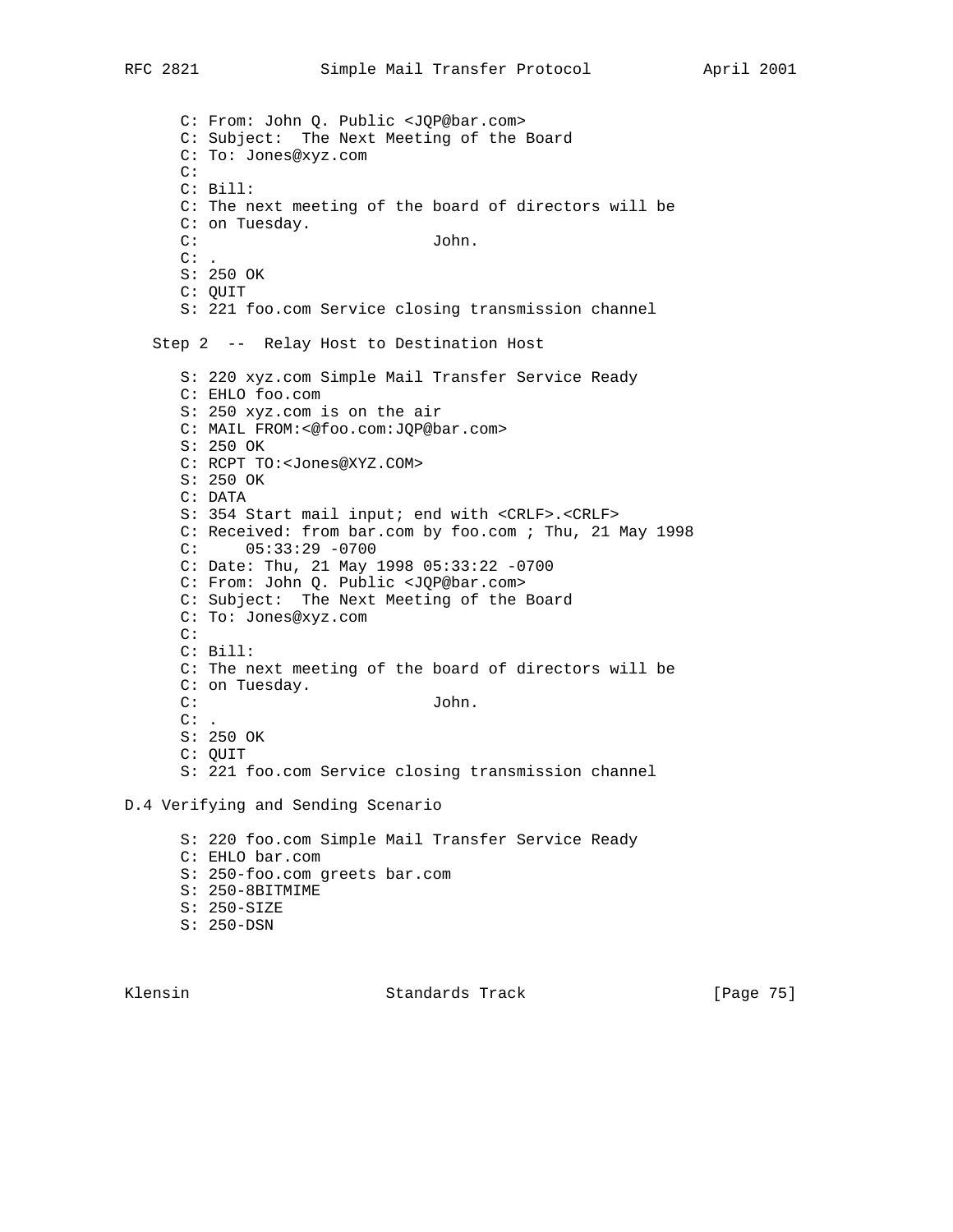C: From: John Q. Public <JQP@bar.com> C: Subject: The Next Meeting of the Board C: To: Jones@xyz.com C: C: Bill: C: The next meeting of the board of directors will be C: on Tuesday. C: John.  $C:$  . S: 250 OK C: QUIT S: 221 foo.com Service closing transmission channel Step 2 -- Relay Host to Destination Host S: 220 xyz.com Simple Mail Transfer Service Ready C: EHLO foo.com S: 250 xyz.com is on the air C: MAIL FROM:<@foo.com:JQP@bar.com> S: 250 OK C: RCPT TO:<Jones@XYZ.COM> S: 250 OK C: DATA S: 354 Start mail input; end with <CRLF>.<CRLF> C: Received: from bar.com by foo.com ; Thu, 21 May 1998 C: 05:33:29 -0700 C: Date: Thu, 21 May 1998 05:33:22 -0700 C: From: John Q. Public <JQP@bar.com> C: Subject: The Next Meeting of the Board C: To: Jones@xyz.com C: C: Bill: C: The next meeting of the board of directors will be C: on Tuesday. C: John.  $C:$ . S: 250 OK C: QUIT S: 221 foo.com Service closing transmission channel

D.4 Verifying and Sending Scenario

 S: 220 foo.com Simple Mail Transfer Service Ready C: EHLO bar.com S: 250-foo.com greets bar.com S: 250-8BITMIME S: 250-SIZE S: 250-DSN

Klensin Charles Standards Track [Page 75]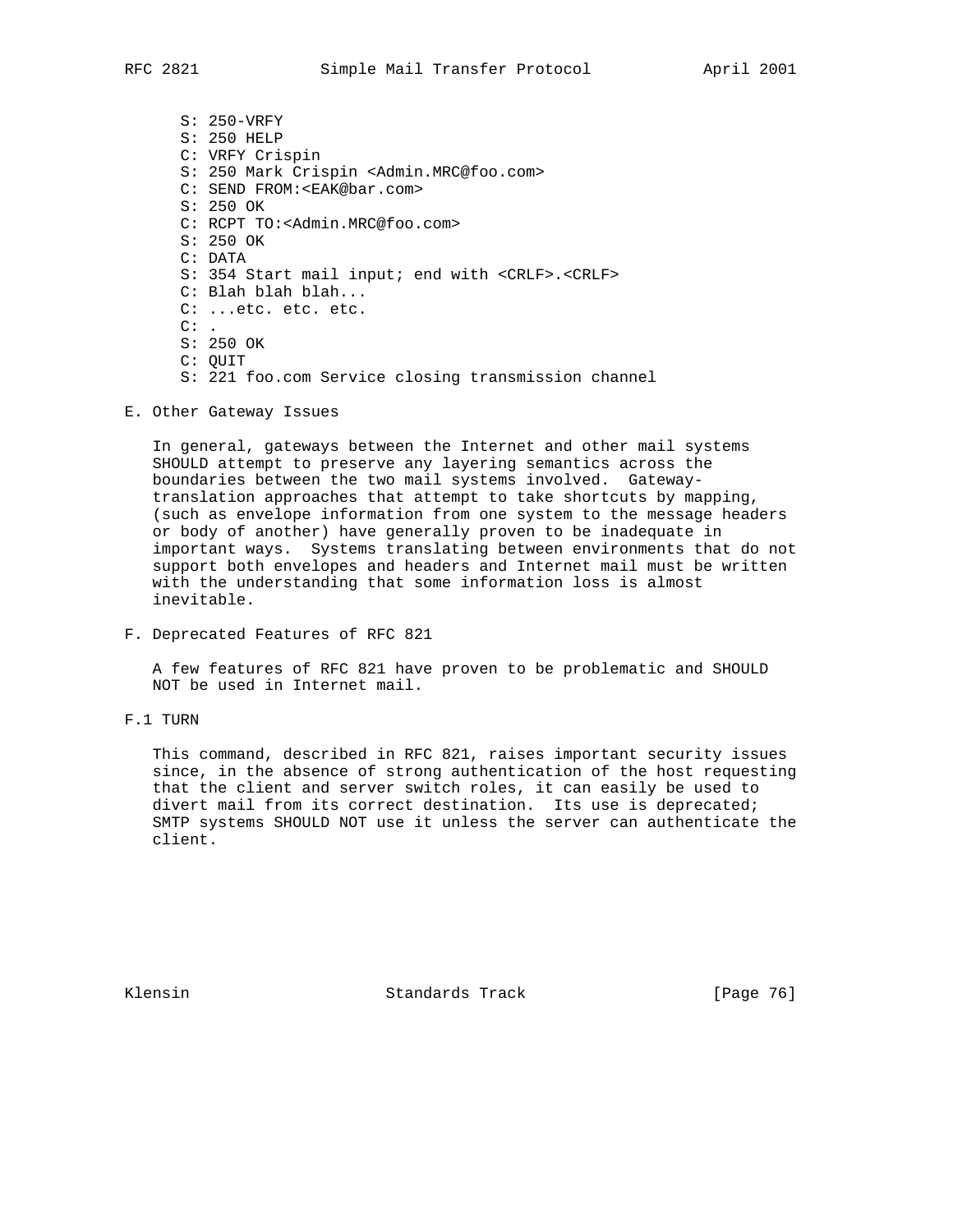S: 250-VRFY S: 250 HELP C: VRFY Crispin S: 250 Mark Crispin <Admin.MRC@foo.com> C: SEND FROM:<EAK@bar.com> S: 250 OK C: RCPT TO:<Admin.MRC@foo.com> S: 250 OK C: DATA S: 354 Start mail input; end with <CRLF>.<CRLF> C: Blah blah blah... C: ...etc. etc. etc.  $C:$  . S: 250 OK C: QUIT S: 221 foo.com Service closing transmission channel

E. Other Gateway Issues

 In general, gateways between the Internet and other mail systems SHOULD attempt to preserve any layering semantics across the boundaries between the two mail systems involved. Gateway translation approaches that attempt to take shortcuts by mapping, (such as envelope information from one system to the message headers or body of another) have generally proven to be inadequate in important ways. Systems translating between environments that do not support both envelopes and headers and Internet mail must be written with the understanding that some information loss is almost inevitable.

F. Deprecated Features of RFC 821

 A few features of RFC 821 have proven to be problematic and SHOULD NOT be used in Internet mail.

F.1 TURN

 This command, described in RFC 821, raises important security issues since, in the absence of strong authentication of the host requesting that the client and server switch roles, it can easily be used to divert mail from its correct destination. Its use is deprecated; SMTP systems SHOULD NOT use it unless the server can authenticate the client.

Klensin Chamber Standards Track [Page 76]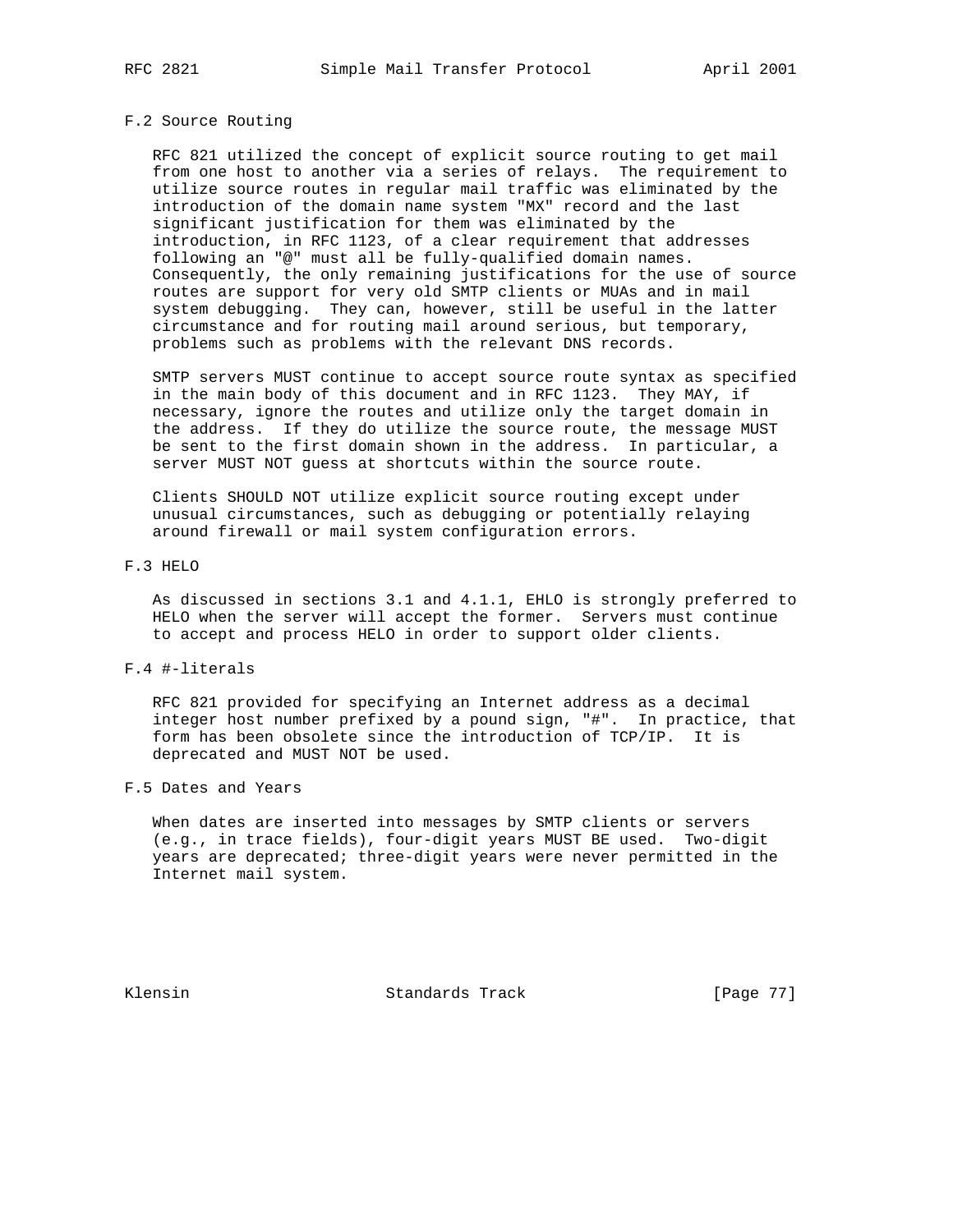### F.2 Source Routing

 RFC 821 utilized the concept of explicit source routing to get mail from one host to another via a series of relays. The requirement to utilize source routes in regular mail traffic was eliminated by the introduction of the domain name system "MX" record and the last significant justification for them was eliminated by the introduction, in RFC 1123, of a clear requirement that addresses following an "@" must all be fully-qualified domain names. Consequently, the only remaining justifications for the use of source routes are support for very old SMTP clients or MUAs and in mail system debugging. They can, however, still be useful in the latter circumstance and for routing mail around serious, but temporary, problems such as problems with the relevant DNS records.

 SMTP servers MUST continue to accept source route syntax as specified in the main body of this document and in RFC 1123. They MAY, if necessary, ignore the routes and utilize only the target domain in the address. If they do utilize the source route, the message MUST be sent to the first domain shown in the address. In particular, a server MUST NOT guess at shortcuts within the source route.

 Clients SHOULD NOT utilize explicit source routing except under unusual circumstances, such as debugging or potentially relaying around firewall or mail system configuration errors.

#### F.3 HELO

 As discussed in sections 3.1 and 4.1.1, EHLO is strongly preferred to HELO when the server will accept the former. Servers must continue to accept and process HELO in order to support older clients.

## F.4 #-literals

 RFC 821 provided for specifying an Internet address as a decimal integer host number prefixed by a pound sign, "#". In practice, that form has been obsolete since the introduction of TCP/IP. It is deprecated and MUST NOT be used.

## F.5 Dates and Years

 When dates are inserted into messages by SMTP clients or servers (e.g., in trace fields), four-digit years MUST BE used. Two-digit years are deprecated; three-digit years were never permitted in the Internet mail system.

Klensin Chamber Standards Track [Page 77]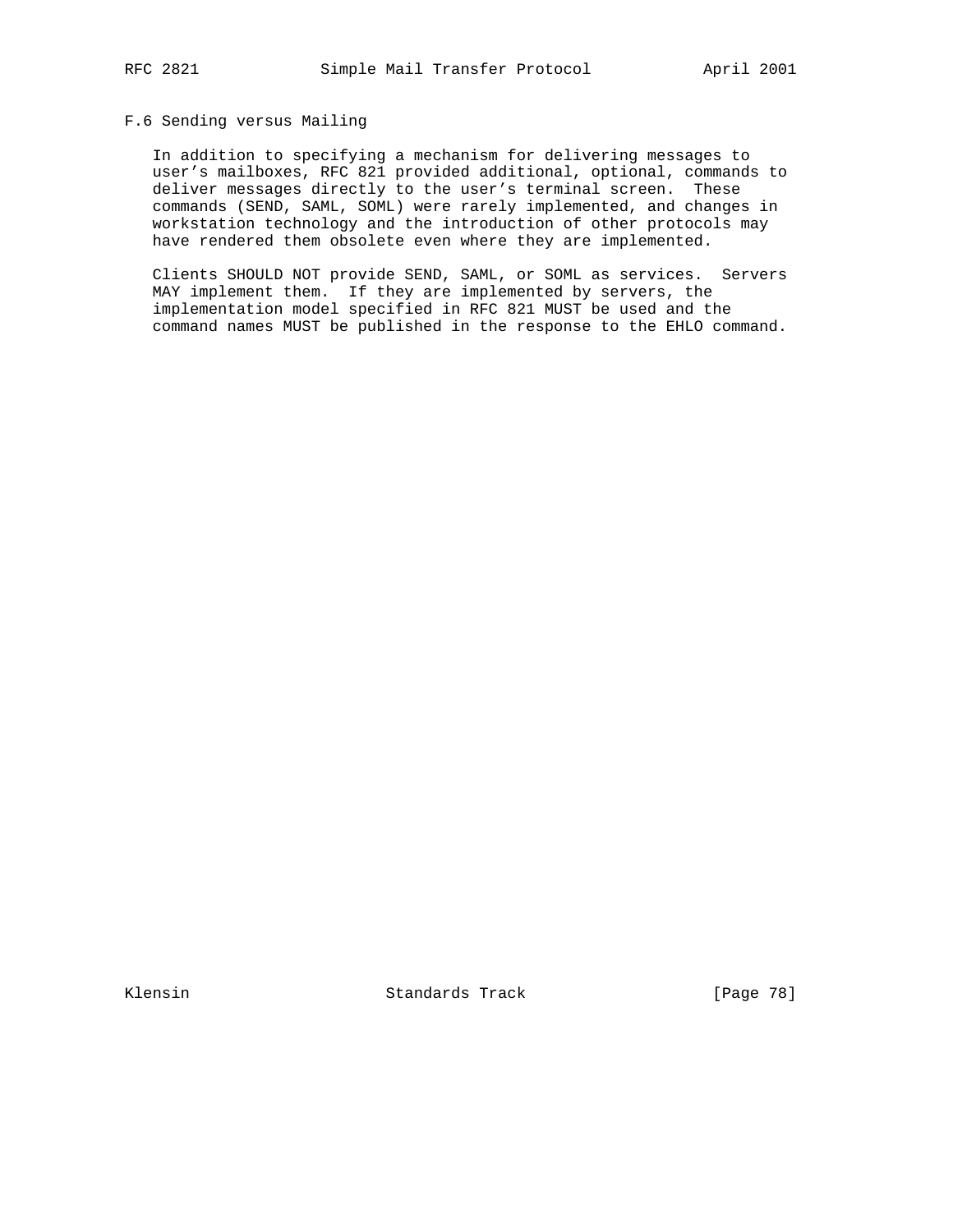# F.6 Sending versus Mailing

 In addition to specifying a mechanism for delivering messages to user's mailboxes, RFC 821 provided additional, optional, commands to deliver messages directly to the user's terminal screen. These commands (SEND, SAML, SOML) were rarely implemented, and changes in workstation technology and the introduction of other protocols may have rendered them obsolete even where they are implemented.

 Clients SHOULD NOT provide SEND, SAML, or SOML as services. Servers MAY implement them. If they are implemented by servers, the implementation model specified in RFC 821 MUST be used and the command names MUST be published in the response to the EHLO command.

Klensin Chamber Standards Track [Page 78]